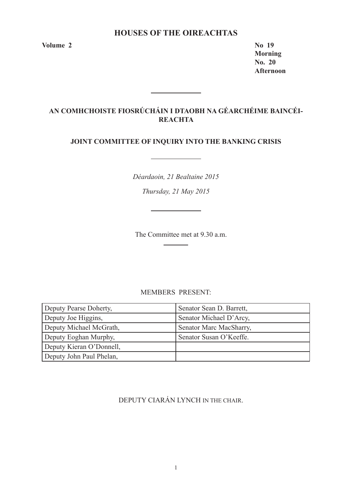# **HOUSES OF THE OIREACHTAS**

**Volume 2 No 19**

**Morning No. 20 Afternoon** 

# **AN COMHCHOISTE FIOSRÚCHÁIN I DTAOBH NA GÉARCHÉIME BAINCÉI-REACHTA**

# **JOINT COMMITTEE OF INQUIRY INTO THE BANKING CRISIS**

<u> 1989 - Johann Barbara, martxa a</u>

*Déardaoin, 21 Bealtaine 2015*

*Thursday, 21 May 2015*

The Committee met at 9.30 a.m.

# MEMBERS PRESENT:

| Deputy Pearse Doherty,   | Senator Sean D. Barrett, |
|--------------------------|--------------------------|
| Deputy Joe Higgins,      | Senator Michael D'Arcy,  |
| Deputy Michael McGrath,  | Senator Marc MacSharry,  |
| Deputy Eoghan Murphy,    | Senator Susan O'Keeffe.  |
| Deputy Kieran O'Donnell, |                          |
| Deputy John Paul Phelan, |                          |

DEPUTY CIARÁN LYNCH IN THE CHAIR.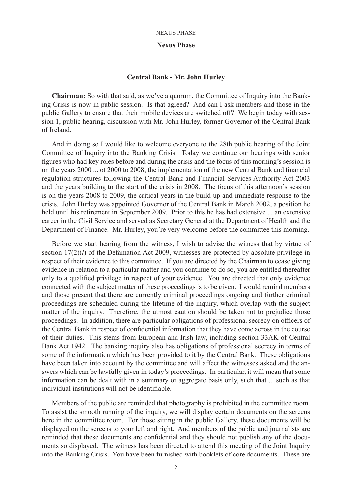# **Nexus Phase**

# **Central Bank - Mr. John Hurley**

**Chairman:** So with that said, as we've a quorum, the Committee of Inquiry into the Banking Crisis is now in public session. Is that agreed? And can I ask members and those in the public Gallery to ensure that their mobile devices are switched off? We begin today with session 1, public hearing, discussion with Mr. John Hurley, former Governor of the Central Bank of Ireland.

And in doing so I would like to welcome everyone to the 28th public hearing of the Joint Committee of Inquiry into the Banking Crisis. Today we continue our hearings with senior figures who had key roles before and during the crisis and the focus of this morning's session is on the years 2000 ... of 2000 to 2008, the implementation of the new Central Bank and financial regulation structures following the Central Bank and Financial Services Authority Act 2003 and the years building to the start of the crisis in 2008. The focus of this afternoon's session is on the years 2008 to 2009, the critical years in the build-up and immediate response to the crisis. John Hurley was appointed Governor of the Central Bank in March 2002, a position he held until his retirement in September 2009. Prior to this he has had extensive ... an extensive career in the Civil Service and served as Secretary General at the Department of Health and the Department of Finance. Mr. Hurley, you're very welcome before the committee this morning.

Before we start hearing from the witness, I wish to advise the witness that by virtue of section 17(2)(*l*) of the Defamation Act 2009, witnesses are protected by absolute privilege in respect of their evidence to this committee. If you are directed by the Chairman to cease giving evidence in relation to a particular matter and you continue to do so, you are entitled thereafter only to a qualified privilege in respect of your evidence. You are directed that only evidence connected with the subject matter of these proceedings is to be given. I would remind members and those present that there are currently criminal proceedings ongoing and further criminal proceedings are scheduled during the lifetime of the inquiry, which overlap with the subject matter of the inquiry. Therefore, the utmost caution should be taken not to prejudice those proceedings. In addition, there are particular obligations of professional secrecy on officers of the Central Bank in respect of confidential information that they have come across in the course of their duties. This stems from European and Irish law, including section 33AK of Central Bank Act 1942. The banking inquiry also has obligations of professional secrecy in terms of some of the information which has been provided to it by the Central Bank. These obligations have been taken into account by the committee and will affect the witnesses asked and the answers which can be lawfully given in today's proceedings. In particular, it will mean that some information can be dealt with in a summary or aggregate basis only, such that ... such as that individual institutions will not be identifiable.

Members of the public are reminded that photography is prohibited in the committee room. To assist the smooth running of the inquiry, we will display certain documents on the screens here in the committee room. For those sitting in the public Gallery, these documents will be displayed on the screens to your left and right. And members of the public and journalists are reminded that these documents are confidential and they should not publish any of the documents so displayed. The witness has been directed to attend this meeting of the Joint Inquiry into the Banking Crisis. You have been furnished with booklets of core documents. These are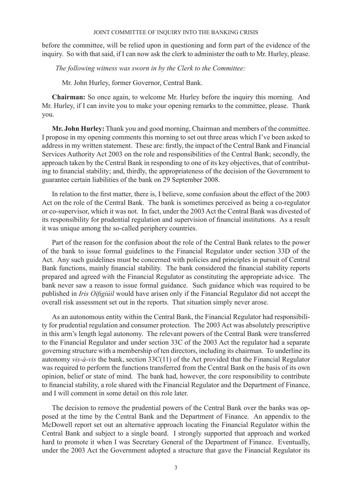before the committee, will be relied upon in questioning and form part of the evidence of the inquiry. So with that said, if I can now ask the clerk to administer the oath to Mr. Hurley, please.

 *The following witness was sworn in by the Clerk to the Committee:*

Mr. John Hurley, former Governor, Central Bank.

**Chairman:** So once again, to welcome Mr. Hurley before the inquiry this morning. And Mr. Hurley, if I can invite you to make your opening remarks to the committee, please. Thank you.

**Mr. John Hurley:** Thank you and good morning, Chairman and members of the committee. I propose in my opening comments this morning to set out three areas which I've been asked to address in my written statement. These are: firstly, the impact of the Central Bank and Financial Services Authority Act 2003 on the role and responsibilities of the Central Bank; secondly, the approach taken by the Central Bank in responding to one of its key objectives, that of contributing to financial stability; and, thirdly, the appropriateness of the decision of the Government to guarantee certain liabilities of the bank on 29 September 2008.

In relation to the first matter, there is, I believe, some confusion about the effect of the 2003 Act on the role of the Central Bank. The bank is sometimes perceived as being a co-regulator or co-supervisor, which it was not. In fact, under the 2003 Act the Central Bank was divested of its responsibility for prudential regulation and supervision of financial institutions. As a result it was unique among the so-called periphery countries.

Part of the reason for the confusion about the role of the Central Bank relates to the power of the bank to issue formal guidelines to the Financial Regulator under section 33D of the Act. Any such guidelines must be concerned with policies and principles in pursuit of Central Bank functions, mainly financial stability. The bank considered the financial stability reports prepared and agreed with the Financial Regulator as constituting the appropriate advice. The bank never saw a reason to issue formal guidance. Such guidance which was required to be published in *Iris Oifigiúil* would have arisen only if the Financial Regulator did not accept the overall risk assessment set out in the reports. That situation simply never arose.

As an autonomous entity within the Central Bank, the Financial Regulator had responsibility for prudential regulation and consumer protection. The 2003 Act was absolutely prescriptive in this arm's length legal autonomy. The relevant powers of the Central Bank were transferred to the Financial Regulator and under section 33C of the 2003 Act the regulator had a separate governing structure with a membership of ten directors, including its chairman. To underline its autonomy *vis-à-vis* the bank, section 33C(11) of the Act provided that the Financial Regulator was required to perform the functions transferred from the Central Bank on the basis of its own opinion, belief or state of mind. The bank had, however, the core responsibility to contribute to financial stability, a role shared with the Financial Regulator and the Department of Finance, and I will comment in some detail on this role later.

The decision to remove the prudential powers of the Central Bank over the banks was opposed at the time by the Central Bank and the Department of Finance. An appendix to the McDowell report set out an alternative approach locating the Financial Regulator within the Central Bank and subject to a single board. I strongly supported that approach and worked hard to promote it when I was Secretary General of the Department of Finance. Eventually, under the 2003 Act the Government adopted a structure that gave the Financial Regulator its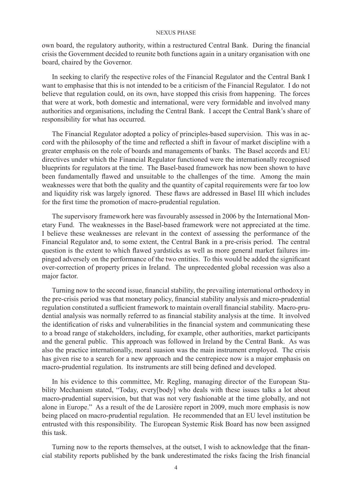own board, the regulatory authority, within a restructured Central Bank. During the financial crisis the Government decided to reunite both functions again in a unitary organisation with one board, chaired by the Governor.

In seeking to clarify the respective roles of the Financial Regulator and the Central Bank I want to emphasise that this is not intended to be a criticism of the Financial Regulator. I do not believe that regulation could, on its own, have stopped this crisis from happening. The forces that were at work, both domestic and international, were very formidable and involved many authorities and organisations, including the Central Bank. I accept the Central Bank's share of responsibility for what has occurred.

The Financial Regulator adopted a policy of principles-based supervision. This was in accord with the philosophy of the time and reflected a shift in favour of market discipline with a greater emphasis on the role of boards and managements of banks. The Basel accords and EU directives under which the Financial Regulator functioned were the internationally recognised blueprints for regulators at the time. The Basel-based framework has now been shown to have been fundamentally flawed and unsuitable to the challenges of the time. Among the main weaknesses were that both the quality and the quantity of capital requirements were far too low and liquidity risk was largely ignored. These flaws are addressed in Basel III which includes for the first time the promotion of macro-prudential regulation.

The supervisory framework here was favourably assessed in 2006 by the International Monetary Fund. The weaknesses in the Basel-based framework were not appreciated at the time. I believe these weaknesses are relevant in the context of assessing the performance of the Financial Regulator and, to some extent, the Central Bank in a pre-crisis period. The central question is the extent to which flawed yardsticks as well as more general market failures impinged adversely on the performance of the two entities. To this would be added the significant over-correction of property prices in Ireland. The unprecedented global recession was also a major factor.

Turning now to the second issue, financial stability, the prevailing international orthodoxy in the pre-crisis period was that monetary policy, financial stability analysis and micro-prudential regulation constituted a sufficient framework to maintain overall financial stability. Macro-prudential analysis was normally referred to as financial stability analysis at the time. It involved the identification of risks and vulnerabilities in the financial system and communicating these to a broad range of stakeholders, including, for example, other authorities, market participants and the general public. This approach was followed in Ireland by the Central Bank. As was also the practice internationally, moral suasion was the main instrument employed. The crisis has given rise to a search for a new approach and the centrepiece now is a major emphasis on macro-prudential regulation. Its instruments are still being defined and developed.

In his evidence to this committee, Mr. Regling, managing director of the European Stability Mechanism stated, "Today, every[body] who deals with these issues talks a lot about macro-prudential supervision, but that was not very fashionable at the time globally, and not alone in Europe." As a result of the de Larosière report in 2009, much more emphasis is now being placed on macro-prudential regulation. He recommended that an EU level institution be entrusted with this responsibility. The European Systemic Risk Board has now been assigned this task.

Turning now to the reports themselves, at the outset, I wish to acknowledge that the financial stability reports published by the bank underestimated the risks facing the Irish financial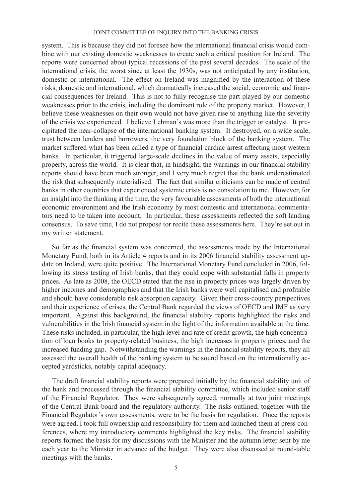system. This is because they did not foresee how the international financial crisis would combine with our existing domestic weaknesses to create such a critical position for Ireland. The reports were concerned about typical recessions of the past several decades. The scale of the international crisis, the worst since at least the 1930s, was not anticipated by any institution, domestic or international. The effect on Ireland was magnified by the interaction of these risks, domestic and international, which dramatically increased the social, economic and financial consequences for Ireland. This is not to fully recognise the part played by our domestic weaknesses prior to the crisis, including the dominant role of the property market. However, I believe these weaknesses on their own would not have given rise to anything like the severity of the crisis we experienced. I believe Lehman's was more than the trigger or catalyst. It precipitated the near-collapse of the international banking system. It destroyed, on a wide scale, trust between lenders and borrowers, the very foundation block of the banking system. The market suffered what has been called a type of financial cardiac arrest affecting most western banks. In particular, it triggered large-scale declines in the value of many assets, especially property, across the world. It is clear that, in hindsight, the warnings in our financial stability reports should have been much stronger, and I very much regret that the bank underestimated the risk that subsequently materialised. The fact that similar criticisms can be made of central banks in other countries that experienced systemic crisis is no consolation to me. However, for an insight into the thinking at the time, the very favourable assessments of both the international economic environment and the Irish economy by most domestic and international commentators need to be taken into account. In particular, these assessments reflected the soft landing consensus. To save time, I do not propose tor recite these assessments here. They're set out in my written statement.

So far as the financial system was concerned, the assessments made by the International Monetary Fund, both in its Article 4 reports and in its 2006 financial stability assessment update on Ireland, were quite positive. The International Monetary Fund concluded in 2006, following its stress testing of Irish banks, that they could cope with substantial falls in property prices. As late as 2008, the OECD stated that the rise in property prices was largely driven by higher incomes and demographics and that the Irish banks were well capitalised and profitable and should have considerable risk absorption capacity. Given their cross-country perspectives and their experience of crises, the Central Bank regarded the views of OECD and IMF as very important. Against this background, the financial stability reports highlighted the risks and vulnerabilities in the Irish financial system in the light of the information available at the time. These risks included, in particular, the high level and rate of credit growth, the high concentration of loan books to property-related business, the high increases in property prices, and the increased funding gap. Notwithstanding the warnings in the financial stability reports, they all assessed the overall health of the banking system to be sound based on the internationally accepted yardsticks, notably capital adequacy.

The draft financial stability reports were prepared initially by the financial stability unit of the bank and processed through the financial stability committee, which included senior staff of the Financial Regulator. They were subsequently agreed, normally at two joint meetings of the Central Bank board and the regulatory authority. The risks outlined, together with the Financial Regulator's own assessments, were to be the basis for regulation. Once the reports were agreed, I took full ownership and responsibility for them and launched them at press conferences, where my introductory comments highlighted the key risks. The financial stability reports formed the basis for my discussions with the Minister and the autumn letter sent by me each year to the Minister in advance of the budget. They were also discussed at round-table meetings with the banks.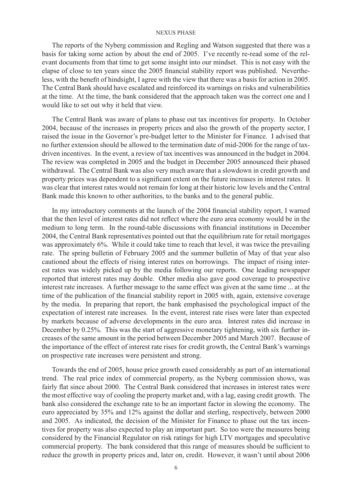The reports of the Nyberg commission and Regling and Watson suggested that there was a basis for taking some action by about the end of 2005. I've recently re-read some of the relevant documents from that time to get some insight into our mindset. This is not easy with the elapse of close to ten years since the 2005 financial stability report was published. Nevertheless, with the benefit of hindsight, I agree with the view that there was a basis for action in 2005. The Central Bank should have escalated and reinforced its warnings on risks and vulnerabilities at the time. At the time, the bank considered that the approach taken was the correct one and I would like to set out why it held that view.

The Central Bank was aware of plans to phase out tax incentives for property. In October 2004, because of the increases in property prices and also the growth of the property sector, I raised the issue in the Governor's pre-budget letter to the Minister for Finance. I advised that no further extension should be allowed to the termination date of mid-2006 for the range of taxdriven incentives. In the event, a review of tax incentives was announced in the budget in 2004. The review was completed in 2005 and the budget in December 2005 announced their phased withdrawal. The Central Bank was also very much aware that a slowdown in credit growth and property prices was dependent to a significant extent on the future increases in interest rates. It was clear that interest rates would not remain for long at their historic low levels and the Central Bank made this known to other authorities, to the banks and to the general public.

In my introductory comments at the launch of the 2004 financial stability report, I warned that the then level of interest rates did not reflect where the euro area economy would be in the medium to long term. In the round-table discussions with financial institutions in December 2004, the Central Bank representatives pointed out that the equilibrium rate for retail mortgages was approximately 6%. While it could take time to reach that level, it was twice the prevailing rate. The spring bulletin of February 2005 and the summer bulletin of May of that year also cautioned about the effects of rising interest rates on borrowings. The impact of rising interest rates was widely picked up by the media following our reports. One leading newspaper reported that interest rates may double. Other media also gave good coverage to prospective interest rate increases. A further message to the same effect was given at the same time ... at the time of the publication of the financial stability report in 2005 with, again, extensive coverage by the media. In preparing that report, the bank emphasised the psychological impact of the expectation of interest rate increases. In the event, interest rate rises were later than expected by markets because of adverse developments in the euro area. Interest rates did increase in December by 0.25%. This was the start of aggressive monetary tightening, with six further increases of the same amount in the period between December 2005 and March 2007. Because of the importance of the effect of interest rate rises for credit growth, the Central Bank's warnings on prospective rate increases were persistent and strong.

Towards the end of 2005, house price growth eased considerably as part of an international trend. The real price index of commercial property, as the Nyberg commission shows, was fairly flat since about 2000. The Central Bank considered that increases in interest rates were the most effective way of cooling the property market and, with a lag, easing credit growth. The bank also considered the exchange rate to be an important factor in slowing the economy. The euro appreciated by 35% and 12% against the dollar and sterling, respectively, between 2000 and 2005. As indicated, the decision of the Minister for Finance to phase out the tax incentives for property was also expected to play an important part. So too were the measures being considered by the Financial Regulator on risk ratings for high LTV mortgages and speculative commercial property. The bank considered that this range of measures should be sufficient to reduce the growth in property prices and, later on, credit. However, it wasn't until about 2006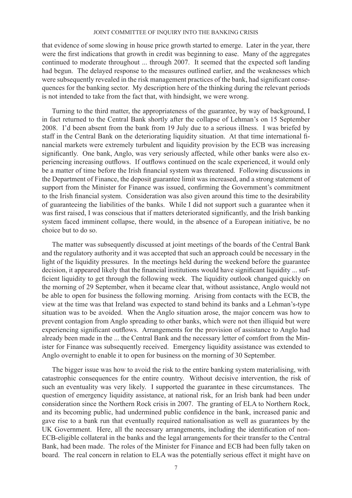that evidence of some slowing in house price growth started to emerge. Later in the year, there were the first indications that growth in credit was beginning to ease. Many of the aggregates continued to moderate throughout ... through 2007. It seemed that the expected soft landing had begun. The delayed response to the measures outlined earlier, and the weaknesses which were subsequently revealed in the risk management practices of the bank, had significant consequences for the banking sector. My description here of the thinking during the relevant periods is not intended to take from the fact that, with hindsight, we were wrong.

Turning to the third matter, the appropriateness of the guarantee, by way of background, I in fact returned to the Central Bank shortly after the collapse of Lehman's on 15 September 2008. I'd been absent from the bank from 19 July due to a serious illness. I was briefed by staff in the Central Bank on the deteriorating liquidity situation. At that time international financial markets were extremely turbulent and liquidity provision by the ECB was increasing significantly. One bank, Anglo, was very seriously affected, while other banks were also experiencing increasing outflows. If outflows continued on the scale experienced, it would only be a matter of time before the Irish financial system was threatened. Following discussions in the Department of Finance, the deposit guarantee limit was increased, and a strong statement of support from the Minister for Finance was issued, confirming the Government's commitment to the Irish financial system. Consideration was also given around this time to the desirability of guaranteeing the liabilities of the banks. While I did not support such a guarantee when it was first raised, I was conscious that if matters deteriorated significantly, and the Irish banking system faced imminent collapse, there would, in the absence of a European initiative, be no choice but to do so.

The matter was subsequently discussed at joint meetings of the boards of the Central Bank and the regulatory authority and it was accepted that such an approach could be necessary in the light of the liquidity pressures. In the meetings held during the weekend before the guarantee decision, it appeared likely that the financial institutions would have significant liquidity ... sufficient liquidity to get through the following week. The liquidity outlook changed quickly on the morning of 29 September, when it became clear that, without assistance, Anglo would not be able to open for business the following morning. Arising from contacts with the ECB, the view at the time was that Ireland was expected to stand behind its banks and a Lehman's-type situation was to be avoided. When the Anglo situation arose, the major concern was how to prevent contagion from Anglo spreading to other banks, which were not then illiquid but were experiencing significant outflows. Arrangements for the provision of assistance to Anglo had already been made in the ... the Central Bank and the necessary letter of comfort from the Minister for Finance was subsequently received. Emergency liquidity assistance was extended to Anglo overnight to enable it to open for business on the morning of 30 September.

The bigger issue was how to avoid the risk to the entire banking system materialising, with catastrophic consequences for the entire country. Without decisive intervention, the risk of such an eventuality was very likely. I supported the guarantee in these circumstances. The question of emergency liquidity assistance, at national risk, for an Irish bank had been under consideration since the Northern Rock crisis in 2007. The granting of ELA to Northern Rock, and its becoming public, had undermined public confidence in the bank, increased panic and gave rise to a bank run that eventually required nationalisation as well as guarantees by the UK Government. Here, all the necessary arrangements, including the identification of non-ECB-eligible collateral in the banks and the legal arrangements for their transfer to the Central Bank, had been made. The roles of the Minister for Finance and ECB had been fully taken on board. The real concern in relation to ELA was the potentially serious effect it might have on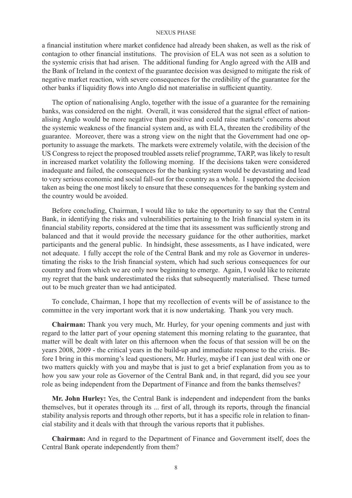a financial institution where market confidence had already been shaken, as well as the risk of contagion to other financial institutions. The provision of ELA was not seen as a solution to the systemic crisis that had arisen. The additional funding for Anglo agreed with the AIB and the Bank of Ireland in the context of the guarantee decision was designed to mitigate the risk of negative market reaction, with severe consequences for the credibility of the guarantee for the other banks if liquidity flows into Anglo did not materialise in sufficient quantity.

The option of nationalising Anglo, together with the issue of a guarantee for the remaining banks, was considered on the night. Overall, it was considered that the signal effect of nationalising Anglo would be more negative than positive and could raise markets' concerns about the systemic weakness of the financial system and, as with ELA, threaten the credibility of the guarantee. Moreover, there was a strong view on the night that the Government had one opportunity to assuage the markets. The markets were extremely volatile, with the decision of the US Congress to reject the proposed troubled assets relief programme, TARP, was likely to result in increased market volatility the following morning. If the decisions taken were considered inadequate and failed, the consequences for the banking system would be devastating and lead to very serious economic and social fall-out for the country as a whole. I supported the decision taken as being the one most likely to ensure that these consequences for the banking system and the country would be avoided.

Before concluding, Chairman, I would like to take the opportunity to say that the Central Bank, in identifying the risks and vulnerabilities pertaining to the Irish financial system in its financial stability reports, considered at the time that its assessment was sufficiently strong and balanced and that it would provide the necessary guidance for the other authorities, market participants and the general public. In hindsight, these assessments, as I have indicated, were not adequate. I fully accept the role of the Central Bank and my role as Governor in underestimating the risks to the Irish financial system, which had such serious consequences for our country and from which we are only now beginning to emerge. Again, I would like to reiterate my regret that the bank underestimated the risks that subsequently materialised. These turned out to be much greater than we had anticipated.

To conclude, Chairman, I hope that my recollection of events will be of assistance to the committee in the very important work that it is now undertaking. Thank you very much.

**Chairman:** Thank you very much, Mr. Hurley, for your opening comments and just with regard to the latter part of your opening statement this morning relating to the guarantee, that matter will be dealt with later on this afternoon when the focus of that session will be on the years 2008, 2009 - the critical years in the build-up and immediate response to the crisis. Before I bring in this morning's lead questioners, Mr. Hurley, maybe if I can just deal with one or two matters quickly with you and maybe that is just to get a brief explanation from you as to how you saw your role as Governor of the Central Bank and, in that regard, did you see your role as being independent from the Department of Finance and from the banks themselves?

**Mr. John Hurley:** Yes, the Central Bank is independent and independent from the banks themselves, but it operates through its ... first of all, through its reports, through the financial stability analysis reports and through other reports, but it has a specific role in relation to financial stability and it deals with that through the various reports that it publishes.

**Chairman:** And in regard to the Department of Finance and Government itself, does the Central Bank operate independently from them?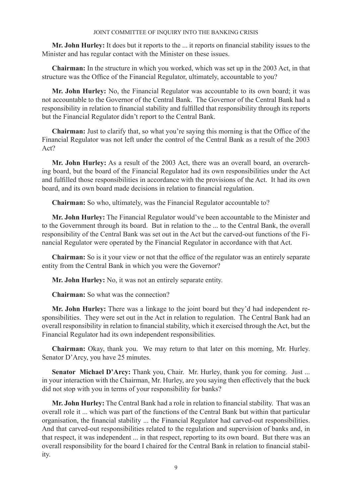**Mr. John Hurley:** It does but it reports to the ... it reports on financial stability issues to the Minister and has regular contact with the Minister on these issues.

**Chairman:** In the structure in which you worked, which was set up in the 2003 Act, in that structure was the Office of the Financial Regulator, ultimately, accountable to you?

**Mr. John Hurley:** No, the Financial Regulator was accountable to its own board; it was not accountable to the Governor of the Central Bank. The Governor of the Central Bank had a responsibility in relation to financial stability and fulfilled that responsibility through its reports but the Financial Regulator didn't report to the Central Bank.

**Chairman:** Just to clarify that, so what you're saying this morning is that the Office of the Financial Regulator was not left under the control of the Central Bank as a result of the 2003 Act?

**Mr. John Hurley:** As a result of the 2003 Act, there was an overall board, an overarching board, but the board of the Financial Regulator had its own responsibilities under the Act and fulfilled those responsibilities in accordance with the provisions of the Act. It had its own board, and its own board made decisions in relation to financial regulation.

**Chairman:** So who, ultimately, was the Financial Regulator accountable to?

**Mr. John Hurley:** The Financial Regulator would've been accountable to the Minister and to the Government through its board. But in relation to the ... to the Central Bank, the overall responsibility of the Central Bank was set out in the Act but the carved-out functions of the Financial Regulator were operated by the Financial Regulator in accordance with that Act.

**Chairman:** So is it your view or not that the office of the regulator was an entirely separate entity from the Central Bank in which you were the Governor?

**Mr. John Hurley:** No, it was not an entirely separate entity.

**Chairman:** So what was the connection?

**Mr. John Hurley:** There was a linkage to the joint board but they'd had independent responsibilities. They were set out in the Act in relation to regulation. The Central Bank had an overall responsibility in relation to financial stability, which it exercised through the Act, but the Financial Regulator had its own independent responsibilities.

**Chairman:** Okay, thank you. We may return to that later on this morning, Mr. Hurley. Senator D'Arcy, you have 25 minutes.

Senator Michael D'Arcy: Thank you, Chair. Mr. Hurley, thank you for coming. Just ... in your interaction with the Chairman, Mr. Hurley, are you saying then effectively that the buck did not stop with you in terms of your responsibility for banks?

**Mr. John Hurley:** The Central Bank had a role in relation to financial stability. That was an overall role it ... which was part of the functions of the Central Bank but within that particular organisation, the financial stability ... the Financial Regulator had carved-out responsibilities. And that carved-out responsibilities related to the regulation and supervision of banks and, in that respect, it was independent ... in that respect, reporting to its own board. But there was an overall responsibility for the board I chaired for the Central Bank in relation to financial stability.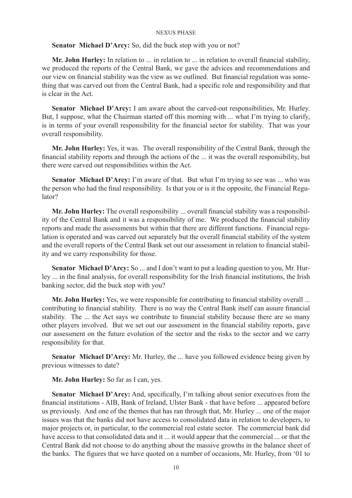# **Senator Michael D'Arcy:** So, did the buck stop with you or not?

**Mr. John Hurley:** In relation to ... in relation to ... in relation to overall financial stability, we produced the reports of the Central Bank, we gave the advices and recommendations and our view on financial stability was the view as we outlined. But financial regulation was something that was carved out from the Central Bank, had a specific role and responsibility and that is clear in the Act.

**Senator Michael D'Arcy:** I am aware about the carved-out responsibilities, Mr. Hurley. But, I suppose, what the Chairman started off this morning with ... what I'm trying to clarify, is in terms of your overall responsibility for the financial sector for stability. That was your overall responsibility.

**Mr. John Hurley:** Yes, it was. The overall responsibility of the Central Bank, through the financial stability reports and through the actions of the ... it was the overall responsibility, but there were carved out responsibilities within the Act.

**Senator Michael D'Arcy:** I'm aware of that. But what I'm trying to see was ... who was the person who had the final responsibility. Is that you or is it the opposite, the Financial Regulator?

**Mr. John Hurley:** The overall responsibility ... overall financial stability was a responsibility of the Central Bank and it was a responsibility of me. We produced the financial stability reports and made the assessments but within that there are different functions. Financial regulation is operated and was carved out separately but the overall financial stability of the system and the overall reports of the Central Bank set out our assessment in relation to financial stability and we carry responsibility for those.

**Senator Michael D'Arcy:** So ... and I don't want to put a leading question to you, Mr. Hurley ... in the final analysis, for overall responsibility for the Irish financial institutions, the Irish banking sector, did the buck stop with you?

**Mr. John Hurley:** Yes, we were responsible for contributing to financial stability overall ... contributing to financial stability. There is no way the Central Bank itself can assure financial stability. The ... the Act says we contribute to financial stability because there are so many other players involved. But we set out our assessment in the financial stability reports, gave our assessment on the future evolution of the sector and the risks to the sector and we carry responsibility for that.

**Senator Michael D'Arcy:** Mr. Hurley, the ... have you followed evidence being given by previous witnesses to date?

**Mr. John Hurley:** So far as I can, yes.

**Senator Michael D'Arcy:** And, specifically, I'm talking about senior executives from the financial institutions - AIB, Bank of Ireland, Ulster Bank - that have before ... appeared before us previously. And one of the themes that has ran through that, Mr. Hurley ... one of the major issues was that the banks did not have access to consolidated data in relation to developers, to major projects or, in particular, to the commercial real estate sector. The commercial bank did have access to that consolidated data and it ... it would appear that the commercial ... or that the Central Bank did not choose to do anything about the massive growths in the balance sheet of the banks. The figures that we have quoted on a number of occasions, Mr. Hurley, from '01 to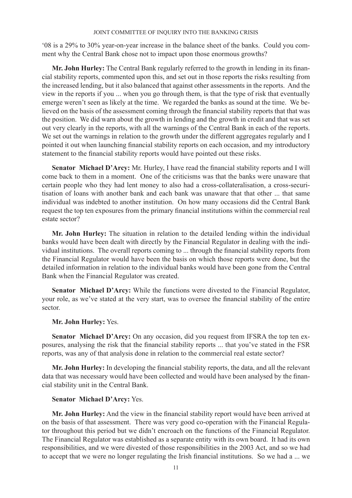'08 is a 29% to 30% year-on-year increase in the balance sheet of the banks. Could you comment why the Central Bank chose not to impact upon those enormous growths?

**Mr. John Hurley:** The Central Bank regularly referred to the growth in lending in its financial stability reports, commented upon this, and set out in those reports the risks resulting from the increased lending, but it also balanced that against other assessments in the reports. And the view in the reports if you ... when you go through them, is that the type of risk that eventually emerge weren't seen as likely at the time. We regarded the banks as sound at the time. We believed on the basis of the assessment coming through the financial stability reports that that was the position. We did warn about the growth in lending and the growth in credit and that was set out very clearly in the reports, with all the warnings of the Central Bank in each of the reports. We set out the warnings in relation to the growth under the different aggregates regularly and I pointed it out when launching financial stability reports on each occasion, and my introductory statement to the financial stability reports would have pointed out these risks.

**Senator Michael D'Arcy:** Mr. Hurley, I have read the financial stability reports and I will come back to them in a moment. One of the criticisms was that the banks were unaware that certain people who they had lent money to also had a cross-collateralisation, a cross-securitisation of loans with another bank and each bank was unaware that that other ... that same individual was indebted to another institution. On how many occasions did the Central Bank request the top ten exposures from the primary financial institutions within the commercial real estate sector?

**Mr. John Hurley:** The situation in relation to the detailed lending within the individual banks would have been dealt with directly by the Financial Regulator in dealing with the individual institutions. The overall reports coming to ... through the financial stability reports from the Financial Regulator would have been the basis on which those reports were done, but the detailed information in relation to the individual banks would have been gone from the Central Bank when the Financial Regulator was created.

**Senator Michael D'Arcy:** While the functions were divested to the Financial Regulator, your role, as we've stated at the very start, was to oversee the financial stability of the entire sector.

# **Mr. John Hurley:** Yes.

**Senator Michael D'Arcy:** On any occasion, did you request from IFSRA the top ten exposures, analysing the risk that the financial stability reports ... that you've stated in the FSR reports, was any of that analysis done in relation to the commercial real estate sector?

**Mr. John Hurley:** In developing the financial stability reports, the data, and all the relevant data that was necessary would have been collected and would have been analysed by the financial stability unit in the Central Bank.

# **Senator Michael D'Arcy:** Yes.

**Mr. John Hurley:** And the view in the financial stability report would have been arrived at on the basis of that assessment. There was very good co-operation with the Financial Regulator throughout this period but we didn't encroach on the functions of the Financial Regulator. The Financial Regulator was established as a separate entity with its own board. It had its own responsibilities, and we were divested of those responsibilities in the 2003 Act, and so we had to accept that we were no longer regulating the Irish financial institutions. So we had a ... we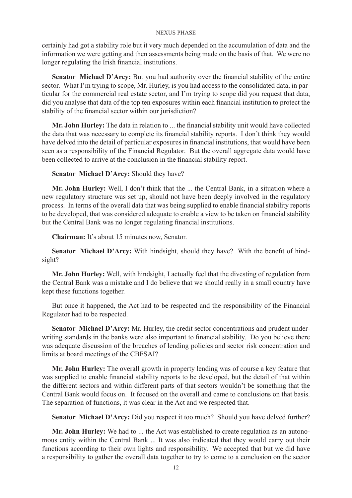certainly had got a stability role but it very much depended on the accumulation of data and the information we were getting and then assessments being made on the basis of that. We were no longer regulating the Irish financial institutions.

**Senator Michael D'Arcy:** But you had authority over the financial stability of the entire sector. What I'm trying to scope, Mr. Hurley, is you had access to the consolidated data, in particular for the commercial real estate sector, and I'm trying to scope did you request that data, did you analyse that data of the top ten exposures within each financial institution to protect the stability of the financial sector within our jurisdiction?

**Mr. John Hurley:** The data in relation to ... the financial stability unit would have collected the data that was necessary to complete its financial stability reports. I don't think they would have delved into the detail of particular exposures in financial institutions, that would have been seen as a responsibility of the Financial Regulator. But the overall aggregate data would have been collected to arrive at the conclusion in the financial stability report.

**Senator Michael D'Arcy:** Should they have?

**Mr. John Hurley:** Well, I don't think that the ... the Central Bank, in a situation where a new regulatory structure was set up, should not have been deeply involved in the regulatory process. In terms of the overall data that was being supplied to enable financial stability reports to be developed, that was considered adequate to enable a view to be taken on financial stability but the Central Bank was no longer regulating financial institutions.

**Chairman:** It's about 15 minutes now, Senator.

**Senator Michael D'Arcy:** With hindsight, should they have? With the benefit of hindsight?

**Mr. John Hurley:** Well, with hindsight, I actually feel that the divesting of regulation from the Central Bank was a mistake and I do believe that we should really in a small country have kept these functions together.

But once it happened, the Act had to be respected and the responsibility of the Financial Regulator had to be respected.

**Senator Michael D'Arcy:** Mr. Hurley, the credit sector concentrations and prudent underwriting standards in the banks were also important to financial stability. Do you believe there was adequate discussion of the breaches of lending policies and sector risk concentration and limits at board meetings of the CBFSAI?

**Mr. John Hurley:** The overall growth in property lending was of course a key feature that was supplied to enable financial stability reports to be developed, but the detail of that within the different sectors and within different parts of that sectors wouldn't be something that the Central Bank would focus on. It focused on the overall and came to conclusions on that basis. The separation of functions, it was clear in the Act and we respected that.

**Senator Michael D'Arcy:** Did you respect it too much? Should you have delved further?

**Mr. John Hurley:** We had to ... the Act was established to create regulation as an autonomous entity within the Central Bank ... It was also indicated that they would carry out their functions according to their own lights and responsibility. We accepted that but we did have a responsibility to gather the overall data together to try to come to a conclusion on the sector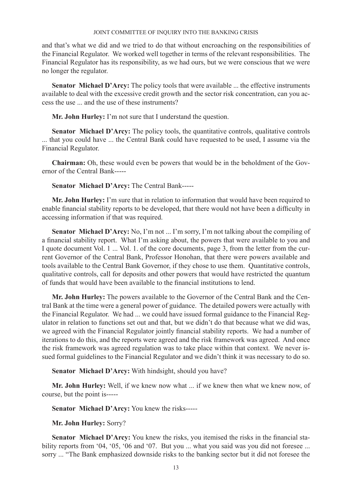and that's what we did and we tried to do that without encroaching on the responsibilities of the Financial Regulator. We worked well together in terms of the relevant responsibilities. The Financial Regulator has its responsibility, as we had ours, but we were conscious that we were no longer the regulator.

**Senator Michael D'Arcy:** The policy tools that were available ... the effective instruments available to deal with the excessive credit growth and the sector risk concentration, can you access the use ... and the use of these instruments?

**Mr. John Hurley:** I'm not sure that I understand the question.

**Senator Michael D'Arcy:** The policy tools, the quantitative controls, qualitative controls ... that you could have ... the Central Bank could have requested to be used, I assume via the Financial Regulator.

**Chairman:** Oh, these would even be powers that would be in the beholdment of the Governor of the Central Bank-----

# **Senator Michael D'Arcy:** The Central Bank-----

**Mr. John Hurley:** I'm sure that in relation to information that would have been required to enable financial stability reports to be developed, that there would not have been a difficulty in accessing information if that was required.

Senator Michael D'Arcy: No, I'm not ... I'm sorry, I'm not talking about the compiling of a financial stability report. What I'm asking about, the powers that were available to you and I quote document Vol. 1 ... Vol. 1. of the core documents, page 3, from the letter from the current Governor of the Central Bank, Professor Honohan, that there were powers available and tools available to the Central Bank Governor, if they chose to use them. Quantitative controls, qualitative controls, call for deposits and other powers that would have restricted the quantum of funds that would have been available to the financial institutions to lend.

**Mr. John Hurley:** The powers available to the Governor of the Central Bank and the Central Bank at the time were a general power of guidance. The detailed powers were actually with the Financial Regulator. We had ... we could have issued formal guidance to the Financial Regulator in relation to functions set out and that, but we didn't do that because what we did was, we agreed with the Financial Regulator jointly financial stability reports. We had a number of iterations to do this, and the reports were agreed and the risk framework was agreed. And once the risk framework was agreed regulation was to take place within that context. We never issued formal guidelines to the Financial Regulator and we didn't think it was necessary to do so.

**Senator Michael D'Arcy:** With hindsight, should you have?

**Mr. John Hurley:** Well, if we knew now what ... if we knew then what we knew now, of course, but the point is-----

**Senator Michael D'Arcy:** You knew the risks-----

**Mr. John Hurley:** Sorry?

**Senator Michael D'Arcy:** You knew the risks, you itemised the risks in the financial stability reports from '04, '05, '06 and '07. But you ... what you said was you did not foresee ... sorry ... "The Bank emphasized downside risks to the banking sector but it did not foresee the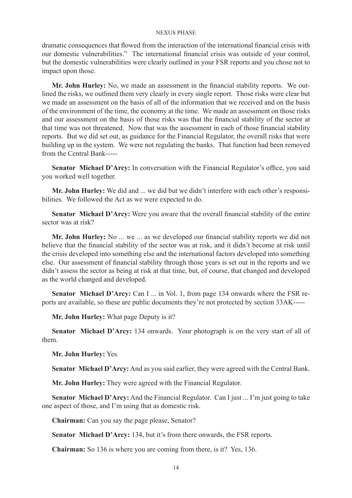dramatic consequences that flowed from the interaction of the international financial crisis with our domestic vulnerabilities." The international financial crisis was outside of your control, but the domestic vulnerabilities were clearly outlined in your FSR reports and you chose not to impact upon those.

**Mr. John Hurley:** No, we made an assessment in the financial stability reports. We outlined the risks, we outlined them very clearly in every single report. Those risks were clear but we made an assessment on the basis of all of the information that we received and on the basis of the environment of the time, the economy at the time. We made an assessment on those risks and our assessment on the basis of those risks was that the financial stability of the sector at that time was not threatened. Now that was the assessment in each of those financial stability reports. But we did set out, as guidance for the Financial Regulator, the overall risks that were building up in the system. We were not regulating the banks. That function had been removed from the Central Bank-----

Senator Michael D'Arcy: In conversation with the Financial Regulator's office, you said you worked well together.

**Mr. John Hurley:** We did and ... we did but we didn't interfere with each other's responsibilities. We followed the Act as we were expected to do.

**Senator Michael D'Arcy:** Were you aware that the overall financial stability of the entire sector was at risk?

**Mr. John Hurley:** No ... we ... as we developed our financial stability reports we did not believe that the financial stability of the sector was at risk, and it didn't become at risk until the crisis developed into something else and the international factors developed into something else. Our assessment of financial stability through those years is set out in the reports and we didn't assess the sector as being at risk at that time, but, of course, that changed and developed as the world changed and developed.

**Senator Michael D'Arcy:** Can I ... in Vol. 1, from page 134 onwards where the FSR reports are available, so these are public documents they're not protected by section 33AK-----

**Mr. John Hurley:** What page Deputy is it?

**Senator Michael D'Arcy:** 134 onwards. Your photograph is on the very start of all of them.

**Mr. John Hurley:** Yes.

**Senator Michael D'Arcy:** And as you said earlier, they were agreed with the Central Bank.

**Mr. John Hurley:** They were agreed with the Financial Regulator.

**Senator Michael D'Arcy:** And the Financial Regulator. Can I just ... I'm just going to take one aspect of those, and I'm using that as domestic risk.

**Chairman:** Can you say the page please, Senator?

**Senator Michael D'Arcy:** 134, but it's from there onwards, the FSR reports.

**Chairman:** So 136 is where you are coming from there, is it? Yes, 136.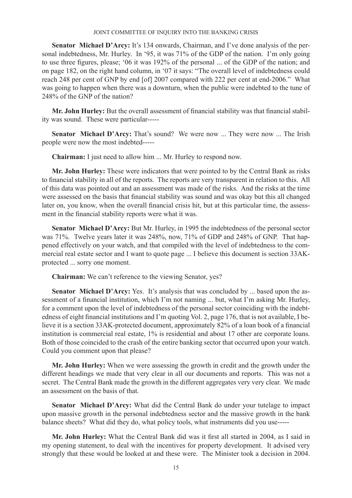Senator Michael D'Arcy: It's 134 onwards, Chairman, and I've done analysis of the personal indebtedness, Mr. Hurley. In '95, it was 71% of the GDP of the nation. I'm only going to use three figures, please; '06 it was 192% of the personal ... of the GDP of the nation; and on page 182, on the right hand column, in '07 it says: "The overall level of indebtedness could reach 248 per cent of GNP by end [of] 2007 compared with 222 per cent at end-2006." What was going to happen when there was a downturn, when the public were indebted to the tune of 248% of the GNP of the nation?

**Mr. John Hurley:** But the overall assessment of financial stability was that financial stability was sound. These were particular-----

**Senator Michael D'Arcy:** That's sound? We were now ... They were now ... The Irish people were now the most indebted-----

**Chairman:** I just need to allow him ... Mr. Hurley to respond now.

**Mr. John Hurley:** These were indicators that were pointed to by the Central Bank as risks to financial stability in all of the reports. The reports are very transparent in relation to this. All of this data was pointed out and an assessment was made of the risks. And the risks at the time were assessed on the basis that financial stability was sound and was okay but this all changed later on, you know, when the overall financial crisis hit, but at this particular time, the assessment in the financial stability reports were what it was.

**Senator Michael D'Arcy:** But Mr. Hurley, in 1995 the indebtedness of the personal sector was 71%. Twelve years later it was 248%, now, 71% of GDP and 248% of GNP. That happened effectively on your watch, and that compiled with the level of indebtedness to the commercial real estate sector and I want to quote page ... I believe this document is section 33AKprotected ... sorry one moment.

**Chairman:** We can't reference to the viewing Senator, yes?

**Senator Michael D'Arcy:** Yes. It's analysis that was concluded by ... based upon the assessment of a financial institution, which I'm not naming ... but, what I'm asking Mr. Hurley, for a comment upon the level of indebtedness of the personal sector coinciding with the indebtedness of eight financial institutions and I'm quoting Vol. 2, page 176, that is not available, I believe it is a section 33AK-protected document, approximately 82% of a loan book of a financial institution is commercial real estate, 1% is residential and about 17 other are corporate loans. Both of those coincided to the crash of the entire banking sector that occurred upon your watch. Could you comment upon that please?

**Mr. John Hurley:** When we were assessing the growth in credit and the growth under the different headings we made that very clear in all our documents and reports. This was not a secret. The Central Bank made the growth in the different aggregates very very clear. We made an assessment on the basis of that.

**Senator Michael D'Arcy:** What did the Central Bank do under your tutelage to impact upon massive growth in the personal indebtedness sector and the massive growth in the bank balance sheets? What did they do, what policy tools, what instruments did you use-----

**Mr. John Hurley:** What the Central Bank did was it first all started in 2004, as I said in my opening statement, to deal with the incentives for property development. It advised very strongly that these would be looked at and these were. The Minister took a decision in 2004.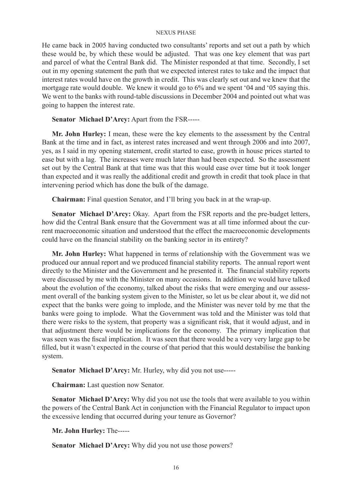He came back in 2005 having conducted two consultants' reports and set out a path by which these would be, by which these would be adjusted. That was one key element that was part and parcel of what the Central Bank did. The Minister responded at that time. Secondly, I set out in my opening statement the path that we expected interest rates to take and the impact that interest rates would have on the growth in credit. This was clearly set out and we knew that the mortgage rate would double. We knew it would go to 6% and we spent '04 and '05 saying this. We went to the banks with round-table discussions in December 2004 and pointed out what was going to happen the interest rate.

**Senator Michael D'Arcy:** Apart from the FSR-----

**Mr. John Hurley:** I mean, these were the key elements to the assessment by the Central Bank at the time and in fact, as interest rates increased and went through 2006 and into 2007, yes, as I said in my opening statement, credit started to ease, growth in house prices started to ease but with a lag. The increases were much later than had been expected. So the assessment set out by the Central Bank at that time was that this would ease over time but it took longer than expected and it was really the additional credit and growth in credit that took place in that intervening period which has done the bulk of the damage.

**Chairman:** Final question Senator, and I'll bring you back in at the wrap-up.

**Senator Michael D'Arcy:** Okay. Apart from the FSR reports and the pre-budget letters, how did the Central Bank ensure that the Government was at all time informed about the current macroeconomic situation and understood that the effect the macroeconomic developments could have on the financial stability on the banking sector in its entirety?

**Mr. John Hurley:** What happened in terms of relationship with the Government was we produced our annual report and we produced financial stability reports. The annual report went directly to the Minister and the Government and he presented it. The financial stability reports were discussed by me with the Minister on many occasions. In addition we would have talked about the evolution of the economy, talked about the risks that were emerging and our assessment overall of the banking system given to the Minister, so let us be clear about it, we did not expect that the banks were going to implode, and the Minister was never told by me that the banks were going to implode. What the Government was told and the Minister was told that there were risks to the system, that property was a significant risk, that it would adjust, and in that adjustment there would be implications for the economy. The primary implication that was seen was the fiscal implication. It was seen that there would be a very very large gap to be filled, but it wasn't expected in the course of that period that this would destabilise the banking system.

**Senator Michael D'Arcy:** Mr. Hurley, why did you not use-----

**Chairman:** Last question now Senator.

**Senator Michael D'Arcy:** Why did you not use the tools that were available to you within the powers of the Central Bank Act in conjunction with the Financial Regulator to impact upon the excessive lending that occurred during your tenure as Governor?

**Mr. John Hurley:** The-----

**Senator Michael D'Arcy:** Why did you not use those powers?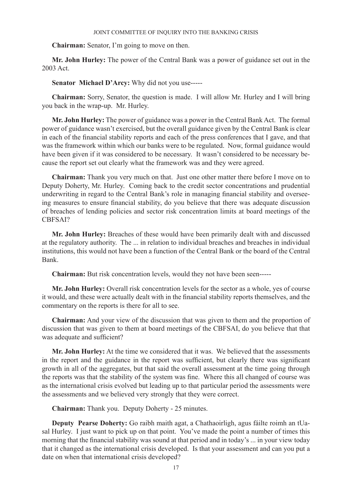**Chairman:** Senator, I'm going to move on then.

**Mr. John Hurley:** The power of the Central Bank was a power of guidance set out in the 2003 Act.

**Senator Michael D'Arcy:** Why did not you use-----

**Chairman:** Sorry, Senator, the question is made. I will allow Mr. Hurley and I will bring you back in the wrap-up. Mr. Hurley.

**Mr. John Hurley:** The power of guidance was a power in the Central Bank Act. The formal power of guidance wasn't exercised, but the overall guidance given by the Central Bank is clear in each of the financial stability reports and each of the press conferences that I gave, and that was the framework within which our banks were to be regulated. Now, formal guidance would have been given if it was considered to be necessary. It wasn't considered to be necessary because the report set out clearly what the framework was and they were agreed.

**Chairman:** Thank you very much on that. Just one other matter there before I move on to Deputy Doherty, Mr. Hurley. Coming back to the credit sector concentrations and prudential underwriting in regard to the Central Bank's role in managing financial stability and overseeing measures to ensure financial stability, do you believe that there was adequate discussion of breaches of lending policies and sector risk concentration limits at board meetings of the CBFSAI?

**Mr. John Hurley:** Breaches of these would have been primarily dealt with and discussed at the regulatory authority. The ... in relation to individual breaches and breaches in individual institutions, this would not have been a function of the Central Bank or the board of the Central Bank.

**Chairman:** But risk concentration levels, would they not have been seen-----

**Mr. John Hurley:** Overall risk concentration levels for the sector as a whole, yes of course it would, and these were actually dealt with in the financial stability reports themselves, and the commentary on the reports is there for all to see.

**Chairman:** And your view of the discussion that was given to them and the proportion of discussion that was given to them at board meetings of the CBFSAI, do you believe that that was adequate and sufficient?

**Mr. John Hurley:** At the time we considered that it was. We believed that the assessments in the report and the guidance in the report was sufficient, but clearly there was significant growth in all of the aggregates, but that said the overall assessment at the time going through the reports was that the stability of the system was fine. Where this all changed of course was as the international crisis evolved but leading up to that particular period the assessments were the assessments and we believed very strongly that they were correct.

**Chairman:** Thank you. Deputy Doherty - 25 minutes.

**Deputy Pearse Doherty:** Go raibh maith agat, a Chathaoirligh, agus fáilte roimh an tUasal Hurley. I just want to pick up on that point. You've made the point a number of times this morning that the financial stability was sound at that period and in today's ... in your view today that it changed as the international crisis developed. Is that your assessment and can you put a date on when that international crisis developed?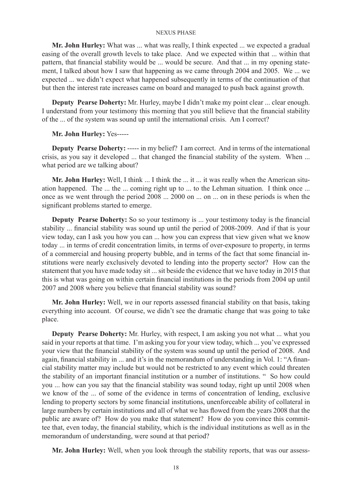**Mr. John Hurley:** What was ... what was really, I think expected ... we expected a gradual easing of the overall growth levels to take place. And we expected within that ... within that pattern, that financial stability would be ... would be secure. And that ... in my opening statement, I talked about how I saw that happening as we came through 2004 and 2005. We ... we expected ... we didn't expect what happened subsequently in terms of the continuation of that but then the interest rate increases came on board and managed to push back against growth.

**Deputy Pearse Doherty:** Mr. Hurley, maybe I didn't make my point clear ... clear enough. I understand from your testimony this morning that you still believe that the financial stability of the ... of the system was sound up until the international crisis. Am I correct?

# **Mr. John Hurley:** Yes-----

**Deputy Pearse Doherty:** ----- in my belief? I am correct. And in terms of the international crisis, as you say it developed ... that changed the financial stability of the system. When ... what period are we talking about?

**Mr. John Hurley:** Well, I think ... I think the ... it ... it was really when the American situation happened. The ... the ... coming right up to ... to the Lehman situation. I think once ... once as we went through the period 2008 ... 2000 on ... on ... on in these periods is when the significant problems started to emerge.

**Deputy Pearse Doherty:** So so your testimony is ... your testimony today is the financial stability ... financial stability was sound up until the period of 2008-2009. And if that is your view today, can I ask you how you can ... how you can express that view given what we know today ... in terms of credit concentration limits, in terms of over-exposure to property, in terms of a commercial and housing property bubble, and in terms of the fact that some financial institutions were nearly exclusively devoted to lending into the property sector? How can the statement that you have made today sit ... sit beside the evidence that we have today in 2015 that this is what was going on within certain financial institutions in the periods from 2004 up until 2007 and 2008 where you believe that financial stability was sound?

**Mr. John Hurley:** Well, we in our reports assessed financial stability on that basis, taking everything into account. Of course, we didn't see the dramatic change that was going to take place.

**Deputy Pearse Doherty:** Mr. Hurley, with respect, I am asking you not what ... what you said in your reports at that time. I'm asking you for your view today, which ... you've expressed your view that the financial stability of the system was sound up until the period of 2008. And again, financial stability in ... and it's in the memorandum of understanding in Vol. 1: "A financial stability matter may include but would not be restricted to any event which could threaten the stability of an important financial institution or a number of institutions. " So how could you ... how can you say that the financial stability was sound today, right up until 2008 when we know of the ... of some of the evidence in terms of concentration of lending, exclusive lending to property sectors by some financial institutions, unenforceable ability of collateral in large numbers by certain institutions and all of what we has flowed from the years 2008 that the public are aware of? How do you make that statement? How do you convince this committee that, even today, the financial stability, which is the individual institutions as well as in the memorandum of understanding, were sound at that period?

**Mr. John Hurley:** Well, when you look through the stability reports, that was our assess-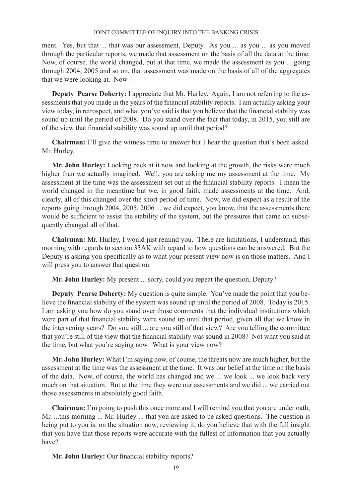ment. Yes, but that ... that was our assessment, Deputy. As you ... as you ... as you moved through the particular reports, we made that assessment on the basis of all the data at the time. Now, of course, the world changed, but at that time, we made the assessment as you ... going through 2004, 2005 and so on, that assessment was made on the basis of all of the aggregates that we were looking at. Now-----

**Deputy Pearse Doherty:** I appreciate that Mr. Hurley. Again, I am not referring to the assessments that you made in the years of the financial stability reports. I am actually asking your view today, in retrospect, and what you've said is that you believe that the financial stability was sound up until the period of 2008. Do you stand over the fact that today, in 2015, you still are of the view that financial stability was sound up until that period?

**Chairman:** I'll give the witness time to answer but I hear the question that's been asked. Mr. Hurley.

**Mr. John Hurley:** Looking back at it now and looking at the growth, the risks were much higher than we actually imagined. Well, you are asking me my assessment at the time. My assessment at the time was the assessment set out in the financial stability reports. I mean the world changed in the meantime but we, in good faith, made assessments at the time. And, clearly, all of this changed over the short period of time. Now, we did expect as a result of the reports going through 2004, 2005, 2006 ... we did expect, you know, that the assessments there would be sufficient to assist the stability of the system, but the pressures that came on subsequently changed all of that.

**Chairman:** Mr. Hurley, I would just remind you. There are limitations, I understand, this morning with regards to section 33AK with regard to how questions can be answered. But the Deputy is asking you specifically as to what your present view now is on those matters. And I will press you to answer that question.

**Mr. John Hurley:** My present ... sorry, could you repeat the question, Deputy?

**Deputy Pearse Doherty:** My question is quite simple. You've made the point that you believe the financial stability of the system was sound up until the period of 2008. Today is 2015. I am asking you how do you stand over those comments that the individual institutions which were part of that financial stability were sound up until that period, given all that we know in the intervening years? Do you still ... are you still of that view? Are you telling the committee that you're still of the view that the financial stability was sound in 2008? Not what you said at the time, but what you're saying now. What is your view now?

**Mr. John Hurley:** What I'm saying now, of course, the threats now are much higher, but the assessment at the time was the assessment at the time. It was our belief at the time on the basis of the data. Now, of course, the world has changed and we ... we look ... we look back very much on that situation. But at the time they were our assessments and we did ... we carried out those assessments in absolutely good faith.

**Chairman:** I'm going to push this once more and I will remind you that you are under oath, Mr. ...this morning ... Mr. Hurley ... that you are asked to be asked questions. The question is being put to you is: on the situation now, reviewing it, do you believe that with the full insight that you have that those reports were accurate with the fullest of information that you actually have?

**Mr. John Hurley:** Our financial stability reports?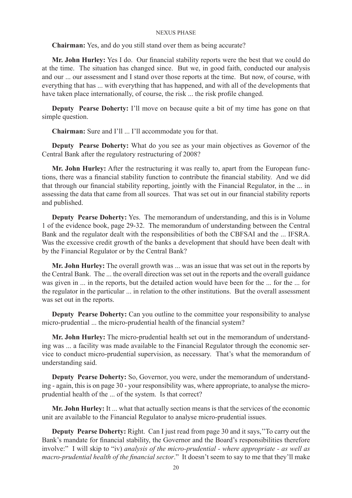**Chairman:** Yes, and do you still stand over them as being accurate?

**Mr. John Hurley:** Yes I do. Our financial stability reports were the best that we could do at the time. The situation has changed since. But we, in good faith, conducted our analysis and our ... our assessment and I stand over those reports at the time. But now, of course, with everything that has ... with everything that has happened, and with all of the developments that have taken place internationally, of course, the risk ... the risk profile changed.

**Deputy Pearse Doherty:** I'll move on because quite a bit of my time has gone on that simple question.

**Chairman:** Sure and I'll ... I'll accommodate you for that.

**Deputy Pearse Doherty:** What do you see as your main objectives as Governor of the Central Bank after the regulatory restructuring of 2008?

**Mr. John Hurley:** After the restructuring it was really to, apart from the European functions, there was a financial stability function to contribute the financial stability. And we did that through our financial stability reporting, jointly with the Financial Regulator, in the ... in assessing the data that came from all sources. That was set out in our financial stability reports and published.

**Deputy Pearse Doherty:** Yes. The memorandum of understanding, and this is in Volume 1 of the evidence book, page 29-32. The memorandum of understanding between the Central Bank and the regulator dealt with the responsibilities of both the CBFSAI and the ... IFSRA. Was the excessive credit growth of the banks a development that should have been dealt with by the Financial Regulator or by the Central Bank?

**Mr. John Hurley:** The overall growth was ... was an issue that was set out in the reports by the Central Bank. The ... the overall direction was set out in the reports and the overall guidance was given in ... in the reports, but the detailed action would have been for the ... for the ... for the regulator in the particular ... in relation to the other institutions. But the overall assessment was set out in the reports.

**Deputy Pearse Doherty:** Can you outline to the committee your responsibility to analyse micro-prudential ... the micro-prudential health of the financial system?

**Mr. John Hurley:** The micro-prudential health set out in the memorandum of understanding was ... a facility was made available to the Financial Regulator through the economic service to conduct micro-prudential supervision, as necessary. That's what the memorandum of understanding said.

**Deputy Pearse Doherty:** So, Governor, you were, under the memorandum of understanding - again, this is on page 30 - your responsibility was, where appropriate, to analyse the microprudential health of the ... of the system. Is that correct?

**Mr. John Hurley:** It ... what that actually section means is that the services of the economic unit are available to the Financial Regulator to analyse micro-prudential issues.

**Deputy Pearse Doherty:** Right. Can I just read from page 30 and it says,''To carry out the Bank's mandate for financial stability, the Governor and the Board's responsibilities therefore involve:" I will skip to "iv) *analysis of the micro-prudential - where appropriate - as well as macro-prudential health of the financial sector*." It doesn't seem to say to me that they'll make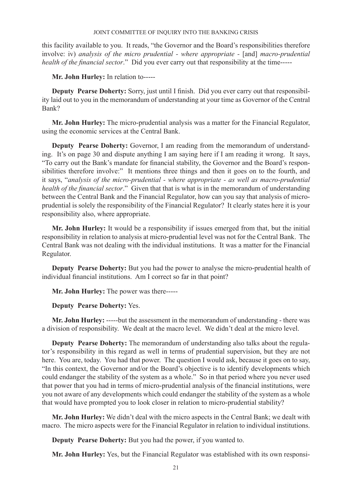this facility available to you. It reads, "the Governor and the Board's responsibilities therefore involve: iv) *analysis of the micro prudential - where appropriate -* [and] *macro-prudential health of the financial sector*." Did you ever carry out that responsibility at the time-----

**Mr. John Hurley:** In relation to-----

**Deputy Pearse Doherty:** Sorry, just until I finish. Did you ever carry out that responsibility laid out to you in the memorandum of understanding at your time as Governor of the Central Bank?

**Mr. John Hurley:** The micro-prudential analysis was a matter for the Financial Regulator, using the economic services at the Central Bank.

**Deputy Pearse Doherty:** Governor, I am reading from the memorandum of understanding. It's on page 30 and dispute anything I am saying here if I am reading it wrong. It says, "To carry out the Bank's mandate for financial stability, the Governor and the Board's responsibilities therefore involve:" It mentions three things and then it goes on to the fourth, and it says, "*analysis of the micro-prudential - where appropriate - as well as macro-prudential health of the financial sector*." Given that that is what is in the memorandum of understanding between the Central Bank and the Financial Regulator, how can you say that analysis of microprudential is solely the responsibility of the Financial Regulator? It clearly states here it is your responsibility also, where appropriate.

**Mr. John Hurley:** It would be a responsibility if issues emerged from that, but the initial responsibility in relation to analysis at micro-prudential level was not for the Central Bank. The Central Bank was not dealing with the individual institutions. It was a matter for the Financial Regulator.

**Deputy Pearse Doherty:** But you had the power to analyse the micro-prudential health of individual financial institutions. Am I correct so far in that point?

**Mr. John Hurley:** The power was there-----

**Deputy Pearse Doherty:** Yes.

**Mr. John Hurley:** -----but the assessment in the memorandum of understanding - there was a division of responsibility. We dealt at the macro level. We didn't deal at the micro level.

**Deputy Pearse Doherty:** The memorandum of understanding also talks about the regulator's responsibility in this regard as well in terms of prudential supervision, but they are not here. You are, today. You had that power. The question I would ask, because it goes on to say, "In this context, the Governor and/or the Board's objective is to identify developments which could endanger the stability of the system as a whole." So in that period where you never used that power that you had in terms of micro-prudential analysis of the financial institutions, were you not aware of any developments which could endanger the stability of the system as a whole that would have prompted you to look closer in relation to micro-prudential stability?

**Mr. John Hurley:** We didn't deal with the micro aspects in the Central Bank; we dealt with macro. The micro aspects were for the Financial Regulator in relation to individual institutions.

**Deputy Pearse Doherty:** But you had the power, if you wanted to.

**Mr. John Hurley:** Yes, but the Financial Regulator was established with its own responsi-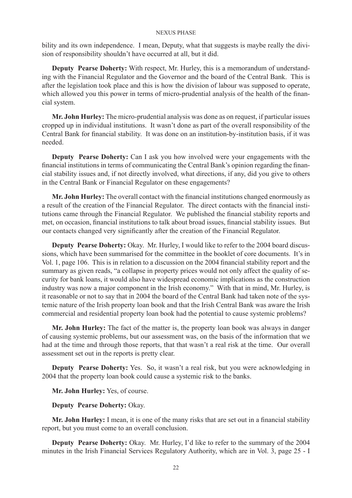bility and its own independence. I mean, Deputy, what that suggests is maybe really the division of responsibility shouldn't have occurred at all, but it did.

**Deputy Pearse Doherty:** With respect, Mr. Hurley, this is a memorandum of understanding with the Financial Regulator and the Governor and the board of the Central Bank. This is after the legislation took place and this is how the division of labour was supposed to operate, which allowed you this power in terms of micro-prudential analysis of the health of the financial system.

**Mr. John Hurley:** The micro-prudential analysis was done as on request, if particular issues cropped up in individual institutions. It wasn't done as part of the overall responsibility of the Central Bank for financial stability. It was done on an institution-by-institution basis, if it was needed.

**Deputy Pearse Doherty:** Can I ask you how involved were your engagements with the financial institutions in terms of communicating the Central Bank's opinion regarding the financial stability issues and, if not directly involved, what directions, if any, did you give to others in the Central Bank or Financial Regulator on these engagements?

**Mr. John Hurley:** The overall contact with the financial institutions changed enormously as a result of the creation of the Financial Regulator. The direct contacts with the financial institutions came through the Financial Regulator. We published the financial stability reports and met, on occasion, financial institutions to talk about broad issues, financial stability issues. But our contacts changed very significantly after the creation of the Financial Regulator.

**Deputy Pearse Doherty:** Okay. Mr. Hurley, I would like to refer to the 2004 board discussions, which have been summarised for the committee in the booklet of core documents. It's in Vol. 1, page 106. This is in relation to a discussion on the 2004 financial stability report and the summary as given reads, "a collapse in property prices would not only affect the quality of security for bank loans, it would also have widespread economic implications as the construction industry was now a major component in the Irish economy." With that in mind, Mr. Hurley, is it reasonable or not to say that in 2004 the board of the Central Bank had taken note of the systemic nature of the Irish property loan book and that the Irish Central Bank was aware the Irish commercial and residential property loan book had the potential to cause systemic problems?

**Mr. John Hurley:** The fact of the matter is, the property loan book was always in danger of causing systemic problems, but our assessment was, on the basis of the information that we had at the time and through those reports, that that wasn't a real risk at the time. Our overall assessment set out in the reports is pretty clear.

**Deputy Pearse Doherty:** Yes. So, it wasn't a real risk, but you were acknowledging in 2004 that the property loan book could cause a systemic risk to the banks.

**Mr. John Hurley:** Yes, of course.

**Deputy Pearse Doherty:** Okay.

**Mr. John Hurley:** I mean, it is one of the many risks that are set out in a financial stability report, but you must come to an overall conclusion.

**Deputy Pearse Doherty:** Okay. Mr. Hurley, I'd like to refer to the summary of the 2004 minutes in the Irish Financial Services Regulatory Authority, which are in Vol. 3, page 25 - I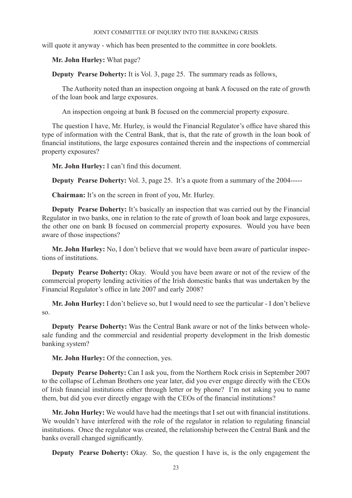will quote it anyway - which has been presented to the committee in core booklets.

**Mr. John Hurley:** What page?

**Deputy Pearse Doherty:** It is Vol. 3, page 25. The summary reads as follows,

The Authority noted than an inspection ongoing at bank A focused on the rate of growth of the loan book and large exposures.

An inspection ongoing at bank B focused on the commercial property exposure.

The question I have, Mr. Hurley, is would the Financial Regulator's office have shared this type of information with the Central Bank, that is, that the rate of growth in the loan book of financial institutions, the large exposures contained therein and the inspections of commercial property exposures?

**Mr. John Hurley:** I can't find this document.

**Deputy Pearse Doherty:** Vol. 3, page 25. It's a quote from a summary of the 2004-----

**Chairman:** It's on the screen in front of you, Mr. Hurley.

**Deputy Pearse Doherty:** It's basically an inspection that was carried out by the Financial Regulator in two banks, one in relation to the rate of growth of loan book and large exposures, the other one on bank B focused on commercial property exposures. Would you have been aware of those inspections?

**Mr. John Hurley:** No, I don't believe that we would have been aware of particular inspections of institutions.

**Deputy Pearse Doherty:** Okay. Would you have been aware or not of the review of the commercial property lending activities of the Irish domestic banks that was undertaken by the Financial Regulator's office in late 2007 and early 2008?

**Mr. John Hurley:** I don't believe so, but I would need to see the particular - I don't believe so.

**Deputy Pearse Doherty:** Was the Central Bank aware or not of the links between wholesale funding and the commercial and residential property development in the Irish domestic banking system?

**Mr. John Hurley:** Of the connection, yes.

**Deputy Pearse Doherty:** Can I ask you, from the Northern Rock crisis in September 2007 to the collapse of Lehman Brothers one year later, did you ever engage directly with the CEOs of Irish financial institutions either through letter or by phone? I'm not asking you to name them, but did you ever directly engage with the CEOs of the financial institutions?

**Mr. John Hurley:** We would have had the meetings that I set out with financial institutions. We wouldn't have interfered with the role of the regulator in relation to regulating financial institutions. Once the regulator was created, the relationship between the Central Bank and the banks overall changed significantly.

**Deputy Pearse Doherty:** Okay. So, the question I have is, is the only engagement the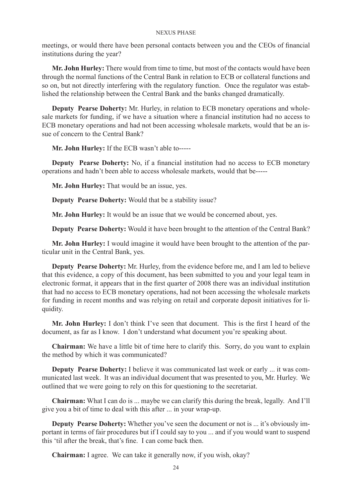meetings, or would there have been personal contacts between you and the CEOs of financial institutions during the year?

**Mr. John Hurley:** There would from time to time, but most of the contacts would have been through the normal functions of the Central Bank in relation to ECB or collateral functions and so on, but not directly interfering with the regulatory function. Once the regulator was established the relationship between the Central Bank and the banks changed dramatically.

**Deputy Pearse Doherty:** Mr. Hurley, in relation to ECB monetary operations and wholesale markets for funding, if we have a situation where a financial institution had no access to ECB monetary operations and had not been accessing wholesale markets, would that be an issue of concern to the Central Bank?

**Mr. John Hurley:** If the ECB wasn't able to-----

**Deputy Pearse Doherty:** No, if a financial institution had no access to ECB monetary operations and hadn't been able to access wholesale markets, would that be-----

**Mr. John Hurley:** That would be an issue, yes.

**Deputy Pearse Doherty:** Would that be a stability issue?

**Mr. John Hurley:** It would be an issue that we would be concerned about, yes.

**Deputy Pearse Doherty:** Would it have been brought to the attention of the Central Bank?

**Mr. John Hurley:** I would imagine it would have been brought to the attention of the particular unit in the Central Bank, yes.

**Deputy Pearse Doherty:** Mr. Hurley, from the evidence before me, and I am led to believe that this evidence, a copy of this document, has been submitted to you and your legal team in electronic format, it appears that in the first quarter of 2008 there was an individual institution that had no access to ECB monetary operations, had not been accessing the wholesale markets for funding in recent months and was relying on retail and corporate deposit initiatives for liquidity.

**Mr. John Hurley:** I don't think I've seen that document. This is the first I heard of the document, as far as I know. I don't understand what document you're speaking about.

**Chairman:** We have a little bit of time here to clarify this. Sorry, do you want to explain the method by which it was communicated?

**Deputy Pearse Doherty:** I believe it was communicated last week or early ... it was communicated last week. It was an individual document that was presented to you, Mr. Hurley. We outlined that we were going to rely on this for questioning to the secretariat.

**Chairman:** What I can do is ... maybe we can clarify this during the break, legally. And I'll give you a bit of time to deal with this after ... in your wrap-up.

**Deputy Pearse Doherty:** Whether you've seen the document or not is ... it's obviously important in terms of fair procedures but if I could say to you ... and if you would want to suspend this 'til after the break, that's fine. I can come back then.

**Chairman:** I agree. We can take it generally now, if you wish, okay?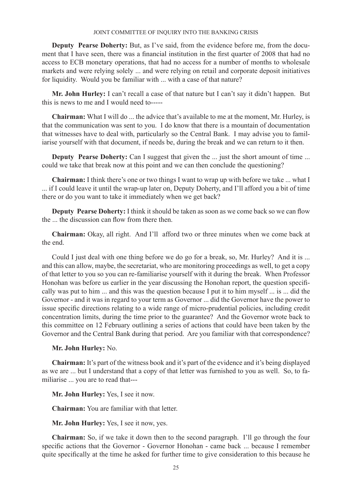**Deputy Pearse Doherty:** But, as I've said, from the evidence before me, from the document that I have seen, there was a financial institution in the first quarter of 2008 that had no access to ECB monetary operations, that had no access for a number of months to wholesale markets and were relying solely ... and were relying on retail and corporate deposit initiatives for liquidity. Would you be familiar with ... with a case of that nature?

**Mr. John Hurley:** I can't recall a case of that nature but I can't say it didn't happen. But this is news to me and I would need to-----

**Chairman:** What I will do ... the advice that's available to me at the moment, Mr. Hurley, is that the communication was sent to you. I do know that there is a mountain of documentation that witnesses have to deal with, particularly so the Central Bank. I may advise you to familiarise yourself with that document, if needs be, during the break and we can return to it then.

**Deputy Pearse Doherty:** Can I suggest that given the ... just the short amount of time ... could we take that break now at this point and we can then conclude the questioning?

**Chairman:** I think there's one or two things I want to wrap up with before we take ... what I ... if I could leave it until the wrap-up later on, Deputy Doherty, and I'll afford you a bit of time there or do you want to take it immediately when we get back?

**Deputy Pearse Doherty:** I think it should be taken as soon as we come back so we can flow the ... the discussion can flow from there then.

**Chairman:** Okay, all right. And I'll afford two or three minutes when we come back at the end.

Could I just deal with one thing before we do go for a break, so, Mr. Hurley? And it is ... and this can allow, maybe, the secretariat, who are monitoring proceedings as well, to get a copy of that letter to you so you can re-familiarise yourself with it during the break. When Professor Honohan was before us earlier in the year discussing the Honohan report, the question specifically was put to him ... and this was the question because I put it to him myself ... is ... did the Governor - and it was in regard to your term as Governor ... did the Governor have the power to issue specific directions relating to a wide range of micro-prudential policies, including credit concentration limits, during the time prior to the guarantee? And the Governor wrote back to this committee on 12 February outlining a series of actions that could have been taken by the Governor and the Central Bank during that period. Are you familiar with that correspondence?

**Mr. John Hurley:** No.

**Chairman:** It's part of the witness book and it's part of the evidence and it's being displayed as we are ... but I understand that a copy of that letter was furnished to you as well. So, to familiarise ... you are to read that---

**Mr. John Hurley:** Yes, I see it now.

**Chairman:** You are familiar with that letter.

**Mr. John Hurley:** Yes, I see it now, yes.

**Chairman:** So, if we take it down then to the second paragraph. I'll go through the four specific actions that the Governor - Governor Honohan - came back ... because I remember quite specifically at the time he asked for further time to give consideration to this because he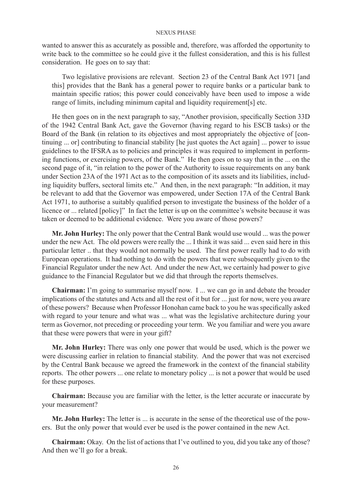wanted to answer this as accurately as possible and, therefore, was afforded the opportunity to write back to the committee so he could give it the fullest consideration, and this is his fullest consideration. He goes on to say that:

Two legislative provisions are relevant. Section 23 of the Central Bank Act 1971 [and this] provides that the Bank has a general power to require banks or a particular bank to maintain specific ratios; this power could conceivably have been used to impose a wide range of limits, including minimum capital and liquidity requirement[s] etc.

He then goes on in the next paragraph to say, "Another provision, specifically Section 33D of the 1942 Central Bank Act, gave the Governor (having regard to his ESCB tasks) or the Board of the Bank (in relation to its objectives and most appropriately the objective of [continuing ... or] contributing to financial stability [he just quotes the Act again] ... power to issue guidelines to the IFSRA as to policies and principles it was required to implement in performing functions, or exercising powers, of the Bank." He then goes on to say that in the ... on the second page of it, "in relation to the power of the Authority to issue requirements on any bank under Section 23A of the 1971 Act as to the composition of its assets and its liabilities, including liquidity buffers, sectoral limits etc." And then, in the next paragraph: "In addition, it may be relevant to add that the Governor was empowered, under Section 17A of the Central Bank Act 1971, to authorise a suitably qualified person to investigate the business of the holder of a licence or ... related [policy]" In fact the letter is up on the committee's website because it was taken or deemed to be additional evidence. Were you aware of those powers?

**Mr. John Hurley:** The only power that the Central Bank would use would ... was the power under the new Act. The old powers were really the ... I think it was said ... even said here in this particular letter .. that they would not normally be used. The first power really had to do with European operations. It had nothing to do with the powers that were subsequently given to the Financial Regulator under the new Act. And under the new Act, we certainly had power to give guidance to the Financial Regulator but we did that through the reports themselves.

**Chairman:** I'm going to summarise myself now. I ... we can go in and debate the broader implications of the statutes and Acts and all the rest of it but for ... just for now, were you aware of these powers? Because when Professor Honohan came back to you he was specifically asked with regard to your tenure and what was ... what was the legislative architecture during your term as Governor, not preceding or proceeding your term. We you familiar and were you aware that these were powers that were in your gift?

**Mr. John Hurley:** There was only one power that would be used, which is the power we were discussing earlier in relation to financial stability. And the power that was not exercised by the Central Bank because we agreed the framework in the context of the financial stability reports. The other powers ... one relate to monetary policy ... is not a power that would be used for these purposes.

**Chairman:** Because you are familiar with the letter, is the letter accurate or inaccurate by your measurement?

**Mr. John Hurley:** The letter is ... is accurate in the sense of the theoretical use of the powers. But the only power that would ever be used is the power contained in the new Act.

**Chairman:** Okay. On the list of actions that I've outlined to you, did you take any of those? And then we'll go for a break.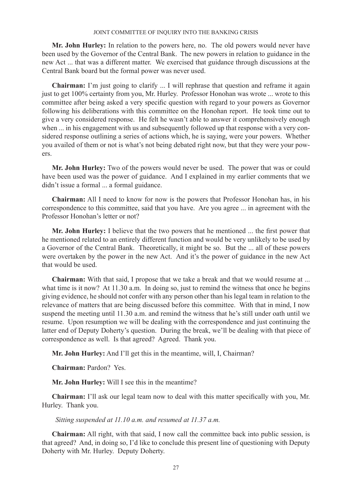**Mr. John Hurley:** In relation to the powers here, no. The old powers would never have been used by the Governor of the Central Bank. The new powers in relation to guidance in the new Act ... that was a different matter. We exercised that guidance through discussions at the Central Bank board but the formal power was never used.

**Chairman:** I'm just going to clarify ... I will rephrase that question and reframe it again just to get 100% certainty from you, Mr. Hurley. Professor Honohan was wrote ... wrote to this committee after being asked a very specific question with regard to your powers as Governor following his deliberations with this committee on the Honohan report. He took time out to give a very considered response. He felt he wasn't able to answer it comprehensively enough when ... in his engagement with us and subsequently followed up that response with a very considered response outlining a series of actions which, he is saying, were your powers. Whether you availed of them or not is what's not being debated right now, but that they were your powers.

**Mr. John Hurley:** Two of the powers would never be used. The power that was or could have been used was the power of guidance. And I explained in my earlier comments that we didn't issue a formal ... a formal guidance.

**Chairman:** All I need to know for now is the powers that Professor Honohan has, in his correspondence to this committee, said that you have. Are you agree ... in agreement with the Professor Honohan's letter or not?

**Mr. John Hurley:** I believe that the two powers that he mentioned ... the first power that he mentioned related to an entirely different function and would be very unlikely to be used by a Governor of the Central Bank. Theoretically, it might be so. But the ... all of these powers were overtaken by the power in the new Act. And it's the power of guidance in the new Act that would be used.

**Chairman:** With that said, I propose that we take a break and that we would resume at ... what time is it now? At 11.30 a.m. In doing so, just to remind the witness that once he begins giving evidence, he should not confer with any person other than his legal team in relation to the relevance of matters that are being discussed before this committee. With that in mind, I now suspend the meeting until 11.30 a.m. and remind the witness that he's still under oath until we resume. Upon resumption we will be dealing with the correspondence and just continuing the latter end of Deputy Doherty's question. During the break, we'll be dealing with that piece of correspondence as well. Is that agreed? Agreed. Thank you.

**Mr. John Hurley:** And I'll get this in the meantime, will, I, Chairman?

**Chairman:** Pardon? Yes.

**Mr. John Hurley:** Will I see this in the meantime?

**Chairman:** I'll ask our legal team now to deal with this matter specifically with you, Mr. Hurley. Thank you.

 *Sitting suspended at 11.10 a.m. and resumed at 11.37 a.m.*

**Chairman:** All right, with that said, I now call the committee back into public session, is that agreed? And, in doing so, I'd like to conclude this present line of questioning with Deputy Doherty with Mr. Hurley. Deputy Doherty.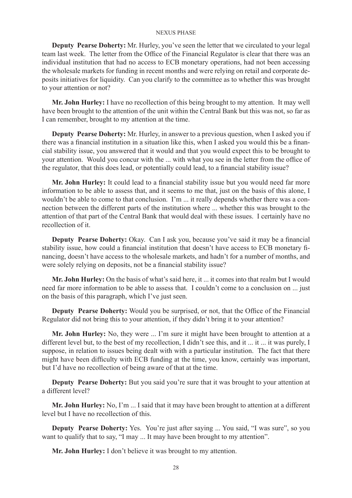**Deputy Pearse Doherty:** Mr. Hurley, you've seen the letter that we circulated to your legal team last week. The letter from the Office of the Financial Regulator is clear that there was an individual institution that had no access to ECB monetary operations, had not been accessing the wholesale markets for funding in recent months and were relying on retail and corporate deposits initiatives for liquidity. Can you clarify to the committee as to whether this was brought to your attention or not?

**Mr. John Hurley:** I have no recollection of this being brought to my attention. It may well have been brought to the attention of the unit within the Central Bank but this was not, so far as I can remember, brought to my attention at the time.

**Deputy Pearse Doherty:** Mr. Hurley, in answer to a previous question, when I asked you if there was a financial institution in a situation like this, when I asked you would this be a financial stability issue, you answered that it would and that you would expect this to be brought to your attention. Would you concur with the ... with what you see in the letter from the office of the regulator, that this does lead, or potentially could lead, to a financial stability issue?

**Mr. John Hurley:** It could lead to a financial stability issue but you would need far more information to be able to assess that, and it seems to me that, just on the basis of this alone, I wouldn't be able to come to that conclusion. I'm ... it really depends whether there was a connection between the different parts of the institution where ... whether this was brought to the attention of that part of the Central Bank that would deal with these issues. I certainly have no recollection of it.

**Deputy Pearse Doherty:** Okay. Can I ask you, because you've said it may be a financial stability issue, how could a financial institution that doesn't have access to ECB monetary financing, doesn't have access to the wholesale markets, and hadn't for a number of months, and were solely relying on deposits, not be a financial stability issue?

**Mr. John Hurley:** On the basis of what's said here, it ... it comes into that realm but I would need far more information to be able to assess that. I couldn't come to a conclusion on ... just on the basis of this paragraph, which I've just seen.

**Deputy Pearse Doherty:** Would you be surprised, or not, that the Office of the Financial Regulator did not bring this to your attention, if they didn't bring it to your attention?

**Mr. John Hurley:** No, they were ... I'm sure it might have been brought to attention at a different level but, to the best of my recollection, I didn't see this, and it ... it ... it was purely, I suppose, in relation to issues being dealt with with a particular institution. The fact that there might have been difficulty with ECB funding at the time, you know, certainly was important, but I'd have no recollection of being aware of that at the time.

**Deputy Pearse Doherty:** But you said you're sure that it was brought to your attention at a different level?

**Mr. John Hurley:** No, I'm ... I said that it may have been brought to attention at a different level but I have no recollection of this.

**Deputy Pearse Doherty:** Yes. You're just after saying ... You said, "I was sure", so you want to qualify that to say, "I may ... It may have been brought to my attention".

**Mr. John Hurley:** I don't believe it was brought to my attention.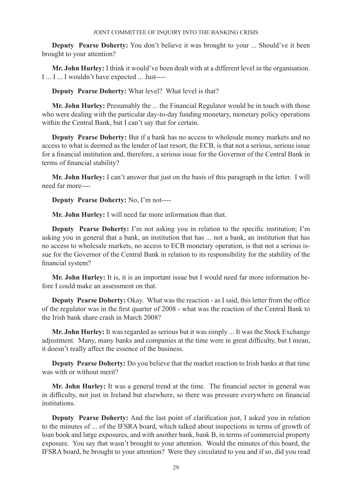**Deputy Pearse Doherty:** You don't believe it was brought to your ... Should've it been brought to your attention?

**Mr. John Hurley:** I think it would've been dealt with at a different level in the organisation. I ... I ... I wouldn't have expected ... Just----

**Deputy Pearse Doherty:** What level? What level is that?

**Mr. John Hurley:** Presumably the ... the Financial Regulator would be in touch with those who were dealing with the particular day-to-day funding monetary, monetary policy operations within the Central Bank, but I can't say that for certain.

**Deputy Pearse Doherty:** But if a bank has no access to wholesale money markets and no access to what is deemed as the lender of last resort, the ECB, is that not a serious, serious issue for a financial institution and, therefore, a serious issue for the Governor of the Central Bank in terms of financial stability?

**Mr. John Hurley:** I can't answer that just on the basis of this paragraph in the letter. I will need far more----

**Deputy Pearse Doherty:** No, I'm not----

**Mr. John Hurley:** I will need far more information than that.

**Deputy Pearse Doherty:** I'm not asking you in relation to the specific institution; I'm asking you in general that a bank, an institution that has ... not a bank, an institution that has no access to wholesale markets, no access to ECB monetary operation, is that not a serious issue for the Governor of the Central Bank in relation to its responsibility for the stability of the financial system?

**Mr. John Hurley:** It is, it is an important issue but I would need far more information before I could make an assessment on that.

**Deputy Pearse Doherty:** Okay. What was the reaction - as I said, this letter from the office of the regulator was in the first quarter of 2008 - what was the reaction of the Central Bank to the Irish bank share crash in March 2008?

**Mr. John Hurley:** It was regarded as serious but it was simply ... It was the Stock Exchange adjustment. Many, many banks and companies at the time were in great difficulty, but I mean, it doesn't really affect the essence of the business.

**Deputy Pearse Doherty:** Do you believe that the market reaction to Irish banks at that time was with or without merit?

**Mr. John Hurley:** It was a general trend at the time. The financial sector in general was in difficulty, not just in Ireland but elsewhere, so there was pressure everywhere on financial institutions.

**Deputy Pearse Doherty:** And the last point of clarification just, I asked you in relation to the minutes of ... of the IFSRA board, which talked about inspections in terms of growth of loan book and large exposures, and with another bank, bank B, in terms of commercial property exposure. You say that wasn't brought to your attention. Would the minutes of this board, the IFSRA board, be brought to your attention? Were they circulated to you and if so, did you read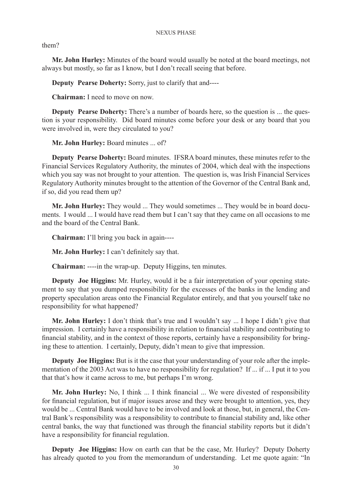them?

**Mr. John Hurley:** Minutes of the board would usually be noted at the board meetings, not always but mostly, so far as I know, but I don't recall seeing that before.

**Deputy Pearse Doherty:** Sorry, just to clarify that and----

**Chairman:** I need to move on now.

**Deputy Pearse Doherty:** There's a number of boards here, so the question is ... the question is your responsibility. Did board minutes come before your desk or any board that you were involved in, were they circulated to you?

**Mr. John Hurley:** Board minutes ... of?

**Deputy Pearse Doherty:** Board minutes. IFSRA board minutes, these minutes refer to the Financial Services Regulatory Authority, the minutes of 2004, which deal with the inspections which you say was not brought to your attention. The question is, was Irish Financial Services Regulatory Authority minutes brought to the attention of the Governor of the Central Bank and, if so, did you read them up?

**Mr. John Hurley:** They would ... They would sometimes ... They would be in board documents. I would ... I would have read them but I can't say that they came on all occasions to me and the board of the Central Bank.

**Chairman:** I'll bring you back in again----

**Mr. John Hurley:** I can't definitely say that.

**Chairman:** ----in the wrap-up. Deputy Higgins, ten minutes.

**Deputy Joe Higgins:** Mr. Hurley, would it be a fair interpretation of your opening statement to say that you dumped responsibility for the excesses of the banks in the lending and property speculation areas onto the Financial Regulator entirely, and that you yourself take no responsibility for what happened?

**Mr. John Hurley:** I don't think that's true and I wouldn't say ... I hope I didn't give that impression. I certainly have a responsibility in relation to financial stability and contributing to financial stability, and in the context of those reports, certainly have a responsibility for bringing these to attention. I certainly, Deputy, didn't mean to give that impression.

**Deputy Joe Higgins:** But is it the case that your understanding of your role after the implementation of the 2003 Act was to have no responsibility for regulation? If ... if ... I put it to you that that's how it came across to me, but perhaps I'm wrong.

**Mr. John Hurley:** No, I think ... I think financial ... We were divested of responsibility for financial regulation, but if major issues arose and they were brought to attention, yes, they would be ... Central Bank would have to be involved and look at those, but, in general, the Central Bank's responsibility was a responsibility to contribute to financial stability and, like other central banks, the way that functioned was through the financial stability reports but it didn't have a responsibility for financial regulation.

**Deputy Joe Higgins:** How on earth can that be the case, Mr. Hurley? Deputy Doherty has already quoted to you from the memorandum of understanding. Let me quote again: "In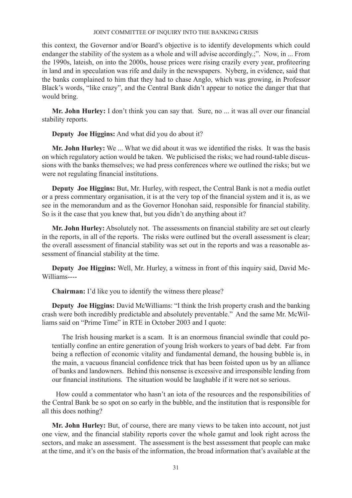this context, the Governor and/or Board's objective is to identify developments which could endanger the stability of the system as a whole and will advise accordingly.;". Now, in ... From the 1990s, lateish, on into the 2000s, house prices were rising crazily every year, profiteering in land and in speculation was rife and daily in the newspapers. Nyberg, in evidence, said that the banks complained to him that they had to chase Anglo, which was growing, in Professor Black's words, "like crazy", and the Central Bank didn't appear to notice the danger that that would bring.

**Mr. John Hurley:** I don't think you can say that. Sure, no ... it was all over our financial stability reports.

**Deputy Joe Higgins:** And what did you do about it?

**Mr. John Hurley:** We ... What we did about it was we identified the risks. It was the basis on which regulatory action would be taken. We publicised the risks; we had round-table discussions with the banks themselves; we had press conferences where we outlined the risks; but we were not regulating financial institutions.

**Deputy Joe Higgins:** But, Mr. Hurley, with respect, the Central Bank is not a media outlet or a press commentary organisation, it is at the very top of the financial system and it is, as we see in the memorandum and as the Governor Honohan said, responsible for financial stability. So is it the case that you knew that, but you didn't do anything about it?

**Mr. John Hurley:** Absolutely not. The assessments on financial stability are set out clearly in the reports, in all of the reports. The risks were outlined but the overall assessment is clear; the overall assessment of financial stability was set out in the reports and was a reasonable assessment of financial stability at the time.

**Deputy Joe Higgins:** Well, Mr. Hurley, a witness in front of this inquiry said, David Mc-Williams----

**Chairman:** I'd like you to identify the witness there please?

**Deputy Joe Higgins:** David McWilliams: "I think the Irish property crash and the banking crash were both incredibly predictable and absolutely preventable." And the same Mr. McWilliams said on "Prime Time" in RTE in October 2003 and I quote:

The Irish housing market is a scam. It is an enormous financial swindle that could potentially confine an entire generation of young Irish workers to years of bad debt. Far from being a reflection of economic vitality and fundamental demand, the housing bubble is, in the main, a vacuous financial confidence trick that has been foisted upon us by an alliance of banks and landowners. Behind this nonsense is excessive and irresponsible lending from our financial institutions. The situation would be laughable if it were not so serious.

 How could a commentator who hasn't an iota of the resources and the responsibilities of the Central Bank be so spot on so early in the bubble, and the institution that is responsible for all this does nothing?

**Mr. John Hurley:** But, of course, there are many views to be taken into account, not just one view, and the financial stability reports cover the whole gamut and look right across the sectors, and make an assessment. The assessment is the best assessment that people can make at the time, and it's on the basis of the information, the broad information that's available at the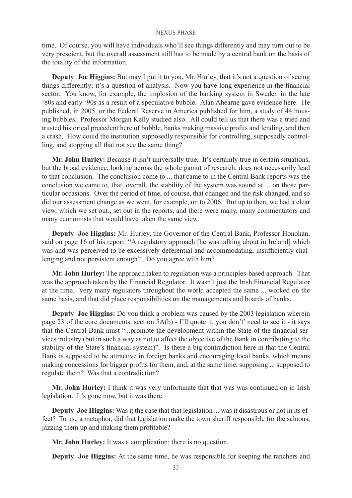time. Of course, you will have individuals who'll see things differently and may turn out to be very prescient, but the overall assessment still has to be made by a central bank on the basis of the totality of the information.

**Deputy Joe Higgins:** But may I put it to you, Mr. Hurley, that it's not a question of seeing things differently; it's a question of analysis. Now you have long experience in the financial sector. You know, for example, the implosion of the banking system in Sweden in the late '80s and early '90s as a result of a speculative bubble. Alan Ahearne gave evidence here. He published, in 2005, or the Federal Reserve in America published for him, a study of 44 housing bubbles. Professor Morgan Kelly studied also. All could tell us that there was a tried and trusted historical precedent here of bubble, banks making massive profits and lending, and then a crash. How could the institution supposedly responsible for controlling, supposedly controlling, and stopping all that not see the same thing?

**Mr. John Hurley:** Because it isn't universally true. It's certainly true in certain situations, but the broad evidence, looking across the whole gamut of research, does not necessarily lead to that conclusion. The conclusion come to ... that came to in the Central Bank reports was the conclusion we came to, that, overall, the stability of the system was sound at ... on those particular occasions. Over the period of time, of course, that changed and the risk changed, and so did our assessment change as we went, for example, on to 2006. But up to then, we had a clear view, which we set out., set out in the reports, and there were many, many commentators and many economists that would have taken the same view.

**Deputy Joe Higgins:** Mr. Hurley, the Governor of the Central Bank, Professor Honohan, said on page 16 of his report: "A regulatory approach [he was talking about in Ireland] which was and was perceived to be excessively deferential and accommodating, insufficiently challenging and not persistent enough". Do you agree with him?

**Mr. John Hurley:** The approach taken to regulation was a principles-based approach. That was the approach taken by the Financial Regulator. It wasn't just the Irish Financial Regulator at the time. Very many regulators throughout the world accepted the same ... worked on the same basis, and that did place responsibilities on the managements and boards of banks.

**Deputy Joe Higgins:** Do you think a problem was caused by the 2003 legislation wherein page 23 of the core documents, section 5A(b) - I'll quote it, you don't' need to see it - it says that the Central Bank must "...promote the development within the State of the financial services industry (but in such a way as not to affect the objective of the Bank in contributing to the stability of the State's financial system)". Is there a big contradiction here in that the Central Bank is supposed to be attractive in foreign banks and encouraging local banks, which means making concessions for bigger profits for them, and, at the same time, supposing ... supposed to regulate them? Was that a contradiction?

**Mr. John Hurley:** I think it was very unfortunate that that was was continued on in Irish legislation. It's gone now, but it was there.

**Deputy Joe Higgins:** Was it the case that that legislation ... was it disastrous or not in its effect? To use a metaphor, did that legislation make the town sheriff responsible for the saloons, jazzing them up and making them profitable?

**Mr. John Hurley:** It was a complication; there is no question.

**Deputy Joe Higgins:** At the same time, he was responsible for keeping the ranchers and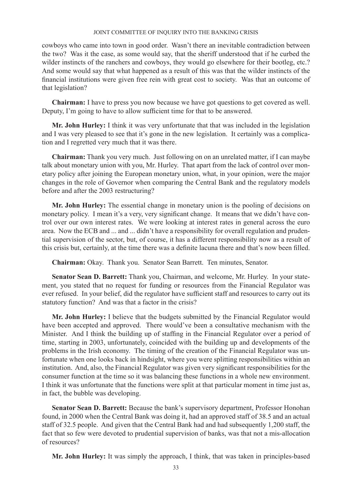cowboys who came into town in good order. Wasn't there an inevitable contradiction between the two? Was it the case, as some would say, that the sheriff understood that if he curbed the wilder instincts of the ranchers and cowboys, they would go elsewhere for their bootleg, etc.? And some would say that what happened as a result of this was that the wilder instincts of the financial institutions were given free rein with great cost to society. Was that an outcome of that legislation?

**Chairman:** I have to press you now because we have got questions to get covered as well. Deputy, I'm going to have to allow sufficient time for that to be answered.

**Mr. John Hurley:** I think it was very unfortunate that that was included in the legislation and I was very pleased to see that it's gone in the new legislation. It certainly was a complication and I regretted very much that it was there.

**Chairman:** Thank you very much. Just following on on an unrelated matter, if I can maybe talk about monetary union with you, Mr. Hurley. That apart from the lack of control over monetary policy after joining the European monetary union, what, in your opinion, were the major changes in the role of Governor when comparing the Central Bank and the regulatory models before and after the 2003 restructuring?

**Mr. John Hurley:** The essential change in monetary union is the pooling of decisions on monetary policy. I mean it's a very, very significant change. It means that we didn't have control over our own interest rates. We were looking at interest rates in general across the euro area. Now the ECB and ... and ... didn't have a responsibility for overall regulation and prudential supervision of the sector, but, of course, it has a different responsibility now as a result of this crisis but, certainly, at the time there was a definite lacuna there and that's now been filled.

**Chairman:** Okay. Thank you. Senator Sean Barrett. Ten minutes, Senator.

**Senator Sean D. Barrett:** Thank you, Chairman, and welcome, Mr. Hurley. In your statement, you stated that no request for funding or resources from the Financial Regulator was ever refused. In your belief, did the regulator have sufficient staff and resources to carry out its statutory function? And was that a factor in the crisis?

**Mr. John Hurley:** I believe that the budgets submitted by the Financial Regulator would have been accepted and approved. There would've been a consultative mechanism with the Minister. And I think the building up of staffing in the Financial Regulator over a period of time, starting in 2003, unfortunately, coincided with the building up and developments of the problems in the Irish economy. The timing of the creation of the Financial Regulator was unfortunate when one looks back in hindsight, where you were splitting responsibilities within an institution. And, also, the Financial Regulator was given very significant responsibilities for the consumer function at the time so it was balancing these functions in a whole new environment. I think it was unfortunate that the functions were split at that particular moment in time just as, in fact, the bubble was developing.

**Senator Sean D. Barrett:** Because the bank's supervisory department, Professor Honohan found, in 2000 when the Central Bank was doing it, had an approved staff of 38.5 and an actual staff of 32.5 people. And given that the Central Bank had and had subsequently 1,200 staff, the fact that so few were devoted to prudential supervision of banks, was that not a mis-allocation of resources?

**Mr. John Hurley:** It was simply the approach, I think, that was taken in principles-based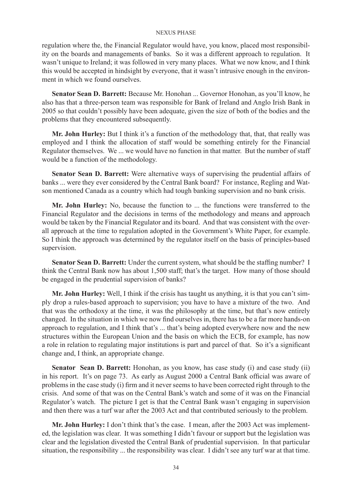regulation where the, the Financial Regulator would have, you know, placed most responsibility on the boards and managements of banks. So it was a different approach to regulation. It wasn't unique to Ireland; it was followed in very many places. What we now know, and I think this would be accepted in hindsight by everyone, that it wasn't intrusive enough in the environment in which we found ourselves.

**Senator Sean D. Barrett:** Because Mr. Honohan ... Governor Honohan, as you'll know, he also has that a three-person team was responsible for Bank of Ireland and Anglo Irish Bank in 2005 so that couldn't possibly have been adequate, given the size of both of the bodies and the problems that they encountered subsequently.

**Mr. John Hurley:** But I think it's a function of the methodology that, that, that really was employed and I think the allocation of staff would be something entirely for the Financial Regulator themselves. We ... we would have no function in that matter. But the number of staff would be a function of the methodology.

**Senator Sean D. Barrett:** Were alternative ways of supervising the prudential affairs of banks ... were they ever considered by the Central Bank board? For instance, Regling and Watson mentioned Canada as a country which had tough banking supervision and no bank crisis.

**Mr. John Hurley:** No, because the function to ... the functions were transferred to the Financial Regulator and the decisions in terms of the methodology and means and approach would be taken by the Financial Regulator and its board. And that was consistent with the overall approach at the time to regulation adopted in the Government's White Paper, for example. So I think the approach was determined by the regulator itself on the basis of principles-based supervision.

**Senator Sean D. Barrett:** Under the current system, what should be the staffing number? I think the Central Bank now has about 1,500 staff; that's the target. How many of those should be engaged in the prudential supervision of banks?

**Mr. John Hurley:** Well, I think if the crisis has taught us anything, it is that you can't simply drop a rules-based approach to supervision; you have to have a mixture of the two. And that was the orthodoxy at the time, it was the philosophy at the time, but that's now entirely changed. In the situation in which we now find ourselves in, there has to be a far more hands-on approach to regulation, and I think that's ... that's being adopted everywhere now and the new structures within the European Union and the basis on which the ECB, for example, has now a role in relation to regulating major institutions is part and parcel of that. So it's a significant change and, I think, an appropriate change.

**Senator Sean D. Barrett:** Honohan, as you know, has case study (i) and case study (ii) in his report. It's on page 73. As early as August 2000 a Central Bank official was aware of problems in the case study (i) firm and it never seems to have been corrected right through to the crisis. And some of that was on the Central Bank's watch and some of it was on the Financial Regulator's watch. The picture I get is that the Central Bank wasn't engaging in supervision and then there was a turf war after the 2003 Act and that contributed seriously to the problem.

**Mr. John Hurley:** I don't think that's the case. I mean, after the 2003 Act was implemented, the legislation was clear. It was something I didn't favour or support but the legislation was clear and the legislation divested the Central Bank of prudential supervision. In that particular situation, the responsibility ... the responsibility was clear. I didn't see any turf war at that time.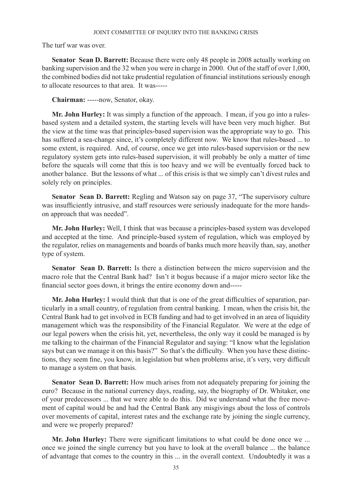The turf war was over.

**Senator Sean D. Barrett:** Because there were only 48 people in 2008 actually working on banking supervision and the 32 when you were in charge in 2000. Out of the staff of over 1,000, the combined bodies did not take prudential regulation of financial institutions seriously enough to allocate resources to that area. It was-----

**Chairman:** -----now, Senator, okay.

**Mr. John Hurley:** It was simply a function of the approach. I mean, if you go into a rulesbased system and a detailed system, the starting levels will have been very much higher. But the view at the time was that principles-based supervision was the appropriate way to go. This has suffered a sea-change since, it's completely different now. We know that rules-based ... to some extent, is required. And, of course, once we get into rules-based supervision or the new regulatory system gets into rules-based supervision, it will probably be only a matter of time before the squeals will come that this is too heavy and we will be eventually forced back to another balance. But the lessons of what ... of this crisis is that we simply can't divest rules and solely rely on principles.

**Senator Sean D. Barrett:** Regling and Watson say on page 37, "The supervisory culture was insufficiently intrusive, and staff resources were seriously inadequate for the more handson approach that was needed".

**Mr. John Hurley:** Well, I think that was because a principles-based system was developed and accepted at the time. And principle-based system of regulation, which was employed by the regulator, relies on managements and boards of banks much more heavily than, say, another type of system.

**Senator Sean D. Barrett:** Is there a distinction between the micro supervision and the macro role that the Central Bank had? Isn't it bogus because if a major micro sector like the financial sector goes down, it brings the entire economy down and-----

**Mr. John Hurley:** I would think that that is one of the great difficulties of separation, particularly in a small country, of regulation from central banking. I mean, when the crisis hit, the Central Bank had to get involved in ECB funding and had to get involved in an area of liquidity management which was the responsibility of the Financial Regulator. We were at the edge of our legal powers when the crisis hit, yet, nevertheless, the only way it could be managed is by me talking to the chairman of the Financial Regulator and saying: "I know what the legislation says but can we manage it on this basis?" So that's the difficulty. When you have these distinctions, they seem fine, you know, in legislation but when problems arise, it's very, very difficult to manage a system on that basis.

**Senator Sean D. Barrett:** How much arises from not adequately preparing for joining the euro? Because in the national currency days, reading, say, the biography of Dr. Whitaker, one of your predecessors ... that we were able to do this. Did we understand what the free movement of capital would be and had the Central Bank any misgivings about the loss of controls over movements of capital, interest rates and the exchange rate by joining the single currency, and were we properly prepared?

**Mr. John Hurley:** There were significant limitations to what could be done once we ... once we joined the single currency but you have to look at the overall balance ... the balance of advantage that comes to the country in this ... in the overall context. Undoubtedly it was a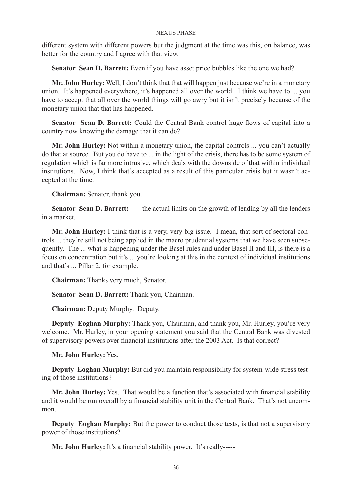different system with different powers but the judgment at the time was this, on balance, was better for the country and I agree with that view.

**Senator Sean D. Barrett:** Even if you have asset price bubbles like the one we had?

**Mr. John Hurley:** Well, I don't think that that will happen just because we're in a monetary union. It's happened everywhere, it's happened all over the world. I think we have to ... you have to accept that all over the world things will go awry but it isn't precisely because of the monetary union that that has happened.

**Senator Sean D. Barrett:** Could the Central Bank control huge flows of capital into a country now knowing the damage that it can do?

**Mr. John Hurley:** Not within a monetary union, the capital controls ... you can't actually do that at source. But you do have to ... in the light of the crisis, there has to be some system of regulation which is far more intrusive, which deals with the downside of that within individual institutions. Now, I think that's accepted as a result of this particular crisis but it wasn't accepted at the time.

**Chairman:** Senator, thank you.

**Senator Sean D. Barrett:** -----the actual limits on the growth of lending by all the lenders in a market.

**Mr. John Hurley:** I think that is a very, very big issue. I mean, that sort of sectoral controls ... they're still not being applied in the macro prudential systems that we have seen subsequently. The ... what is happening under the Basel rules and under Basel II and III, is there is a focus on concentration but it's ... you're looking at this in the context of individual institutions and that's ... Pillar 2, for example.

**Chairman:** Thanks very much, Senator.

**Senator Sean D. Barrett:** Thank you, Chairman.

**Chairman:** Deputy Murphy. Deputy.

**Deputy Eoghan Murphy:** Thank you, Chairman, and thank you, Mr. Hurley, you're very welcome. Mr. Hurley, in your opening statement you said that the Central Bank was divested of supervisory powers over financial institutions after the 2003 Act. Is that correct?

**Mr. John Hurley:** Yes.

**Deputy Eoghan Murphy:** But did you maintain responsibility for system-wide stress testing of those institutions?

**Mr. John Hurley:** Yes. That would be a function that's associated with financial stability and it would be run overall by a financial stability unit in the Central Bank. That's not uncommon.

**Deputy Eoghan Murphy:** But the power to conduct those tests, is that not a supervisory power of those institutions?

**Mr. John Hurley:** It's a financial stability power. It's really-----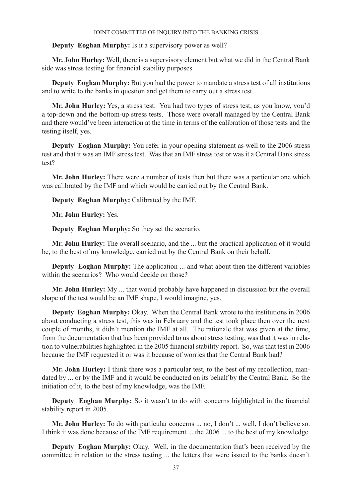# **Deputy Eoghan Murphy:** Is it a supervisory power as well?

**Mr. John Hurley:** Well, there is a supervisory element but what we did in the Central Bank side was stress testing for financial stability purposes.

**Deputy Eoghan Murphy:** But you had the power to mandate a stress test of all institutions and to write to the banks in question and get them to carry out a stress test.

**Mr. John Hurley:** Yes, a stress test. You had two types of stress test, as you know, you'd a top-down and the bottom-up stress tests. Those were overall managed by the Central Bank and there would've been interaction at the time in terms of the calibration of those tests and the testing itself, yes.

**Deputy Eoghan Murphy:** You refer in your opening statement as well to the 2006 stress test and that it was an IMF stress test. Was that an IMF stress test or was it a Central Bank stress test?

**Mr. John Hurley:** There were a number of tests then but there was a particular one which was calibrated by the IMF and which would be carried out by the Central Bank.

**Deputy Eoghan Murphy:** Calibrated by the IMF.

**Mr. John Hurley:** Yes.

**Deputy Eoghan Murphy:** So they set the scenario.

**Mr. John Hurley:** The overall scenario, and the ... but the practical application of it would be, to the best of my knowledge, carried out by the Central Bank on their behalf.

**Deputy Eoghan Murphy:** The application ... and what about then the different variables within the scenarios? Who would decide on those?

**Mr. John Hurley:** My ... that would probably have happened in discussion but the overall shape of the test would be an IMF shape, I would imagine, yes.

**Deputy Eoghan Murphy:** Okay. When the Central Bank wrote to the institutions in 2006 about conducting a stress test, this was in February and the test took place then over the next couple of months, it didn't mention the IMF at all. The rationale that was given at the time, from the documentation that has been provided to us about stress testing, was that it was in relation to vulnerabilities highlighted in the 2005 financial stability report. So, was that test in 2006 because the IMF requested it or was it because of worries that the Central Bank had?

**Mr. John Hurley:** I think there was a particular test, to the best of my recollection, mandated by ... or by the IMF and it would be conducted on its behalf by the Central Bank. So the initiation of it, to the best of my knowledge, was the IMF.

**Deputy Eoghan Murphy:** So it wasn't to do with concerns highlighted in the financial stability report in 2005.

**Mr. John Hurley:** To do with particular concerns ... no, I don't ... well, I don't believe so. I think it was done because of the IMF requirement ... the 2006 ... to the best of my knowledge.

**Deputy Eoghan Murphy:** Okay. Well, in the documentation that's been received by the committee in relation to the stress testing ... the letters that were issued to the banks doesn't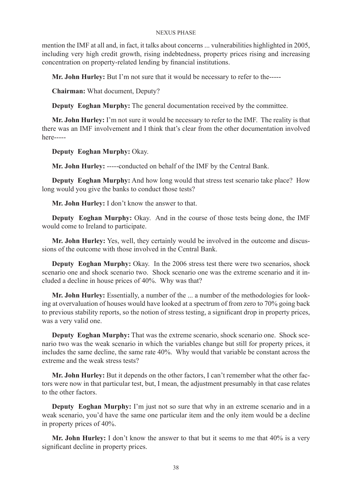mention the IMF at all and, in fact, it talks about concerns ... vulnerabilities highlighted in 2005, including very high credit growth, rising indebtedness, property prices rising and increasing concentration on property-related lending by financial institutions.

**Mr. John Hurley:** But I'm not sure that it would be necessary to refer to the-----

**Chairman:** What document, Deputy?

**Deputy Eoghan Murphy:** The general documentation received by the committee.

**Mr. John Hurley:** I'm not sure it would be necessary to refer to the IMF. The reality is that there was an IMF involvement and I think that's clear from the other documentation involved here-----

**Deputy Eoghan Murphy:** Okay.

**Mr. John Hurley:** -----conducted on behalf of the IMF by the Central Bank.

**Deputy Eoghan Murphy:** And how long would that stress test scenario take place? How long would you give the banks to conduct those tests?

**Mr. John Hurley:** I don't know the answer to that.

**Deputy Eoghan Murphy:** Okay. And in the course of those tests being done, the IMF would come to Ireland to participate.

**Mr. John Hurley:** Yes, well, they certainly would be involved in the outcome and discussions of the outcome with those involved in the Central Bank.

**Deputy Eoghan Murphy:** Okay. In the 2006 stress test there were two scenarios, shock scenario one and shock scenario two. Shock scenario one was the extreme scenario and it included a decline in house prices of 40%. Why was that?

**Mr. John Hurley:** Essentially, a number of the ... a number of the methodologies for looking at overvaluation of houses would have looked at a spectrum of from zero to 70% going back to previous stability reports, so the notion of stress testing, a significant drop in property prices, was a very valid one.

**Deputy Eoghan Murphy:** That was the extreme scenario, shock scenario one. Shock scenario two was the weak scenario in which the variables change but still for property prices, it includes the same decline, the same rate 40%. Why would that variable be constant across the extreme and the weak stress tests?

**Mr. John Hurley:** But it depends on the other factors, I can't remember what the other factors were now in that particular test, but, I mean, the adjustment presumably in that case relates to the other factors.

**Deputy Eoghan Murphy:** I'm just not so sure that why in an extreme scenario and in a weak scenario, you'd have the same one particular item and the only item would be a decline in property prices of 40%.

Mr. John Hurley: I don't know the answer to that but it seems to me that 40% is a very significant decline in property prices.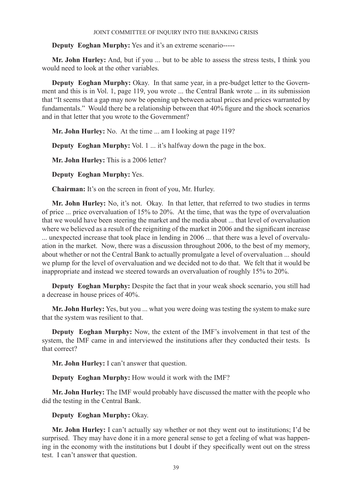**Deputy Eoghan Murphy:** Yes and it's an extreme scenario-----

**Mr. John Hurley:** And, but if you ... but to be able to assess the stress tests, I think you would need to look at the other variables.

**Deputy Eoghan Murphy:** Okay. In that same year, in a pre-budget letter to the Government and this is in Vol. 1, page 119, you wrote ... the Central Bank wrote ... in its submission that "It seems that a gap may now be opening up between actual prices and prices warranted by fundamentals." Would there be a relationship between that 40% figure and the shock scenarios and in that letter that you wrote to the Government?

**Mr. John Hurley:** No. At the time ... am I looking at page 119?

**Deputy Eoghan Murphy:** Vol. 1 ... it's halfway down the page in the box.

**Mr. John Hurley:** This is a 2006 letter?

**Deputy Eoghan Murphy:** Yes.

**Chairman:** It's on the screen in front of you, Mr. Hurley.

**Mr. John Hurley:** No, it's not. Okay. In that letter, that referred to two studies in terms of price ... price overvaluation of 15% to 20%. At the time, that was the type of overvaluation that we would have been steering the market and the media about ... that level of overvaluation where we believed as a result of the reigniting of the market in 2006 and the significant increase ... unexpected increase that took place in lending in 2006 ... that there was a level of overvaluation in the market. Now, there was a discussion throughout 2006, to the best of my memory, about whether or not the Central Bank to actually promulgate a level of overvaluation ... should we plump for the level of overvaluation and we decided not to do that. We felt that it would be inappropriate and instead we steered towards an overvaluation of roughly 15% to 20%.

**Deputy Eoghan Murphy:** Despite the fact that in your weak shock scenario, you still had a decrease in house prices of 40%.

**Mr. John Hurley:** Yes, but you ... what you were doing was testing the system to make sure that the system was resilient to that.

**Deputy Eoghan Murphy:** Now, the extent of the IMF's involvement in that test of the system, the IMF came in and interviewed the institutions after they conducted their tests. Is that correct?

**Mr. John Hurley:** I can't answer that question.

**Deputy Eoghan Murphy:** How would it work with the IMF?

**Mr. John Hurley:** The IMF would probably have discussed the matter with the people who did the testing in the Central Bank.

**Deputy Eoghan Murphy:** Okay.

**Mr. John Hurley:** I can't actually say whether or not they went out to institutions; I'd be surprised. They may have done it in a more general sense to get a feeling of what was happening in the economy with the institutions but I doubt if they specifically went out on the stress test. I can't answer that question.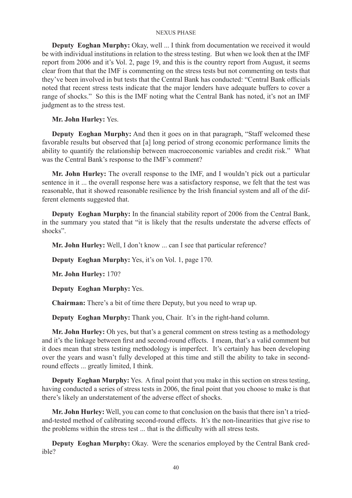**Deputy Eoghan Murphy:** Okay, well ... I think from documentation we received it would be with individual institutions in relation to the stress testing. But when we look then at the IMF report from 2006 and it's Vol. 2, page 19, and this is the country report from August, it seems clear from that that the IMF is commenting on the stress tests but not commenting on tests that they've been involved in but tests that the Central Bank has conducted: "Central Bank officials noted that recent stress tests indicate that the major lenders have adequate buffers to cover a range of shocks." So this is the IMF noting what the Central Bank has noted, it's not an IMF judgment as to the stress test.

# **Mr. John Hurley:** Yes.

**Deputy Eoghan Murphy:** And then it goes on in that paragraph, "Staff welcomed these favorable results but observed that [a] long period of strong economic performance limits the ability to quantify the relationship between macroeconomic variables and credit risk." What was the Central Bank's response to the IMF's comment?

**Mr. John Hurley:** The overall response to the IMF, and I wouldn't pick out a particular sentence in it ... the overall response here was a satisfactory response, we felt that the test was reasonable, that it showed reasonable resilience by the Irish financial system and all of the different elements suggested that.

**Deputy Eoghan Murphy:** In the financial stability report of 2006 from the Central Bank, in the summary you stated that "it is likely that the results understate the adverse effects of shocks".

**Mr. John Hurley:** Well, I don't know ... can I see that particular reference?

**Deputy Eoghan Murphy:** Yes, it's on Vol. 1, page 170.

**Mr. John Hurley:** 170?

**Deputy Eoghan Murphy:** Yes.

**Chairman:** There's a bit of time there Deputy, but you need to wrap up.

**Deputy Eoghan Murphy:** Thank you, Chair. It's in the right-hand column.

**Mr. John Hurley:** Oh yes, but that's a general comment on stress testing as a methodology and it's the linkage between first and second-round effects. I mean, that's a valid comment but it does mean that stress testing methodology is imperfect. It's certainly has been developing over the years and wasn't fully developed at this time and still the ability to take in secondround effects ... greatly limited, I think.

**Deputy Eoghan Murphy:** Yes. A final point that you make in this section on stress testing, having conducted a series of stress tests in 2006, the final point that you choose to make is that there's likely an understatement of the adverse effect of shocks.

**Mr. John Hurley:** Well, you can come to that conclusion on the basis that there isn't a triedand-tested method of calibrating second-round effects. It's the non-linearities that give rise to the problems within the stress test ... that is the difficulty with all stress tests.

**Deputy Eoghan Murphy:** Okay. Were the scenarios employed by the Central Bank credible?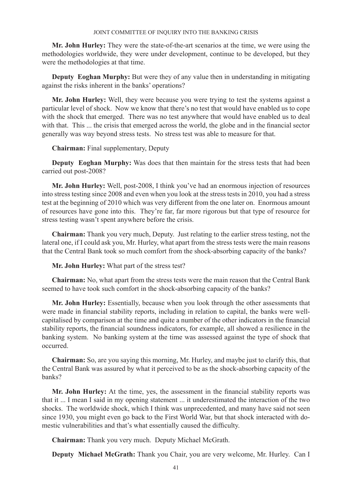**Mr. John Hurley:** They were the state-of-the-art scenarios at the time, we were using the methodologies worldwide, they were under development, continue to be developed, but they were the methodologies at that time.

**Deputy Eoghan Murphy:** But were they of any value then in understanding in mitigating against the risks inherent in the banks' operations?

**Mr. John Hurley:** Well, they were because you were trying to test the systems against a particular level of shock. Now we know that there's no test that would have enabled us to cope with the shock that emerged. There was no test anywhere that would have enabled us to deal with that. This ... the crisis that emerged across the world, the globe and in the financial sector generally was way beyond stress tests. No stress test was able to measure for that.

# **Chairman:** Final supplementary, Deputy

**Deputy Eoghan Murphy:** Was does that then maintain for the stress tests that had been carried out post-2008?

**Mr. John Hurley:** Well, post-2008, I think you've had an enormous injection of resources into stress testing since 2008 and even when you look at the stress tests in 2010, you had a stress test at the beginning of 2010 which was very different from the one later on. Enormous amount of resources have gone into this. They're far, far more rigorous but that type of resource for stress testing wasn't spent anywhere before the crisis.

**Chairman:** Thank you very much, Deputy. Just relating to the earlier stress testing, not the lateral one, if I could ask you, Mr. Hurley, what apart from the stress tests were the main reasons that the Central Bank took so much comfort from the shock-absorbing capacity of the banks?

**Mr. John Hurley:** What part of the stress test?

**Chairman:** No, what apart from the stress tests were the main reason that the Central Bank seemed to have took such comfort in the shock-absorbing capacity of the banks?

**Mr. John Hurley:** Essentially, because when you look through the other assessments that were made in financial stability reports, including in relation to capital, the banks were wellcapitalised by comparison at the time and quite a number of the other indicators in the financial stability reports, the financial soundness indicators, for example, all showed a resilience in the banking system. No banking system at the time was assessed against the type of shock that occurred.

**Chairman:** So, are you saying this morning, Mr. Hurley, and maybe just to clarify this, that the Central Bank was assured by what it perceived to be as the shock-absorbing capacity of the banks?

**Mr. John Hurley:** At the time, yes, the assessment in the financial stability reports was that it ... I mean I said in my opening statement ... it underestimated the interaction of the two shocks. The worldwide shock, which I think was unprecedented, and many have said not seen since 1930, you might even go back to the First World War, but that shock interacted with domestic vulnerabilities and that's what essentially caused the difficulty.

**Chairman:** Thank you very much. Deputy Michael McGrath.

**Deputy Michael McGrath:** Thank you Chair, you are very welcome, Mr. Hurley. Can I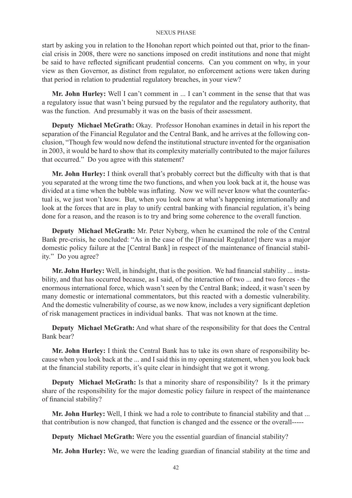start by asking you in relation to the Honohan report which pointed out that, prior to the financial crisis in 2008, there were no sanctions imposed on credit institutions and none that might be said to have reflected significant prudential concerns. Can you comment on why, in your view as then Governor, as distinct from regulator, no enforcement actions were taken during that period in relation to prudential regulatory breaches, in your view?

**Mr. John Hurley:** Well I can't comment in ... I can't comment in the sense that that was a regulatory issue that wasn't being pursued by the regulator and the regulatory authority, that was the function. And presumably it was on the basis of their assessment.

**Deputy Michael McGrath:** Okay. Professor Honohan examines in detail in his report the separation of the Financial Regulator and the Central Bank, and he arrives at the following conclusion, "Though few would now defend the institutional structure invented for the organisation in 2003, it would be hard to show that its complexity materially contributed to the major failures that occurred." Do you agree with this statement?

**Mr. John Hurley:** I think overall that's probably correct but the difficulty with that is that you separated at the wrong time the two functions, and when you look back at it, the house was divided at a time when the bubble was inflating. Now we will never know what the counterfactual is, we just won't know. But, when you look now at what's happening internationally and look at the forces that are in play to unify central banking with financial regulation, it's being done for a reason, and the reason is to try and bring some coherence to the overall function.

**Deputy Michael McGrath:** Mr. Peter Nyberg, when he examined the role of the Central Bank pre-crisis, he concluded: "As in the case of the [Financial Regulator] there was a major domestic policy failure at the [Central Bank] in respect of the maintenance of financial stability." Do you agree?

**Mr. John Hurley:** Well, in hindsight, that is the position. We had financial stability ... instability, and that has occurred because, as I said, of the interaction of two ... and two forces - the enormous international force, which wasn't seen by the Central Bank; indeed, it wasn't seen by many domestic or international commentators, but this reacted with a domestic vulnerability. And the domestic vulnerability of course, as we now know, includes a very significant depletion of risk management practices in individual banks. That was not known at the time.

**Deputy Michael McGrath:** And what share of the responsibility for that does the Central Bank bear?

**Mr. John Hurley:** I think the Central Bank has to take its own share of responsibility because when you look back at the ... and I said this in my opening statement, when you look back at the financial stability reports, it's quite clear in hindsight that we got it wrong.

**Deputy Michael McGrath:** Is that a minority share of responsibility? Is it the primary share of the responsibility for the major domestic policy failure in respect of the maintenance of financial stability?

**Mr. John Hurley:** Well, I think we had a role to contribute to financial stability and that ... that contribution is now changed, that function is changed and the essence or the overall-----

**Deputy Michael McGrath:** Were you the essential guardian of financial stability?

**Mr. John Hurley:** We, we were the leading guardian of financial stability at the time and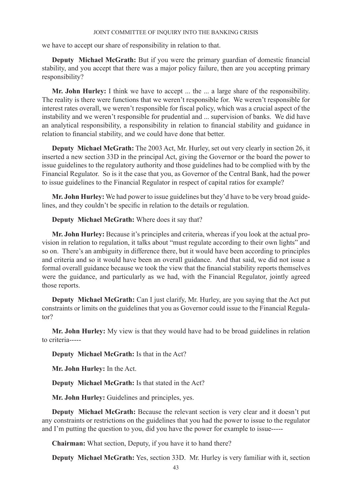we have to accept our share of responsibility in relation to that.

**Deputy Michael McGrath:** But if you were the primary guardian of domestic financial stability, and you accept that there was a major policy failure, then are you accepting primary responsibility?

**Mr. John Hurley:** I think we have to accept ... the ... a large share of the responsibility. The reality is there were functions that we weren't responsible for. We weren't responsible for interest rates overall, we weren't responsible for fiscal policy, which was a crucial aspect of the instability and we weren't responsible for prudential and ... supervision of banks. We did have an analytical responsibility, a responsibility in relation to financial stability and guidance in relation to financial stability, and we could have done that better.

**Deputy Michael McGrath:** The 2003 Act, Mr. Hurley, set out very clearly in section 26, it inserted a new section 33D in the principal Act, giving the Governor or the board the power to issue guidelines to the regulatory authority and those guidelines had to be complied with by the Financial Regulator. So is it the case that you, as Governor of the Central Bank, had the power to issue guidelines to the Financial Regulator in respect of capital ratios for example?

**Mr. John Hurley:** We had power to issue guidelines but they'd have to be very broad guidelines, and they couldn't be specific in relation to the details or regulation.

**Deputy Michael McGrath:** Where does it say that?

**Mr. John Hurley:** Because it's principles and criteria, whereas if you look at the actual provision in relation to regulation, it talks about "must regulate according to their own lights" and so on. There's an ambiguity in difference there, but it would have been according to principles and criteria and so it would have been an overall guidance. And that said, we did not issue a formal overall guidance because we took the view that the financial stability reports themselves were the guidance, and particularly as we had, with the Financial Regulator, jointly agreed those reports.

**Deputy Michael McGrath:** Can I just clarify, Mr. Hurley, are you saying that the Act put constraints or limits on the guidelines that you as Governor could issue to the Financial Regulator?

**Mr. John Hurley:** My view is that they would have had to be broad guidelines in relation to criteria-----

**Deputy Michael McGrath:** Is that in the Act?

**Mr. John Hurley:** In the Act.

**Deputy Michael McGrath:** Is that stated in the Act?

**Mr. John Hurley:** Guidelines and principles, yes.

**Deputy Michael McGrath:** Because the relevant section is very clear and it doesn't put any constraints or restrictions on the guidelines that you had the power to issue to the regulator and I'm putting the question to you, did you have the power for example to issue-----

**Chairman:** What section, Deputy, if you have it to hand there?

**Deputy Michael McGrath:** Yes, section 33D. Mr. Hurley is very familiar with it, section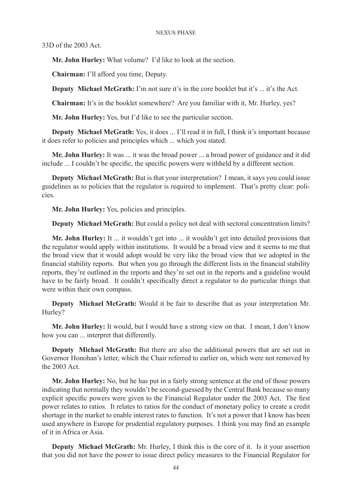33D of the 2003 Act.

**Mr. John Hurley:** What volume? I'd like to look at the section.

**Chairman:** I'll afford you time, Deputy.

**Deputy Michael McGrath:** I'm not sure it's in the core booklet but it's ... it's the Act.

**Chairman:** It's in the booklet somewhere? Are you familiar with it, Mr. Hurley, yes?

**Mr. John Hurley:** Yes, but I'd like to see the particular section.

**Deputy Michael McGrath:** Yes, it does ... I'll read it in full, I think it's important because it does refer to policies and principles which ... which you stated.

**Mr. John Hurley:** It was ... it was the broad power ... a broad power of guidance and it did include ... I couldn't be specific, the specific powers were withheld by a different section.

**Deputy Michael McGrath:** But is that your interpretation? I mean, it says you could issue guidelines as to policies that the regulator is required to implement. That's pretty clear: policies.

**Mr. John Hurley:** Yes, policies and principles.

**Deputy Michael McGrath:** But could a policy not deal with sectoral concentration limits?

**Mr. John Hurley:** It ... it wouldn't get into ... it wouldn't get into detailed provisions that the regulator would apply within institutions. It would be a broad view and it seems to me that the broad view that it would adopt would be very like the broad view that we adopted in the financial stability reports. But when you go through the different lists in the financial stability reports, they're outlined in the reports and they're set out in the reports and a guideline would have to be fairly broad. It couldn't specifically direct a regulator to do particular things that were within their own compass.

**Deputy Michael McGrath:** Would it be fair to describe that as your interpretation Mr. Hurley?

**Mr. John Hurley:** It would, but I would have a strong view on that. I mean, I don't know how you can ... interpret that differently.

**Deputy Michael McGrath:** But there are also the additional powers that are set out in Governor Honohan's letter, which the Chair referred to earlier on, which were not removed by the 2003 Act.

**Mr. John Hurley:** No, but he has put in a fairly strong sentence at the end of those powers indicating that normally they wouldn't be second-guessed by the Central Bank because so many explicit specific powers were given to the Financial Regulator under the 2003 Act. The first power relates to ratios. It relates to ratios for the conduct of monetary policy to create a credit shortage in the market to enable interest rates to function. It's not a power that I know has been used anywhere in Europe for prudential regulatory purposes. I think you may find an example of it in Africa or Asia.

**Deputy Michael McGrath:** Mr. Hurley, I think this is the core of it. Is it your assertion that you did not have the power to issue direct policy measures to the Financial Regulator for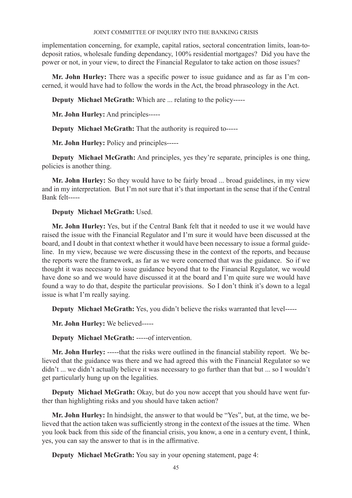implementation concerning, for example, capital ratios, sectoral concentration limits, loan-todeposit ratios, wholesale funding dependancy, 100% residential mortgages? Did you have the power or not, in your view, to direct the Financial Regulator to take action on those issues?

**Mr. John Hurley:** There was a specific power to issue guidance and as far as I'm concerned, it would have had to follow the words in the Act, the broad phraseology in the Act.

**Deputy Michael McGrath:** Which are ... relating to the policy-----

**Mr. John Hurley:** And principles-----

**Deputy Michael McGrath:** That the authority is required to-----

**Mr. John Hurley:** Policy and principles-----

**Deputy Michael McGrath:** And principles, yes they're separate, principles is one thing, policies is another thing.

**Mr. John Hurley:** So they would have to be fairly broad ... broad guidelines, in my view and in my interpretation. But I'm not sure that it's that important in the sense that if the Central Bank felt-----

# **Deputy Michael McGrath:** Used.

**Mr. John Hurley:** Yes, but if the Central Bank felt that it needed to use it we would have raised the issue with the Financial Regulator and I'm sure it would have been discussed at the board, and I doubt in that context whether it would have been necessary to issue a formal guideline. In my view, because we were discussing these in the context of the reports, and because the reports were the framework, as far as we were concerned that was the guidance. So if we thought it was necessary to issue guidance beyond that to the Financial Regulator, we would have done so and we would have discussed it at the board and I'm quite sure we would have found a way to do that, despite the particular provisions. So I don't think it's down to a legal issue is what I'm really saying.

**Deputy Michael McGrath:** Yes, you didn't believe the risks warranted that level-----

**Mr. John Hurley:** We believed-----

**Deputy Michael McGrath:** -----of intervention.

**Mr. John Hurley:** -----that the risks were outlined in the financial stability report. We believed that the guidance was there and we had agreed this with the Financial Regulator so we didn't ... we didn't actually believe it was necessary to go further than that but ... so I wouldn't get particularly hung up on the legalities.

**Deputy Michael McGrath:** Okay, but do you now accept that you should have went further than highlighting risks and you should have taken action?

**Mr. John Hurley:** In hindsight, the answer to that would be "Yes", but, at the time, we believed that the action taken was sufficiently strong in the context of the issues at the time. When you look back from this side of the financial crisis, you know, a one in a century event, I think, yes, you can say the answer to that is in the affirmative.

**Deputy Michael McGrath:** You say in your opening statement, page 4: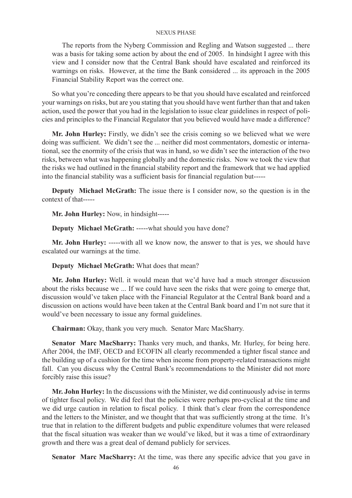The reports from the Nyberg Commission and Regling and Watson suggested ... there was a basis for taking some action by about the end of 2005. In hindsight I agree with this view and I consider now that the Central Bank should have escalated and reinforced its warnings on risks. However, at the time the Bank considered ... its approach in the 2005 Financial Stability Report was the correct one.

So what you're conceding there appears to be that you should have escalated and reinforced your warnings on risks, but are you stating that you should have went further than that and taken action, used the power that you had in the legislation to issue clear guidelines in respect of policies and principles to the Financial Regulator that you believed would have made a difference?

**Mr. John Hurley:** Firstly, we didn't see the crisis coming so we believed what we were doing was sufficient. We didn't see the ... neither did most commentators, domestic or international, see the enormity of the crisis that was in hand, so we didn't see the interaction of the two risks, between what was happening globally and the domestic risks. Now we took the view that the risks we had outlined in the financial stability report and the framework that we had applied into the financial stability was a sufficient basis for financial regulation but-----

**Deputy Michael McGrath:** The issue there is I consider now, so the question is in the context of that-----

**Mr. John Hurley:** Now, in hindsight-----

**Deputy Michael McGrath:** -----what should you have done?

**Mr. John Hurley:** -----with all we know now, the answer to that is yes, we should have escalated our warnings at the time.

**Deputy Michael McGrath:** What does that mean?

**Mr. John Hurley:** Well. it would mean that we'd have had a much stronger discussion about the risks because we ... If we could have seen the risks that were going to emerge that, discussion would've taken place with the Financial Regulator at the Central Bank board and a discussion on actions would have been taken at the Central Bank board and I'm not sure that it would've been necessary to issue any formal guidelines.

**Chairman:** Okay, thank you very much. Senator Marc MacSharry.

**Senator Marc MacSharry:** Thanks very much, and thanks, Mr. Hurley, for being here. After 2004, the IMF, OECD and ECOFIN all clearly recommended a tighter fiscal stance and the building up of a cushion for the time when income from property-related transactions might fall. Can you discuss why the Central Bank's recommendations to the Minister did not more forcibly raise this issue?

**Mr. John Hurley:** In the discussions with the Minister, we did continuously advise in terms of tighter fiscal policy. We did feel that the policies were perhaps pro-cyclical at the time and we did urge caution in relation to fiscal policy. I think that's clear from the correspondence and the letters to the Minister, and we thought that that was sufficiently strong at the time. It's true that in relation to the different budgets and public expenditure volumes that were released that the fiscal situation was weaker than we would've liked, but it was a time of extraordinary growth and there was a great deal of demand publicly for services.

**Senator Marc MacSharry:** At the time, was there any specific advice that you gave in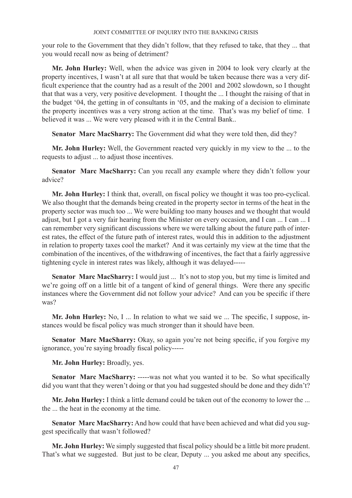your role to the Government that they didn't follow, that they refused to take, that they ... that you would recall now as being of detriment?

**Mr. John Hurley:** Well, when the advice was given in 2004 to look very clearly at the property incentives, I wasn't at all sure that that would be taken because there was a very difficult experience that the country had as a result of the 2001 and 2002 slowdown, so I thought that that was a very, very positive development. I thought the ... I thought the raising of that in the budget '04, the getting in of consultants in '05, and the making of a decision to eliminate the property incentives was a very strong action at the time. That's was my belief of time. I believed it was ... We were very pleased with it in the Central Bank..

**Senator Marc MacSharry:** The Government did what they were told then, did they?

**Mr. John Hurley:** Well, the Government reacted very quickly in my view to the ... to the requests to adjust ... to adjust those incentives.

**Senator Marc MacSharry:** Can you recall any example where they didn't follow your advice?

**Mr. John Hurley:** I think that, overall, on fiscal policy we thought it was too pro-cyclical. We also thought that the demands being created in the property sector in terms of the heat in the property sector was much too ... We were building too many houses and we thought that would adjust, but I got a very fair hearing from the Minister on every occasion, and I can ... I can ... I can remember very significant discussions where we were talking about the future path of interest rates, the effect of the future path of interest rates, would this in addition to the adjustment in relation to property taxes cool the market? And it was certainly my view at the time that the combination of the incentives, of the withdrawing of incentives, the fact that a fairly aggressive tightening cycle in interest rates was likely, although it was delayed-----

**Senator Marc MacSharry:** I would just ... It's not to stop you, but my time is limited and we're going off on a little bit of a tangent of kind of general things. Were there any specific instances where the Government did not follow your advice? And can you be specific if there was?

**Mr. John Hurley:** No, I ... In relation to what we said we ... The specific, I suppose, instances would be fiscal policy was much stronger than it should have been.

**Senator Marc MacSharry:** Okay, so again you're not being specific, if you forgive my ignorance, you're saying broadly fiscal policy-----

**Mr. John Hurley:** Broadly, yes.

**Senator Marc MacSharry:** -----was not what you wanted it to be. So what specifically did you want that they weren't doing or that you had suggested should be done and they didn't?

**Mr. John Hurley:** I think a little demand could be taken out of the economy to lower the ... the ... the heat in the economy at the time.

**Senator Marc MacSharry:** And how could that have been achieved and what did you suggest specifically that wasn't followed?

**Mr. John Hurley:** We simply suggested that fiscal policy should be a little bit more prudent. That's what we suggested. But just to be clear, Deputy ... you asked me about any specifics,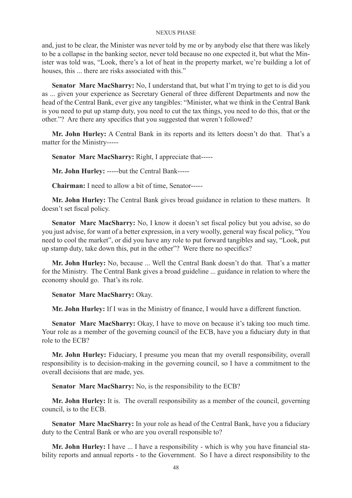and, just to be clear, the Minister was never told by me or by anybody else that there was likely to be a collapse in the banking sector, never told because no one expected it, but what the Minister was told was, "Look, there's a lot of heat in the property market, we're building a lot of houses, this ... there are risks associated with this."

**Senator Marc MacSharry:** No, I understand that, but what I'm trying to get to is did you as ... given your experience as Secretary General of three different Departments and now the head of the Central Bank, ever give any tangibles: "Minister, what we think in the Central Bank is you need to put up stamp duty, you need to cut the tax things, you need to do this, that or the other."? Are there any specifics that you suggested that weren't followed?

**Mr. John Hurley:** A Central Bank in its reports and its letters doesn't do that. That's a matter for the Ministry-----

**Senator Marc MacSharry:** Right, I appreciate that-----

**Mr. John Hurley:** -----but the Central Bank-----

**Chairman:** I need to allow a bit of time, Senator-----

**Mr. John Hurley:** The Central Bank gives broad guidance in relation to these matters. It doesn't set fiscal policy.

Senator Marc MacSharry: No, I know it doesn't set fiscal policy but you advise, so do you just advise, for want of a better expression, in a very woolly, general way fiscal policy, "You need to cool the market", or did you have any role to put forward tangibles and say, "Look, put up stamp duty, take down this, put in the other"? Were there no specifics?

**Mr. John Hurley:** No, because ... Well the Central Bank doesn't do that. That's a matter for the Ministry. The Central Bank gives a broad guideline ... guidance in relation to where the economy should go. That's its role.

**Senator Marc MacSharry:** Okay.

**Mr. John Hurley:** If I was in the Ministry of finance, I would have a different function.

**Senator Marc MacSharry:** Okay, I have to move on because it's taking too much time. Your role as a member of the governing council of the ECB, have you a fiduciary duty in that role to the ECB?

**Mr. John Hurley:** Fiduciary, I presume you mean that my overall responsibility, overall responsibility is to decision-making in the governing council, so I have a commitment to the overall decisions that are made, yes.

**Senator Marc MacSharry:** No, is the responsibility to the ECB?

**Mr. John Hurley:** It is. The overall responsibility as a member of the council, governing council, is to the ECB.

**Senator Marc MacSharry:** In your role as head of the Central Bank, have you a fiduciary duty to the Central Bank or who are you overall responsible to?

**Mr. John Hurley:** I have ... I have a responsibility - which is why you have financial stability reports and annual reports - to the Government. So I have a direct responsibility to the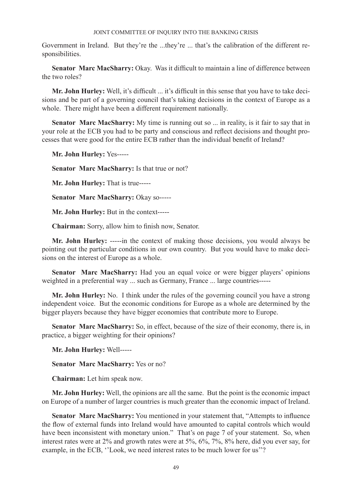Government in Ireland. But they're the ...they're ... that's the calibration of the different responsibilities.

**Senator Marc MacSharry:** Okay. Was it difficult to maintain a line of difference between the two roles?

**Mr. John Hurley:** Well, it's difficult ... it's difficult in this sense that you have to take decisions and be part of a governing council that's taking decisions in the context of Europe as a whole. There might have been a different requirement nationally.

**Senator Marc MacSharry:** My time is running out so ... in reality, is it fair to say that in your role at the ECB you had to be party and conscious and reflect decisions and thought processes that were good for the entire ECB rather than the individual benefit of Ireland?

**Mr. John Hurley:** Yes-----

**Senator Marc MacSharry:** Is that true or not?

**Mr. John Hurley:** That is true-----

**Senator Marc MacSharry:** Okay so-----

**Mr. John Hurley:** But in the context-----

**Chairman:** Sorry, allow him to finish now, Senator.

**Mr. John Hurley:** -----in the context of making those decisions, you would always be pointing out the particular conditions in our own country. But you would have to make decisions on the interest of Europe as a whole.

**Senator Marc MacSharry:** Had you an equal voice or were bigger players' opinions weighted in a preferential way ... such as Germany, France ... large countries-----

**Mr. John Hurley:** No. I think under the rules of the governing council you have a strong independent voice. But the economic conditions for Europe as a whole are determined by the bigger players because they have bigger economies that contribute more to Europe.

**Senator Marc MacSharry:** So, in effect, because of the size of their economy, there is, in practice, a bigger weighting for their opinions?

**Mr. John Hurley:** Well-----

**Senator Marc MacSharry:** Yes or no?

**Chairman:** Let him speak now.

**Mr. John Hurley:** Well, the opinions are all the same. But the point is the economic impact on Europe of a number of larger countries is much greater than the economic impact of Ireland.

**Senator Marc MacSharry:** You mentioned in your statement that, "Attempts to influence the flow of external funds into Ireland would have amounted to capital controls which would have been inconsistent with monetary union." That's on page 7 of your statement. So, when interest rates were at 2% and growth rates were at 5%, 6%, 7%, 8% here, did you ever say, for example, in the ECB, ''Look, we need interest rates to be much lower for us''?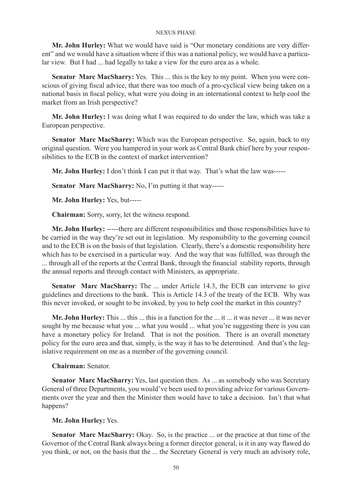**Mr. John Hurley:** What we would have said is "Our monetary conditions are very different" and we would have a situation where if this was a national policy, we would have a particular view. But I had ... had legally to take a view for the euro area as a whole.

**Senator Marc MacSharry:** Yes. This ... this is the key to my point. When you were conscious of giving fiscal advice, that there was too much of a pro-cyclical view being taken on a national basis in fiscal policy, what were you doing in an international context to help cool the market from an Irish perspective?

**Mr. John Hurley:** I was doing what I was required to do under the law, which was take a European perspective.

**Senator Marc MacSharry:** Which was the European perspective. So, again, back to my original question. Were you hampered in your work as Central Bank chief here by your responsibilities to the ECB in the context of market intervention?

**Mr. John Hurley:** I don't think I can put it that way. That's what the law was-----

**Senator Marc MacSharry:** No, I'm putting it that way-----

**Mr. John Hurley:** Yes, but-----

**Chairman:** Sorry, sorry, let the witness respond.

**Mr. John Hurley:** -----there are different responsibilities and those responsibilities have to be carried in the way they're set out in legislation. My responsibility to the governing council and to the ECB is on the basis of that legislation. Clearly, there's a domestic responsibility here which has to be exercised in a particular way. And the way that was fulfilled, was through the ... through all of the reports at the Central Bank, through the financial stability reports, through the annual reports and through contact with Ministers, as appropriate.

**Senator Marc MacSharry:** The ... under Article 14.3, the ECB can intervene to give guidelines and directions to the bank. This is Article 14.3 of the treaty of the ECB. Why was this never invoked, or sought to be invoked, by you to help cool the market in this country?

**Mr. John Hurley:** This ... this ... this is a function for the ... it ... it was never ... it was never sought by me because what you ... what you would ... what you're suggesting there is you can have a monetary policy for Ireland. That is not the position. There is an overall monetary policy for the euro area and that, simply, is the way it has to be determined. And that's the legislative requirement on me as a member of the governing council.

**Chairman:** Senator.

**Senator Marc MacSharry:** Yes, last question then. As ... as somebody who was Secretary General of three Departments, you would've been used to providing advice for various Governments over the year and then the Minister then would have to take a decision. Isn't that what happens?

**Mr. John Hurley:** Yes.

**Senator Marc MacSharry:** Okay. So, is the practice ... or the practice at that time of the Governor of the Central Bank always being a former director general, is it in any way flawed do you think, or not, on the basis that the ... the Secretary General is very much an advisory role,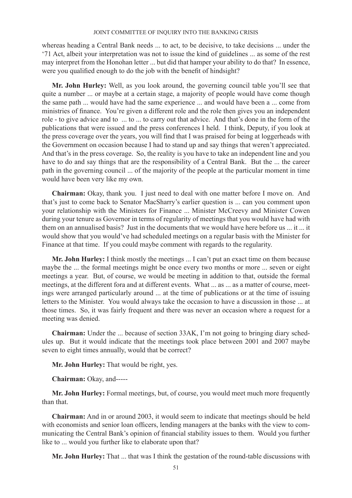whereas heading a Central Bank needs ... to act, to be decisive, to take decisions ... under the '71 Act, albeit your interpretation was not to issue the kind of guidelines ... as some of the rest may interpret from the Honohan letter ... but did that hamper your ability to do that? In essence, were you qualified enough to do the job with the benefit of hindsight?

**Mr. John Hurley:** Well, as you look around, the governing council table you'll see that quite a number ... or maybe at a certain stage, a majority of people would have come though the same path ... would have had the same experience ... and would have been a ... come from ministries of finance. You're given a different role and the role then gives you an independent role - to give advice and to ... to ... to carry out that advice. And that's done in the form of the publications that were issued and the press conferences I held. I think, Deputy, if you look at the press coverage over the years, you will find that I was praised for being at loggerheads with the Government on occasion because I had to stand up and say things that weren't appreciated. And that's in the press coverage. So, the reality is you have to take an independent line and you have to do and say things that are the responsibility of a Central Bank. But the ... the career path in the governing council ... of the majority of the people at the particular moment in time would have been very like my own.

**Chairman:** Okay, thank you. I just need to deal with one matter before I move on. And that's just to come back to Senator MacSharry's earlier question is ... can you comment upon your relationship with the Ministers for Finance ... Minister McCreevy and Minister Cowen during your tenure as Governor in terms of regularity of meetings that you would have had with them on an annualised basis? Just in the documents that we would have here before us ... it ... it would show that you would've had scheduled meetings on a regular basis with the Minister for Finance at that time. If you could maybe comment with regards to the regularity.

**Mr. John Hurley:** I think mostly the meetings ... I can't put an exact time on them because maybe the ... the formal meetings might be once every two months or more ... seven or eight meetings a year. But, of course, we would be meeting in addition to that, outside the formal meetings, at the different fora and at different events. What ... as ... as a matter of course, meetings were arranged particularly around ... at the time of publications or at the time of issuing letters to the Minister. You would always take the occasion to have a discussion in those ... at those times. So, it was fairly frequent and there was never an occasion where a request for a meeting was denied.

**Chairman:** Under the ... because of section 33AK, I'm not going to bringing diary schedules up. But it would indicate that the meetings took place between 2001 and 2007 maybe seven to eight times annually, would that be correct?

**Mr. John Hurley:** That would be right, yes.

**Chairman:** Okay, and-----

**Mr. John Hurley:** Formal meetings, but, of course, you would meet much more frequently than that.

**Chairman:** And in or around 2003, it would seem to indicate that meetings should be held with economists and senior loan officers, lending managers at the banks with the view to communicating the Central Bank's opinion of financial stability issues to them. Would you further like to ... would you further like to elaborate upon that?

**Mr. John Hurley:** That ... that was I think the gestation of the round-table discussions with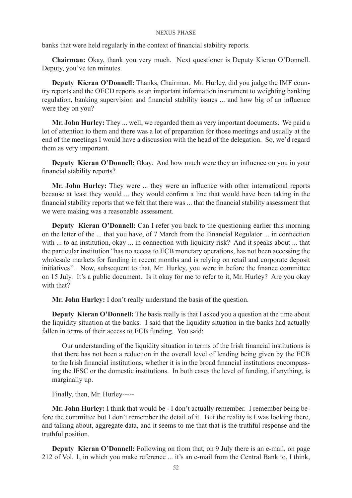banks that were held regularly in the context of financial stability reports.

**Chairman:** Okay, thank you very much. Next questioner is Deputy Kieran O'Donnell. Deputy, you've ten minutes.

**Deputy Kieran O'Donnell:** Thanks, Chairman. Mr. Hurley, did you judge the IMF country reports and the OECD reports as an important information instrument to weighting banking regulation, banking supervision and financial stability issues ... and how big of an influence were they on you?

**Mr. John Hurley:** They ... well, we regarded them as very important documents. We paid a lot of attention to them and there was a lot of preparation for those meetings and usually at the end of the meetings I would have a discussion with the head of the delegation. So, we'd regard them as very important.

**Deputy Kieran O'Donnell:** Okay. And how much were they an influence on you in your financial stability reports?

**Mr. John Hurley:** They were ... they were an influence with other international reports because at least they would ... they would confirm a line that would have been taking in the financial stability reports that we felt that there was ... that the financial stability assessment that we were making was a reasonable assessment.

**Deputy Kieran O'Donnell:** Can I refer you back to the questioning earlier this morning on the letter of the ... that you have, of 7 March from the Financial Regulator ... in connection with ... to an institution, okay ... in connection with liquidity risk? And it speaks about ... that the particular institution "has no access to ECB monetary operations, has not been accessing the wholesale markets for funding in recent months and is relying on retail and corporate deposit initiatives''. Now, subsequent to that, Mr. Hurley, you were in before the finance committee on 15 July. It's a public document. Is it okay for me to refer to it, Mr. Hurley? Are you okay with that?

**Mr. John Hurley:** I don't really understand the basis of the question.

**Deputy Kieran O'Donnell:** The basis really is that I asked you a question at the time about the liquidity situation at the banks. I said that the liquidity situation in the banks had actually fallen in terms of their access to ECB funding. You said:

Our understanding of the liquidity situation in terms of the Irish financial institutions is that there has not been a reduction in the overall level of lending being given by the ECB to the Irish financial institutions, whether it is in the broad financial institutions encompassing the IFSC or the domestic institutions. In both cases the level of funding, if anything, is marginally up.

Finally, then, Mr. Hurley-----

**Mr. John Hurley:** I think that would be - I don't actually remember. I remember being before the committee but I don't remember the detail of it. But the reality is I was looking there, and talking about, aggregate data, and it seems to me that that is the truthful response and the truthful position.

**Deputy Kieran O'Donnell:** Following on from that, on 9 July there is an e-mail, on page 212 of Vol. 1, in which you make reference ... it's an e-mail from the Central Bank to, I think,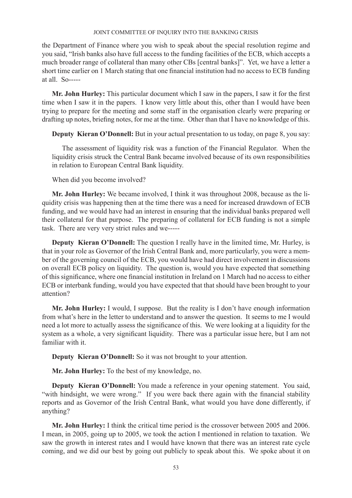the Department of Finance where you wish to speak about the special resolution regime and you said, "Irish banks also have full access to the funding facilities of the ECB, which accepts a much broader range of collateral than many other CBs [central banks]". Yet, we have a letter a short time earlier on 1 March stating that one financial institution had no access to ECB funding at all.  $So---$ 

**Mr. John Hurley:** This particular document which I saw in the papers, I saw it for the first time when I saw it in the papers. I know very little about this, other than I would have been trying to prepare for the meeting and some staff in the organisation clearly were preparing or drafting up notes, briefing notes, for me at the time. Other than that I have no knowledge of this.

**Deputy Kieran O'Donnell:** But in your actual presentation to us today, on page 8, you say:

The assessment of liquidity risk was a function of the Financial Regulator. When the liquidity crisis struck the Central Bank became involved because of its own responsibilities in relation to European Central Bank liquidity.

When did you become involved?

**Mr. John Hurley:** We became involved, I think it was throughout 2008, because as the liquidity crisis was happening then at the time there was a need for increased drawdown of ECB funding, and we would have had an interest in ensuring that the individual banks prepared well their collateral for that purpose. The preparing of collateral for ECB funding is not a simple task. There are very very strict rules and we-----

**Deputy Kieran O'Donnell:** The question I really have in the limited time, Mr. Hurley, is that in your role as Governor of the Irish Central Bank and, more particularly, you were a member of the governing council of the ECB, you would have had direct involvement in discussions on overall ECB policy on liquidity. The question is, would you have expected that something of this significance, where one financial institution in Ireland on 1 March had no access to either ECB or interbank funding, would you have expected that that should have been brought to your attention?

**Mr. John Hurley:** I would, I suppose. But the reality is I don't have enough information from what's here in the letter to understand and to answer the question. It seems to me I would need a lot more to actually assess the significance of this. We were looking at a liquidity for the system as a whole, a very significant liquidity. There was a particular issue here, but I am not familiar with it.

**Deputy Kieran O'Donnell:** So it was not brought to your attention.

**Mr. John Hurley:** To the best of my knowledge, no.

**Deputy Kieran O'Donnell:** You made a reference in your opening statement. You said, "with hindsight, we were wrong." If you were back there again with the financial stability reports and as Governor of the Irish Central Bank, what would you have done differently, if anything?

**Mr. John Hurley:** I think the critical time period is the crossover between 2005 and 2006. I mean, in 2005, going up to 2005, we took the action I mentioned in relation to taxation. We saw the growth in interest rates and I would have known that there was an interest rate cycle coming, and we did our best by going out publicly to speak about this. We spoke about it on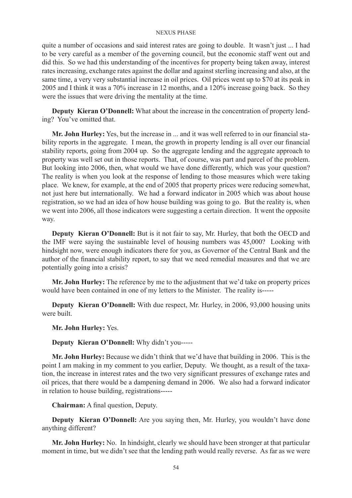quite a number of occasions and said interest rates are going to double. It wasn't just ... I had to be very careful as a member of the governing council, but the economic staff went out and did this. So we had this understanding of the incentives for property being taken away, interest rates increasing, exchange rates against the dollar and against sterling increasing and also, at the same time, a very very substantial increase in oil prices. Oil prices went up to \$70 at its peak in 2005 and I think it was a 70% increase in 12 months, and a 120% increase going back. So they were the issues that were driving the mentality at the time.

**Deputy Kieran O'Donnell:** What about the increase in the concentration of property lending? You've omitted that.

**Mr. John Hurley:** Yes, but the increase in ... and it was well referred to in our financial stability reports in the aggregate. I mean, the growth in property lending is all over our financial stability reports, going from 2004 up. So the aggregate lending and the aggregate approach to property was well set out in those reports. That, of course, was part and parcel of the problem. But looking into 2006, then, what would we have done differently, which was your question? The reality is when you look at the response of lending to those measures which were taking place. We knew, for example, at the end of 2005 that property prices were reducing somewhat, not just here but internationally. We had a forward indicator in 2005 which was about house registration, so we had an idea of how house building was going to go. But the reality is, when we went into 2006, all those indicators were suggesting a certain direction. It went the opposite way.

**Deputy Kieran O'Donnell:** But is it not fair to say, Mr. Hurley, that both the OECD and the IMF were saying the sustainable level of housing numbers was 45,000? Looking with hindsight now, were enough indicators there for you, as Governor of the Central Bank and the author of the financial stability report, to say that we need remedial measures and that we are potentially going into a crisis?

**Mr. John Hurley:** The reference by me to the adjustment that we'd take on property prices would have been contained in one of my letters to the Minister. The reality is-----

**Deputy Kieran O'Donnell:** With due respect, Mr. Hurley, in 2006, 93,000 housing units were built.

**Mr. John Hurley:** Yes.

**Deputy Kieran O'Donnell:** Why didn't you-----

**Mr. John Hurley:** Because we didn't think that we'd have that building in 2006. This is the point I am making in my comment to you earlier, Deputy. We thought, as a result of the taxation, the increase in interest rates and the two very significant pressures of exchange rates and oil prices, that there would be a dampening demand in 2006. We also had a forward indicator in relation to house building, registrations-----

**Chairman:** A final question, Deputy.

**Deputy Kieran O'Donnell:** Are you saying then, Mr. Hurley, you wouldn't have done anything different?

**Mr. John Hurley:** No. In hindsight, clearly we should have been stronger at that particular moment in time, but we didn't see that the lending path would really reverse. As far as we were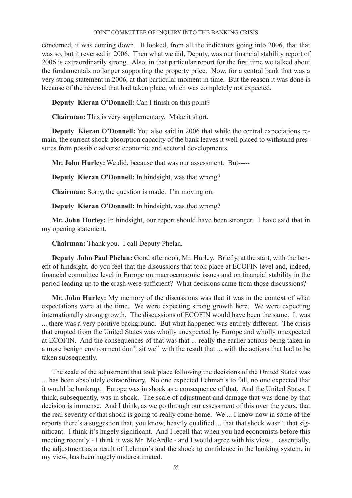concerned, it was coming down. It looked, from all the indicators going into 2006, that that was so, but it reversed in 2006. Then what we did, Deputy, was our financial stability report of 2006 is extraordinarily strong. Also, in that particular report for the first time we talked about the fundamentals no longer supporting the property price. Now, for a central bank that was a very strong statement in 2006, at that particular moment in time. But the reason it was done is because of the reversal that had taken place, which was completely not expected.

**Deputy Kieran O'Donnell:** Can I finish on this point?

**Chairman:** This is very supplementary. Make it short.

**Deputy Kieran O'Donnell:** You also said in 2006 that while the central expectations remain, the current shock-absorption capacity of the bank leaves it well placed to withstand pressures from possible adverse economic and sectoral developments.

**Mr. John Hurley:** We did, because that was our assessment. But-----

**Deputy Kieran O'Donnell:** In hindsight, was that wrong?

**Chairman:** Sorry, the question is made. I'm moving on.

**Deputy Kieran O'Donnell:** In hindsight, was that wrong?

**Mr. John Hurley:** In hindsight, our report should have been stronger. I have said that in my opening statement.

**Chairman:** Thank you. I call Deputy Phelan.

**Deputy John Paul Phelan:** Good afternoon, Mr. Hurley. Briefly, at the start, with the benefit of hindsight, do you feel that the discussions that took place at ECOFIN level and, indeed, financial committee level in Europe on macroeconomic issues and on financial stability in the period leading up to the crash were sufficient? What decisions came from those discussions?

**Mr. John Hurley:** My memory of the discussions was that it was in the context of what expectations were at the time. We were expecting strong growth here. We were expecting internationally strong growth. The discussions of ECOFIN would have been the same. It was ... there was a very positive background. But what happened was entirely different. The crisis that erupted from the United States was wholly unexpected by Europe and wholly unexpected at ECOFIN. And the consequences of that was that ... really the earlier actions being taken in a more benign environment don't sit well with the result that ... with the actions that had to be taken subsequently.

The scale of the adjustment that took place following the decisions of the United States was ... has been absolutely extraordinary. No one expected Lehman's to fall, no one expected that it would be bankrupt. Europe was in shock as a consequence of that. And the United States, I think, subsequently, was in shock. The scale of adjustment and damage that was done by that decision is immense. And I think, as we go through our assessment of this over the years, that the real severity of that shock is going to really come home. We ... I know now in some of the reports there's a suggestion that, you know, heavily qualified ... that that shock wasn't that significant. I think it's hugely significant. And I recall that when you had economists before this meeting recently - I think it was Mr. McArdle - and I would agree with his view ... essentially, the adjustment as a result of Lehman's and the shock to confidence in the banking system, in my view, has been hugely underestimated.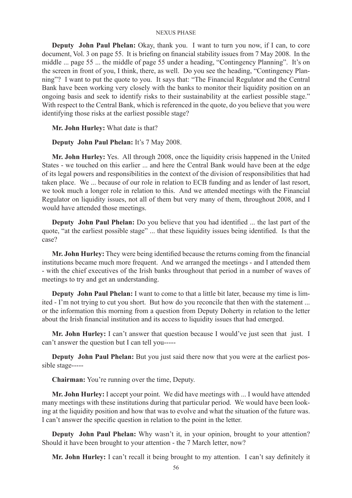**Deputy John Paul Phelan:** Okay, thank you. I want to turn you now, if I can, to core document, Vol. 3 on page 55. It is briefing on financial stability issues from 7 May 2008. In the middle ... page 55 ... the middle of page 55 under a heading, "Contingency Planning". It's on the screen in front of you, I think, there, as well. Do you see the heading, "Contingency Planning"? I want to put the quote to you. It says that: "The Financial Regulator and the Central Bank have been working very closely with the banks to monitor their liquidity position on an ongoing basis and seek to identify risks to their sustainability at the earliest possible stage." With respect to the Central Bank, which is referenced in the quote, do you believe that you were identifying those risks at the earliest possible stage?

# **Mr. John Hurley:** What date is that?

# **Deputy John Paul Phelan:** It's 7 May 2008.

**Mr. John Hurley:** Yes. All through 2008, once the liquidity crisis happened in the United States - we touched on this earlier ... and here the Central Bank would have been at the edge of its legal powers and responsibilities in the context of the division of responsibilities that had taken place. We ... because of our role in relation to ECB funding and as lender of last resort, we took much a longer role in relation to this. And we attended meetings with the Financial Regulator on liquidity issues, not all of them but very many of them, throughout 2008, and I would have attended those meetings.

**Deputy John Paul Phelan:** Do you believe that you had identified ... the last part of the quote, "at the earliest possible stage" ... that these liquidity issues being identified. Is that the case?

**Mr. John Hurley:** They were being identified because the returns coming from the financial institutions became much more frequent. And we arranged the meetings - and I attended them - with the chief executives of the Irish banks throughout that period in a number of waves of meetings to try and get an understanding.

**Deputy John Paul Phelan:** I want to come to that a little bit later, because my time is limited - I'm not trying to cut you short. But how do you reconcile that then with the statement ... or the information this morning from a question from Deputy Doherty in relation to the letter about the Irish financial institution and its access to liquidity issues that had emerged.

**Mr. John Hurley:** I can't answer that question because I would've just seen that just. I can't answer the question but I can tell you-----

**Deputy John Paul Phelan:** But you just said there now that you were at the earliest possible stage-----

**Chairman:** You're running over the time, Deputy.

**Mr. John Hurley:** I accept your point. We did have meetings with ... I would have attended many meetings with these institutions during that particular period. We would have been looking at the liquidity position and how that was to evolve and what the situation of the future was. I can't answer the specific question in relation to the point in the letter.

**Deputy John Paul Phelan:** Why wasn't it, in your opinion, brought to your attention? Should it have been brought to your attention - the 7 March letter, now?

**Mr. John Hurley:** I can't recall it being brought to my attention. I can't say definitely it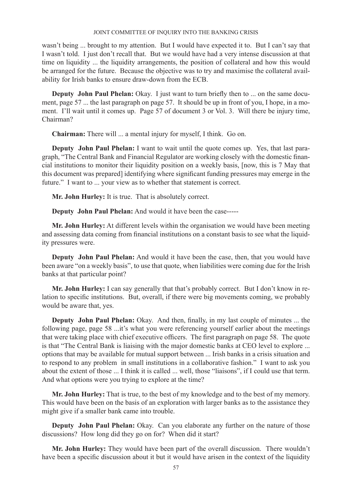wasn't being ... brought to my attention. But I would have expected it to. But I can't say that I wasn't told. I just don't recall that. But we would have had a very intense discussion at that time on liquidity ... the liquidity arrangements, the position of collateral and how this would be arranged for the future. Because the objective was to try and maximise the collateral availability for Irish banks to ensure draw-down from the ECB.

**Deputy John Paul Phelan:** Okay. I just want to turn briefly then to ... on the same document, page 57 ... the last paragraph on page 57. It should be up in front of you, I hope, in a moment. I'll wait until it comes up. Page 57 of document 3 or Vol. 3. Will there be injury time, Chairman?

**Chairman:** There will ... a mental injury for myself, I think. Go on.

**Deputy John Paul Phelan:** I want to wait until the quote comes up. Yes, that last paragraph, "The Central Bank and Financial Regulator are working closely with the domestic financial institutions to monitor their liquidity position on a weekly basis, [now, this is 7 May that this document was prepared] identifying where significant funding pressures may emerge in the future." I want to ... your view as to whether that statement is correct.

**Mr. John Hurley:** It is true. That is absolutely correct.

**Deputy John Paul Phelan:** And would it have been the case-----

**Mr. John Hurley:** At different levels within the organisation we would have been meeting and assessing data coming from financial institutions on a constant basis to see what the liquidity pressures were.

**Deputy John Paul Phelan:** And would it have been the case, then, that you would have been aware "on a weekly basis", to use that quote, when liabilities were coming due for the Irish banks at that particular point?

**Mr. John Hurley:** I can say generally that that's probably correct. But I don't know in relation to specific institutions. But, overall, if there were big movements coming, we probably would be aware that, yes.

**Deputy John Paul Phelan:** Okay. And then, finally, in my last couple of minutes ... the following page, page 58 ...it's what you were referencing yourself earlier about the meetings that were taking place with chief executive officers. The first paragraph on page 58. The quote is that "The Central Bank is liaising with the major domestic banks at CEO level to explore ... options that may be available for mutual support between ... Irish banks in a crisis situation and to respond to any problem in small institutions in a collaborative fashion." I want to ask you about the extent of those ... I think it is called ... well, those "liaisons", if I could use that term. And what options were you trying to explore at the time?

**Mr. John Hurley:** That is true, to the best of my knowledge and to the best of my memory. This would have been on the basis of an exploration with larger banks as to the assistance they might give if a smaller bank came into trouble.

**Deputy John Paul Phelan:** Okay. Can you elaborate any further on the nature of those discussions? How long did they go on for? When did it start?

**Mr. John Hurley:** They would have been part of the overall discussion. There wouldn't have been a specific discussion about it but it would have arisen in the context of the liquidity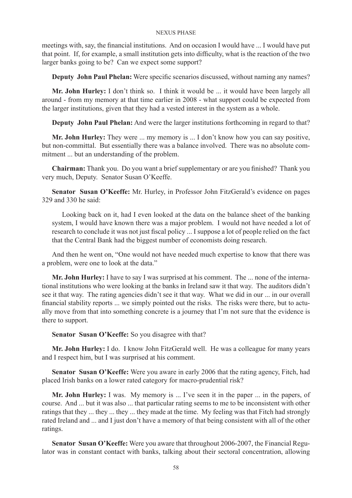meetings with, say, the financial institutions. And on occasion I would have ... I would have put that point. If, for example, a small institution gets into difficulty, what is the reaction of the two larger banks going to be? Can we expect some support?

**Deputy John Paul Phelan:** Were specific scenarios discussed, without naming any names?

**Mr. John Hurley:** I don't think so. I think it would be ... it would have been largely all around - from my memory at that time earlier in 2008 - what support could be expected from the larger institutions, given that they had a vested interest in the system as a whole.

**Deputy John Paul Phelan:** And were the larger institutions forthcoming in regard to that?

**Mr. John Hurley:** They were ... my memory is ... I don't know how you can say positive, but non-committal. But essentially there was a balance involved. There was no absolute commitment ... but an understanding of the problem.

**Chairman:** Thank you. Do you want a brief supplementary or are you finished? Thank you very much, Deputy. Senator Susan O'Keeffe.

**Senator Susan O'Keeffe:** Mr. Hurley, in Professor John FitzGerald's evidence on pages 329 and 330 he said:

Looking back on it, had I even looked at the data on the balance sheet of the banking system, I would have known there was a major problem. I would not have needed a lot of research to conclude it was not just fiscal policy ... I suppose a lot of people relied on the fact that the Central Bank had the biggest number of economists doing research.

And then he went on, "One would not have needed much expertise to know that there was a problem, were one to look at the data."

**Mr. John Hurley:** I have to say I was surprised at his comment. The ... none of the international institutions who were looking at the banks in Ireland saw it that way. The auditors didn't see it that way. The rating agencies didn't see it that way. What we did in our ... in our overall financial stability reports ... we simply pointed out the risks. The risks were there, but to actually move from that into something concrete is a journey that I'm not sure that the evidence is there to support.

Senator Susan O'Keeffe: So you disagree with that?

**Mr. John Hurley:** I do. I know John FitzGerald well. He was a colleague for many years and I respect him, but I was surprised at his comment.

**Senator Susan O'Keeffe:** Were you aware in early 2006 that the rating agency, Fitch, had placed Irish banks on a lower rated category for macro-prudential risk?

**Mr. John Hurley:** I was. My memory is ... I've seen it in the paper ... in the papers, of course. And ... but it was also ... that particular rating seems to me to be inconsistent with other ratings that they ... they ... they ... they made at the time. My feeling was that Fitch had strongly rated Ireland and ... and I just don't have a memory of that being consistent with all of the other ratings.

**Senator Susan O'Keeffe:** Were you aware that throughout 2006-2007, the Financial Regulator was in constant contact with banks, talking about their sectoral concentration, allowing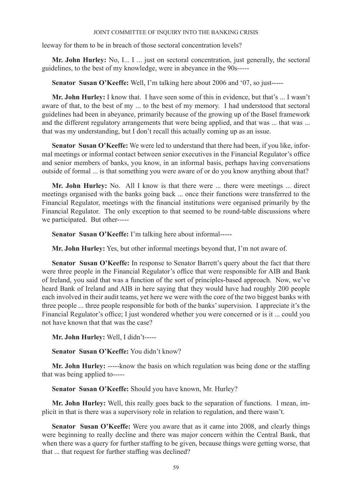leeway for them to be in breach of those sectoral concentration levels?

**Mr. John Hurley:** No, I... I ... just on sectoral concentration, just generally, the sectoral guidelines, to the best of my knowledge, were in abeyance in the 90s-----

**Senator Susan O'Keeffe:** Well, I'm talking here about 2006 and '07, so just-----

**Mr. John Hurley:** I know that. I have seen some of this in evidence, but that's ... I wasn't aware of that, to the best of my ... to the best of my memory. I had understood that sectoral guidelines had been in abeyance, primarily because of the growing up of the Basel framework and the different regulatory arrangements that were being applied, and that was ... that was ... that was my understanding, but I don't recall this actually coming up as an issue.

**Senator Susan O'Keeffe:** We were led to understand that there had been, if you like, informal meetings or informal contact between senior executives in the Financial Regulator's office and senior members of banks, you know, in an informal basis, perhaps having conversations outside of formal ... is that something you were aware of or do you know anything about that?

Mr. John Hurley: No. All I know is that there were ... there were meetings ... direct meetings organised with the banks going back ... once their functions were transferred to the Financial Regulator, meetings with the financial institutions were organised primarily by the Financial Regulator. The only exception to that seemed to be round-table discussions where we participated. But other-----

**Senator Susan O'Keeffe:** I'm talking here about informal-----

**Mr. John Hurley:** Yes, but other informal meetings beyond that, I'm not aware of.

Senator Susan O'Keeffe: In response to Senator Barrett's query about the fact that there were three people in the Financial Regulator's office that were responsible for AIB and Bank of Ireland, you said that was a function of the sort of principles-based approach. Now, we've heard Bank of Ireland and AIB in here saying that they would have had roughly 200 people each involved in their audit teams, yet here we were with the core of the two biggest banks with three people ... three people responsible for both of the banks' supervision. I appreciate it's the Financial Regulator's office; I just wondered whether you were concerned or is it ... could you not have known that that was the case?

**Mr. John Hurley:** Well, I didn't-----

**Senator Susan O'Keeffe:** You didn't know?

**Mr. John Hurley:** -----know the basis on which regulation was being done or the staffing that was being applied to-----

**Senator Susan O'Keeffe:** Should you have known, Mr. Hurley?

**Mr. John Hurley:** Well, this really goes back to the separation of functions. I mean, implicit in that is there was a supervisory role in relation to regulation, and there wasn't.

**Senator Susan O'Keeffe:** Were you aware that as it came into 2008, and clearly things were beginning to really decline and there was major concern within the Central Bank, that when there was a query for further staffing to be given, because things were getting worse, that that ... that request for further staffing was declined?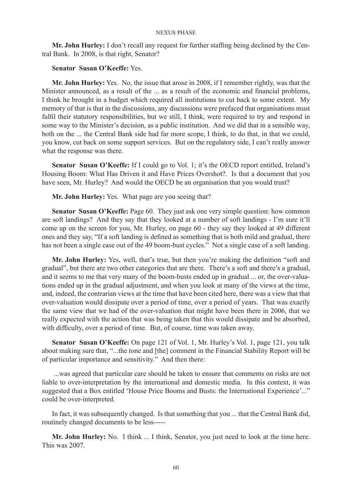**Mr. John Hurley:** I don't recall any request for further staffing being declined by the Central Bank. In 2008, is that right, Senator?

# **Senator Susan O'Keeffe:** Yes.

**Mr. John Hurley:** Yes. No, the issue that arose in 2008, if I remember rightly, was that the Minister announced, as a result of the ... as a result of the economic and financial problems, I think he brought in a budget which required all institutions to cut back to some extent. My memory of that is that in the discussions, any discussions were prefaced that organisations must fulfil their statutory responsibilities, but we still, I think, were required to try and respond in some way to the Minister's decision, as a public institution. And we did that in a sensible way, both on the ... the Central Bank side had far more scope, I think, to do that, in that we could, you know, cut back on some support services. But on the regulatory side, I can't really answer what the response was there.

Senator Susan O'Keeffe: If I could go to Vol. 1; it's the OECD report entitled, Ireland's Housing Boom: What Has Driven it and Have Prices Overshot?. Is that a document that you have seen, Mr. Hurley? And would the OECD be an organisation that you would trust?

**Mr. John Hurley:** Yes. What page are you seeing that?

**Senator Susan O'Keeffe:** Page 60. They just ask one very simple question: how common are soft landings? And they say that they looked at a number of soft landings - I'm sure it'll come up on the screen for you, Mr. Hurley, on page 60 - they say they looked at 49 different ones and they say, "If a soft landing is defined as something that is both mild and gradual, there has not been a single case out of the 49 boom-bust cycles." Not a single case of a soft landing.

**Mr. John Hurley:** Yes, well, that's true, but then you're making the definition "soft and gradual", but there are two other categories that are there. There's a soft and there's a gradual, and it seems to me that very many of the boom-busts ended up in gradual ... or, the over-valuations ended up in the gradual adjustment, and when you look at many of the views at the time, and, indeed, the contrarian views at the time that have been cited here, there was a view that that over-valuation would dissipate over a period of time, over a period of years. That was exactly the same view that we had of the over-valuation that might have been there in 2006, that we really expected with the action that was being taken that this would dissipate and be absorbed, with difficulty, over a period of time. But, of course, time was taken away.

**Senator Susan O'Keeffe:** On page 121 of Vol. 1, Mr. Hurley's Vol. 1, page 121, you talk about making sure that, "...the tone and [the] comment in the Financial Stability Report will be of particular importance and sensitivity." And then there:

 ...was agreed that particular care should be taken to ensure that comments on risks are not liable to over-interpretation by the international and domestic media. In this context, it was suggested that a Box entitled 'House Price Booms and Busts: the International Experience'..." could be over-interpreted.

In fact, it was subsequently changed. Is that something that you ... that the Central Bank did, routinely changed documents to be less-----

**Mr. John Hurley:** No. I think ... I think, Senator, you just need to look at the time here. This was 2007.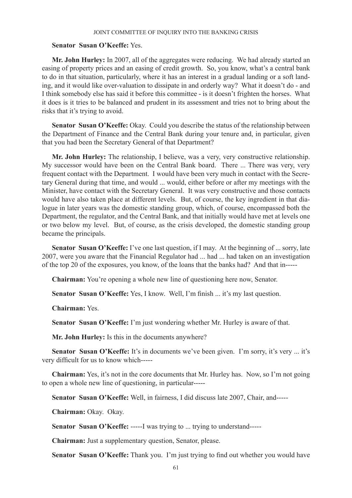# **Senator Susan O'Keeffe:** Yes.

**Mr. John Hurley:** In 2007, all of the aggregates were reducing. We had already started an easing of property prices and an easing of credit growth. So, you know, what's a central bank to do in that situation, particularly, where it has an interest in a gradual landing or a soft landing, and it would like over-valuation to dissipate in and orderly way? What it doesn't do - and I think somebody else has said it before this committee - is it doesn't frighten the horses. What it does is it tries to be balanced and prudent in its assessment and tries not to bring about the risks that it's trying to avoid.

**Senator Susan O'Keeffe:** Okay. Could you describe the status of the relationship between the Department of Finance and the Central Bank during your tenure and, in particular, given that you had been the Secretary General of that Department?

**Mr. John Hurley:** The relationship, I believe, was a very, very constructive relationship. My successor would have been on the Central Bank board. There ... There was very, very frequent contact with the Department. I would have been very much in contact with the Secretary General during that time, and would ... would, either before or after my meetings with the Minister, have contact with the Secretary General. It was very constructive and those contacts would have also taken place at different levels. But, of course, the key ingredient in that dialogue in later years was the domestic standing group, which, of course, encompassed both the Department, the regulator, and the Central Bank, and that initially would have met at levels one or two below my level. But, of course, as the crisis developed, the domestic standing group became the principals.

**Senator Susan O'Keeffe:** I've one last question, if I may. At the beginning of ... sorry, late 2007, were you aware that the Financial Regulator had ... had ... had taken on an investigation of the top 20 of the exposures, you know, of the loans that the banks had? And that in-----

**Chairman:** You're opening a whole new line of questioning here now, Senator.

**Senator Susan O'Keeffe:** Yes, I know. Well, I'm finish ... it's my last question.

**Chairman:** Yes.

**Senator Susan O'Keeffe:** I'm just wondering whether Mr. Hurley is aware of that.

**Mr. John Hurley:** Is this in the documents anywhere?

Senator Susan O'Keeffe: It's in documents we've been given. I'm sorry, it's very ... it's very difficult for us to know which-----

**Chairman:** Yes, it's not in the core documents that Mr. Hurley has. Now, so I'm not going to open a whole new line of questioning, in particular-----

**Senator Susan O'Keeffe:** Well, in fairness, I did discuss late 2007, Chair, and-----

**Chairman:** Okay. Okay.

**Senator Susan O'Keeffe:** -----I was trying to ... trying to understand-----

**Chairman:** Just a supplementary question, Senator, please.

**Senator Susan O'Keeffe:** Thank you. I'm just trying to find out whether you would have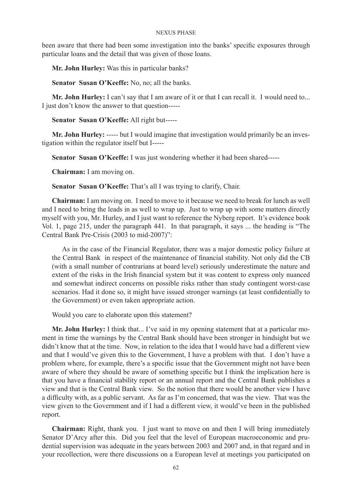been aware that there had been some investigation into the banks' specific exposures through particular loans and the detail that was given of those loans.

**Mr. John Hurley:** Was this in particular banks?

**Senator Susan O'Keeffe:** No, no; all the banks.

Mr. John Hurley: I can't say that I am aware of it or that I can recall it. I would need to... I just don't know the answer to that question-----

**Senator Susan O'Keeffe:** All right but-----

**Mr. John Hurley:** ----- but I would imagine that investigation would primarily be an investigation within the regulator itself but I-----

**Senator Susan O'Keeffe:** I was just wondering whether it had been shared-----

**Chairman:** I am moving on.

**Senator Susan O'Keeffe:** That's all I was trying to clarify, Chair.

**Chairman:** I am moving on. I need to move to it because we need to break for lunch as well and I need to bring the leads in as well to wrap up. Just to wrap up with some matters directly myself with you, Mr. Hurley, and I just want to reference the Nyberg report. It's evidence book Vol. 1, page 215, under the paragraph 441. In that paragraph, it says ... the heading is "The Central Bank Pre-Crisis (2003 to mid-2007)":

As in the case of the Financial Regulator, there was a major domestic policy failure at the Central Bank in respect of the maintenance of financial stability. Not only did the CB (with a small number of contrarians at board level) seriously underestimate the nature and extent of the risks in the Irish financial system but it was content to express only nuanced and somewhat indirect concerns on possible risks rather than study contingent worst-case scenarios. Had it done so, it might have issued stronger warnings (at least confidentially to the Government) or even taken appropriate action.

Would you care to elaborate upon this statement?

**Mr. John Hurley:** I think that... I've said in my opening statement that at a particular moment in time the warnings by the Central Bank should have been stronger in hindsight but we didn't know that at the time. Now, in relation to the idea that I would have had a different view and that I would've given this to the Government, I have a problem with that. I don't have a problem where, for example, there's a specific issue that the Government might not have been aware of where they should be aware of something specific but I think the implication here is that you have a financial stability report or an annual report and the Central Bank publishes a view and that is the Central Bank view. So the notion that there would be another view I have a difficulty with, as a public servant. As far as I'm concerned, that was the view. That was the view given to the Government and if I had a different view, it would've been in the published report.

**Chairman:** Right, thank you. I just want to move on and then I will bring immediately Senator D'Arcy after this. Did you feel that the level of European macroeconomic and prudential supervision was adequate in the years between 2003 and 2007 and, in that regard and in your recollection, were there discussions on a European level at meetings you participated on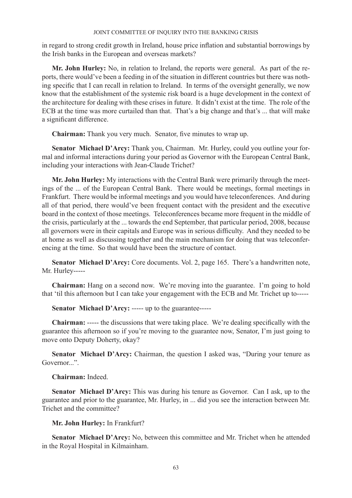in regard to strong credit growth in Ireland, house price inflation and substantial borrowings by the Irish banks in the European and overseas markets?

**Mr. John Hurley:** No, in relation to Ireland, the reports were general. As part of the reports, there would've been a feeding in of the situation in different countries but there was nothing specific that I can recall in relation to Ireland. In terms of the oversight generally, we now know that the establishment of the systemic risk board is a huge development in the context of the architecture for dealing with these crises in future. It didn't exist at the time. The role of the ECB at the time was more curtailed than that. That's a big change and that's ... that will make a significant difference.

**Chairman:** Thank you very much. Senator, five minutes to wrap up.

**Senator Michael D'Arcy:** Thank you, Chairman. Mr. Hurley, could you outline your formal and informal interactions during your period as Governor with the European Central Bank, including your interactions with Jean-Claude Trichet?

**Mr. John Hurley:** My interactions with the Central Bank were primarily through the meetings of the ... of the European Central Bank. There would be meetings, formal meetings in Frankfurt. There would be informal meetings and you would have teleconferences. And during all of that period, there would've been frequent contact with the president and the executive board in the context of those meetings. Teleconferences became more frequent in the middle of the crisis, particularly at the ... towards the end September, that particular period, 2008, because all governors were in their capitals and Europe was in serious difficulty. And they needed to be at home as well as discussing together and the main mechanism for doing that was teleconferencing at the time. So that would have been the structure of contact.

**Senator Michael D'Arcy:** Core documents. Vol. 2, page 165. There's a handwritten note, Mr. Hurley-----

**Chairman:** Hang on a second now. We're moving into the guarantee. I'm going to hold that 'til this afternoon but I can take your engagement with the ECB and Mr. Trichet up to-----

**Senator Michael D'Arcy: -----** up to the guarantee-----

**Chairman:** ----- the discussions that were taking place. We're dealing specifically with the guarantee this afternoon so if you're moving to the guarantee now, Senator, I'm just going to move onto Deputy Doherty, okay?

**Senator Michael D'Arcy:** Chairman, the question I asked was, "During your tenure as Governor...".

**Chairman:** Indeed.

**Senator Michael D'Arcy:** This was during his tenure as Governor. Can I ask, up to the guarantee and prior to the guarantee, Mr. Hurley, in ... did you see the interaction between Mr. Trichet and the committee?

### **Mr. John Hurley:** In Frankfurt?

**Senator Michael D'Arcy:** No, between this committee and Mr. Trichet when he attended in the Royal Hospital in Kilmainham.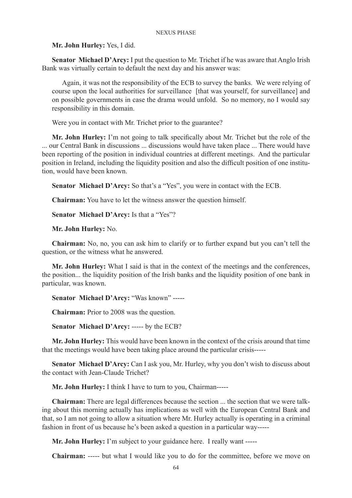**Mr. John Hurley:** Yes, I did.

**Senator Michael D'Arcy:** I put the question to Mr. Trichet if he was aware that Anglo Irish Bank was virtually certain to default the next day and his answer was:

Again, it was not the responsibility of the ECB to survey the banks. We were relying of course upon the local authorities for surveillance [that was yourself, for surveillance] and on possible governments in case the drama would unfold. So no memory, no I would say responsibility in this domain.

Were you in contact with Mr. Trichet prior to the guarantee?

**Mr. John Hurley:** I'm not going to talk specifically about Mr. Trichet but the role of the ... our Central Bank in discussions ... discussions would have taken place ... There would have been reporting of the position in individual countries at different meetings. And the particular position in Ireland, including the liquidity position and also the difficult position of one institution, would have been known.

**Senator Michael D'Arcy:** So that's a "Yes", you were in contact with the ECB.

**Chairman:** You have to let the witness answer the question himself.

**Senator Michael D'Arcy:** Is that a "Yes"?

**Mr. John Hurley:** No.

**Chairman:** No, no, you can ask him to clarify or to further expand but you can't tell the question, or the witness what he answered.

**Mr. John Hurley:** What I said is that in the context of the meetings and the conferences, the position... the liquidity position of the Irish banks and the liquidity position of one bank in particular, was known.

**Senator Michael D'Arcy:** "Was known" -----

**Chairman:** Prior to 2008 was the question.

**Senator Michael D'Arcy:** ----- by the ECB?

**Mr. John Hurley:** This would have been known in the context of the crisis around that time that the meetings would have been taking place around the particular crisis-----

**Senator Michael D'Arcy:** Can I ask you, Mr. Hurley, why you don't wish to discuss about the contact with Jean-Claude Trichet?

**Mr. John Hurley:** I think I have to turn to you, Chairman-----

**Chairman:** There are legal differences because the section ... the section that we were talking about this morning actually has implications as well with the European Central Bank and that, so I am not going to allow a situation where Mr. Hurley actually is operating in a criminal fashion in front of us because he's been asked a question in a particular way-----

**Mr. John Hurley:** I'm subject to your guidance here. I really want -----

**Chairman:** ----- but what I would like you to do for the committee, before we move on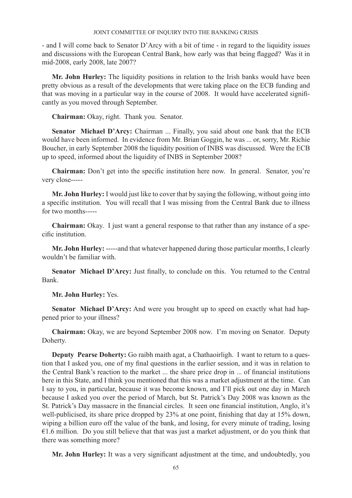- and I will come back to Senator D'Arcy with a bit of time - in regard to the liquidity issues and discussions with the European Central Bank, how early was that being flagged? Was it in mid-2008, early 2008, late 2007?

**Mr. John Hurley:** The liquidity positions in relation to the Irish banks would have been pretty obvious as a result of the developments that were taking place on the ECB funding and that was moving in a particular way in the course of 2008. It would have accelerated significantly as you moved through September.

**Chairman:** Okay, right. Thank you. Senator.

**Senator Michael D'Arcy:** Chairman ... Finally, you said about one bank that the ECB would have been informed. In evidence from Mr. Brian Goggin, he was ... or, sorry, Mr. Richie Boucher, in early September 2008 the liquidity position of INBS was discussed. Were the ECB up to speed, informed about the liquidity of INBS in September 2008?

**Chairman:** Don't get into the specific institution here now. In general. Senator, you're very close-----

**Mr. John Hurley:** I would just like to cover that by saying the following, without going into a specific institution. You will recall that I was missing from the Central Bank due to illness for two months-----

**Chairman:** Okay. I just want a general response to that rather than any instance of a specific institution.

**Mr. John Hurley:** -----and that whatever happened during those particular months, I clearly wouldn't be familiar with.

Senator Michael D'Arcy: Just finally, to conclude on this. You returned to the Central Bank.

**Mr. John Hurley:** Yes.

**Senator Michael D'Arcy:** And were you brought up to speed on exactly what had happened prior to your illness?

**Chairman:** Okay, we are beyond September 2008 now. I'm moving on Senator. Deputy Doherty.

**Deputy Pearse Doherty:** Go raibh maith agat, a Chathaoirligh. I want to return to a question that I asked you, one of my final questions in the earlier session, and it was in relation to the Central Bank's reaction to the market ... the share price drop in ... of financial institutions here in this State, and I think you mentioned that this was a market adjustment at the time. Can I say to you, in particular, because it was become known, and I'll pick out one day in March because I asked you over the period of March, but St. Patrick's Day 2008 was known as the St. Patrick's Day massacre in the financial circles. It seen one financial institution, Anglo, it's well-publicised, its share price dropped by 23% at one point, finishing that day at 15% down, wiping a billion euro off the value of the bank, and losing, for every minute of trading, losing  $\epsilon$ 1.6 million. Do you still believe that that was just a market adjustment, or do you think that there was something more?

**Mr. John Hurley:** It was a very significant adjustment at the time, and undoubtedly, you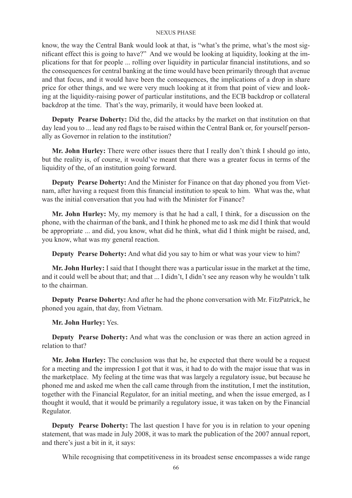know, the way the Central Bank would look at that, is "what's the prime, what's the most significant effect this is going to have?" And we would be looking at liquidity, looking at the implications for that for people ... rolling over liquidity in particular financial institutions, and so the consequences for central banking at the time would have been primarily through that avenue and that focus, and it would have been the consequences, the implications of a drop in share price for other things, and we were very much looking at it from that point of view and looking at the liquidity-raising power of particular institutions, and the ECB backdrop or collateral backdrop at the time. That's the way, primarily, it would have been looked at.

**Deputy Pearse Doherty:** Did the, did the attacks by the market on that institution on that day lead you to ... lead any red flags to be raised within the Central Bank or, for yourself personally as Governor in relation to the institution?

**Mr. John Hurley:** There were other issues there that I really don't think I should go into, but the reality is, of course, it would've meant that there was a greater focus in terms of the liquidity of the, of an institution going forward.

**Deputy Pearse Doherty:** And the Minister for Finance on that day phoned you from Vietnam, after having a request from this financial institution to speak to him. What was the, what was the initial conversation that you had with the Minister for Finance?

**Mr. John Hurley:** My, my memory is that he had a call, I think, for a discussion on the phone, with the chairman of the bank, and I think he phoned me to ask me did I think that would be appropriate ... and did, you know, what did he think, what did I think might be raised, and, you know, what was my general reaction.

**Deputy Pearse Doherty:** And what did you say to him or what was your view to him?

**Mr. John Hurley:** I said that I thought there was a particular issue in the market at the time, and it could well be about that; and that ... I didn't, I didn't see any reason why he wouldn't talk to the chairman.

**Deputy Pearse Doherty:** And after he had the phone conversation with Mr. FitzPatrick, he phoned you again, that day, from Vietnam.

**Mr. John Hurley:** Yes.

**Deputy Pearse Doherty:** And what was the conclusion or was there an action agreed in relation to that?

**Mr. John Hurley:** The conclusion was that he, he expected that there would be a request for a meeting and the impression I got that it was, it had to do with the major issue that was in the marketplace. My feeling at the time was that was largely a regulatory issue, but because he phoned me and asked me when the call came through from the institution, I met the institution, together with the Financial Regulator, for an initial meeting, and when the issue emerged, as I thought it would, that it would be primarily a regulatory issue, it was taken on by the Financial Regulator.

**Deputy Pearse Doherty:** The last question I have for you is in relation to your opening statement, that was made in July 2008, it was to mark the publication of the 2007 annual report, and there's just a bit in it, it says:

While recognising that competitiveness in its broadest sense encompasses a wide range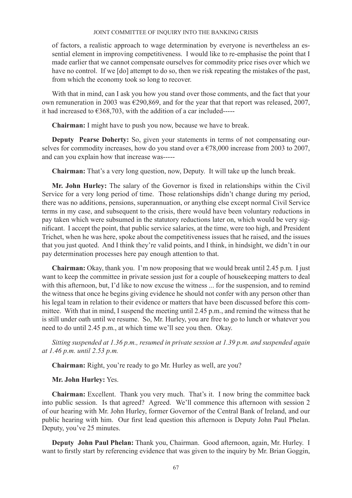of factors, a realistic approach to wage determination by everyone is nevertheless an essential element in improving competitiveness. I would like to re-emphasise the point that I made earlier that we cannot compensate ourselves for commodity price rises over which we have no control. If we [do] attempt to do so, then we risk repeating the mistakes of the past, from which the economy took so long to recover.

With that in mind, can I ask you how you stand over those comments, and the fact that your own remuneration in 2003 was €290,869, and for the year that that report was released, 2007, it had increased to  $\epsilon$ 368,703, with the addition of a car included-----

**Chairman:** I might have to push you now, because we have to break.

**Deputy Pearse Doherty:** So, given your statements in terms of not compensating ourselves for commodity increases, how do you stand over a  $\epsilon$ 78,000 increase from 2003 to 2007, and can you explain how that increase was-----

**Chairman:** That's a very long question, now, Deputy. It will take up the lunch break.

**Mr. John Hurley:** The salary of the Governor is fixed in relationships within the Civil Service for a very long period of time. Those relationships didn't change during my period, there was no additions, pensions, superannuation, or anything else except normal Civil Service terms in my case, and subsequent to the crisis, there would have been voluntary reductions in pay taken which were subsumed in the statutory reductions later on, which would be very significant. I accept the point, that public service salaries, at the time, were too high, and President Trichet, when he was here, spoke about the competitiveness issues that he raised, and the issues that you just quoted. And I think they're valid points, and I think, in hindsight, we didn't in our pay determination processes here pay enough attention to that.

**Chairman:** Okay, thank you. I'm now proposing that we would break until 2.45 p.m. I just want to keep the committee in private session just for a couple of housekeeping matters to deal with this afternoon, but, I'd like to now excuse the witness ... for the suspension, and to remind the witness that once he begins giving evidence he should not confer with any person other than his legal team in relation to their evidence or matters that have been discussed before this committee. With that in mind, I suspend the meeting until 2.45 p.m., and remind the witness that he is still under oath until we resume. So, Mr. Hurley, you are free to go to lunch or whatever you need to do until 2.45 p.m., at which time we'll see you then. Okay.

*Sitting suspended at 1.36 p.m., resumed in private session at 1.39 p.m. and suspended again at 1.46 p.m. until 2.53 p.m.*

**Chairman:** Right, you're ready to go Mr. Hurley as well, are you?

# **Mr. John Hurley:** Yes.

**Chairman:** Excellent. Thank you very much. That's it. I now bring the committee back into public session. Is that agreed? Agreed. We'll commence this afternoon with session 2 of our hearing with Mr. John Hurley, former Governor of the Central Bank of Ireland, and our public hearing with him. Our first lead question this afternoon is Deputy John Paul Phelan. Deputy, you've 25 minutes.

**Deputy John Paul Phelan:** Thank you, Chairman. Good afternoon, again, Mr. Hurley. I want to firstly start by referencing evidence that was given to the inquiry by Mr. Brian Goggin,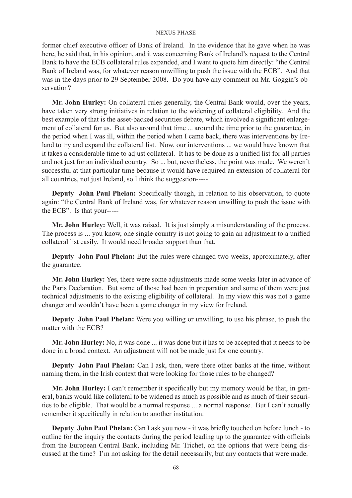former chief executive officer of Bank of Ireland. In the evidence that he gave when he was here, he said that, in his opinion, and it was concerning Bank of Ireland's request to the Central Bank to have the ECB collateral rules expanded, and I want to quote him directly: "the Central Bank of Ireland was, for whatever reason unwilling to push the issue with the ECB". And that was in the days prior to 29 September 2008. Do you have any comment on Mr. Goggin's observation?

**Mr. John Hurley:** On collateral rules generally, the Central Bank would, over the years, have taken very strong initiatives in relation to the widening of collateral eligibility. And the best example of that is the asset-backed securities debate, which involved a significant enlargement of collateral for us. But also around that time ... around the time prior to the guarantee, in the period when I was ill, within the period when I came back, there was interventions by Ireland to try and expand the collateral list. Now, our interventions ... we would have known that it takes a considerable time to adjust collateral. It has to be done as a unified list for all parties and not just for an individual country. So ... but, nevertheless, the point was made. We weren't successful at that particular time because it would have required an extension of collateral for all countries, not just Ireland, so I think the suggestion-----

**Deputy John Paul Phelan:** Specifically though, in relation to his observation, to quote again: "the Central Bank of Ireland was, for whatever reason unwilling to push the issue with the ECB". Is that your-----

**Mr. John Hurley:** Well, it was raised. It is just simply a misunderstanding of the process. The process is ... you know, one single country is not going to gain an adjustment to a unified collateral list easily. It would need broader support than that.

**Deputy John Paul Phelan:** But the rules were changed two weeks, approximately, after the guarantee.

**Mr. John Hurley:** Yes, there were some adjustments made some weeks later in advance of the Paris Declaration. But some of those had been in preparation and some of them were just technical adjustments to the existing eligibility of collateral. In my view this was not a game changer and wouldn't have been a game changer in my view for Ireland.

**Deputy John Paul Phelan:** Were you willing or unwilling, to use his phrase, to push the matter with the ECB?

**Mr. John Hurley:** No, it was done ... it was done but it has to be accepted that it needs to be done in a broad context. An adjustment will not be made just for one country.

**Deputy John Paul Phelan:** Can I ask, then, were there other banks at the time, without naming them, in the Irish context that were looking for those rules to be changed?

**Mr. John Hurley:** I can't remember it specifically but my memory would be that, in general, banks would like collateral to be widened as much as possible and as much of their securities to be eligible. That would be a normal response ... a normal response. But I can't actually remember it specifically in relation to another institution.

**Deputy John Paul Phelan:** Can I ask you now - it was briefly touched on before lunch - to outline for the inquiry the contacts during the period leading up to the guarantee with officials from the European Central Bank, including Mr. Trichet, on the options that were being discussed at the time? I'm not asking for the detail necessarily, but any contacts that were made.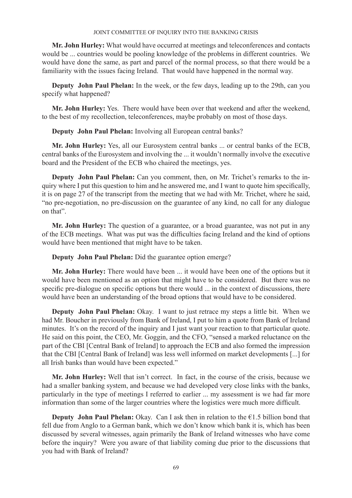**Mr. John Hurley:** What would have occurred at meetings and teleconferences and contacts would be ... countries would be pooling knowledge of the problems in different countries. We would have done the same, as part and parcel of the normal process, so that there would be a familiarity with the issues facing Ireland. That would have happened in the normal way.

**Deputy John Paul Phelan:** In the week, or the few days, leading up to the 29th, can you specify what happened?

**Mr. John Hurley:** Yes. There would have been over that weekend and after the weekend, to the best of my recollection, teleconferences, maybe probably on most of those days.

**Deputy John Paul Phelan:** Involving all European central banks?

**Mr. John Hurley:** Yes, all our Eurosystem central banks ... or central banks of the ECB, central banks of the Eurosystem and involving the ... it wouldn't normally involve the executive board and the President of the ECB who chaired the meetings, yes.

**Deputy John Paul Phelan:** Can you comment, then, on Mr. Trichet's remarks to the inquiry where I put this question to him and he answered me, and I want to quote him specifically, it is on page 27 of the transcript from the meeting that we had with Mr. Trichet, where he said, "no pre-negotiation, no pre-discussion on the guarantee of any kind, no call for any dialogue on that".

**Mr. John Hurley:** The question of a guarantee, or a broad guarantee, was not put in any of the ECB meetings. What was put was the difficulties facing Ireland and the kind of options would have been mentioned that might have to be taken.

**Deputy John Paul Phelan:** Did the guarantee option emerge?

**Mr. John Hurley:** There would have been ... it would have been one of the options but it would have been mentioned as an option that might have to be considered. But there was no specific pre-dialogue on specific options but there would ... in the context of discussions, there would have been an understanding of the broad options that would have to be considered.

**Deputy John Paul Phelan:** Okay. I want to just retrace my steps a little bit. When we had Mr. Boucher in previously from Bank of Ireland, I put to him a quote from Bank of Ireland minutes. It's on the record of the inquiry and I just want your reaction to that particular quote. He said on this point, the CEO, Mr. Goggin, and the CFO, "sensed a marked reluctance on the part of the CBI [Central Bank of Ireland] to approach the ECB and also formed the impression that the CBI [Central Bank of Ireland] was less well informed on market developments [...] for all Irish banks than would have been expected."

**Mr. John Hurley:** Well that isn't correct. In fact, in the course of the crisis, because we had a smaller banking system, and because we had developed very close links with the banks, particularly in the type of meetings I referred to earlier ... my assessment is we had far more information than some of the larger countries where the logistics were much more difficult.

**Deputy John Paul Phelan:** Okay. Can I ask then in relation to the  $E1.5$  billion bond that fell due from Anglo to a German bank, which we don't know which bank it is, which has been discussed by several witnesses, again primarily the Bank of Ireland witnesses who have come before the inquiry? Were you aware of that liability coming due prior to the discussions that you had with Bank of Ireland?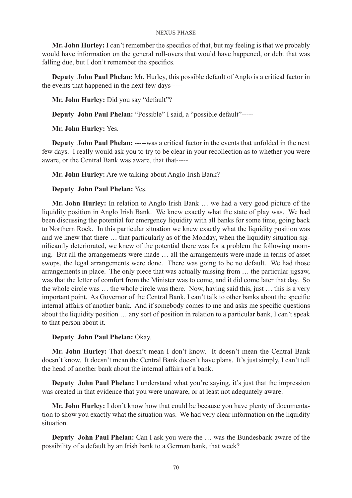**Mr. John Hurley:** I can't remember the specifics of that, but my feeling is that we probably would have information on the general roll-overs that would have happened, or debt that was falling due, but I don't remember the specifics.

**Deputy John Paul Phelan:** Mr. Hurley, this possible default of Anglo is a critical factor in the events that happened in the next few days-----

**Mr. John Hurley:** Did you say "default"?

**Deputy John Paul Phelan:** "Possible" I said, a "possible default"-----

**Mr. John Hurley:** Yes.

**Deputy John Paul Phelan:** -----was a critical factor in the events that unfolded in the next few days. I really would ask you to try to be clear in your recollection as to whether you were aware, or the Central Bank was aware, that that-----

**Mr. John Hurley:** Are we talking about Anglo Irish Bank?

# **Deputy John Paul Phelan:** Yes.

**Mr. John Hurley:** In relation to Anglo Irish Bank … we had a very good picture of the liquidity position in Anglo Irish Bank. We knew exactly what the state of play was. We had been discussing the potential for emergency liquidity with all banks for some time, going back to Northern Rock. In this particular situation we knew exactly what the liquidity position was and we knew that there … that particularly as of the Monday, when the liquidity situation significantly deteriorated, we knew of the potential there was for a problem the following morning. But all the arrangements were made … all the arrangements were made in terms of asset swops, the legal arrangements were done. There was going to be no default. We had those arrangements in place. The only piece that was actually missing from … the particular jigsaw, was that the letter of comfort from the Minister was to come, and it did come later that day. So the whole circle was … the whole circle was there. Now, having said this, just … this is a very important point. As Governor of the Central Bank, I can't talk to other banks about the specific internal affairs of another bank. And if somebody comes to me and asks me specific questions about the liquidity position … any sort of position in relation to a particular bank, I can't speak to that person about it.

### **Deputy John Paul Phelan:** Okay.

**Mr. John Hurley:** That doesn't mean I don't know. It doesn't mean the Central Bank doesn't know. It doesn't mean the Central Bank doesn't have plans. It's just simply, I can't tell the head of another bank about the internal affairs of a bank.

**Deputy John Paul Phelan:** I understand what you're saying, it's just that the impression was created in that evidence that you were unaware, or at least not adequately aware.

**Mr. John Hurley:** I don't know how that could be because you have plenty of documentation to show you exactly what the situation was. We had very clear information on the liquidity situation.

**Deputy John Paul Phelan:** Can I ask you were the … was the Bundesbank aware of the possibility of a default by an Irish bank to a German bank, that week?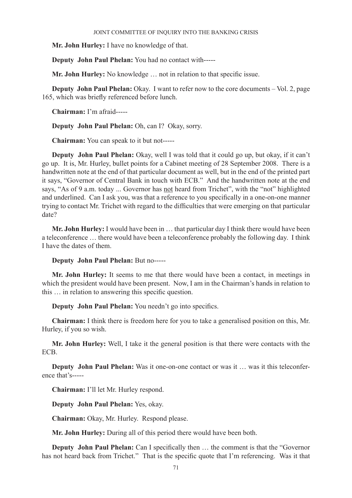**Mr. John Hurley:** I have no knowledge of that.

**Deputy John Paul Phelan:** You had no contact with-----

**Mr. John Hurley:** No knowledge … not in relation to that specific issue.

**Deputy John Paul Phelan:** Okay. I want to refer now to the core documents – Vol. 2, page 165, which was briefly referenced before lunch.

**Chairman:** I'm afraid-----

**Deputy John Paul Phelan:** Oh, can I? Okay, sorry.

**Chairman:** You can speak to it but not-----

**Deputy John Paul Phelan:** Okay, well I was told that it could go up, but okay, if it can't go up. It is, Mr. Hurley, bullet points for a Cabinet meeting of 28 September 2008. There is a handwritten note at the end of that particular document as well, but in the end of the printed part it says, "Governor of Central Bank in touch with ECB." And the handwritten note at the end says, "As of 9 a.m. today ... Governor has not heard from Trichet", with the "not" highlighted and underlined. Can I ask you, was that a reference to you specifically in a one-on-one manner trying to contact Mr. Trichet with regard to the difficulties that were emerging on that particular date?

**Mr. John Hurley:** I would have been in … that particular day I think there would have been a teleconference … there would have been a teleconference probably the following day. I think I have the dates of them.

### **Deputy John Paul Phelan:** But no-----

**Mr. John Hurley:** It seems to me that there would have been a contact, in meetings in which the president would have been present. Now, I am in the Chairman's hands in relation to this … in relation to answering this specific question.

**Deputy John Paul Phelan:** You needn't go into specifics.

**Chairman:** I think there is freedom here for you to take a generalised position on this, Mr. Hurley, if you so wish.

**Mr. John Hurley:** Well, I take it the general position is that there were contacts with the ECB.

**Deputy John Paul Phelan:** Was it one-on-one contact or was it … was it this teleconference that's-----

**Chairman:** I'll let Mr. Hurley respond.

**Deputy John Paul Phelan:** Yes, okay.

**Chairman:** Okay, Mr. Hurley. Respond please.

**Mr. John Hurley:** During all of this period there would have been both.

**Deputy John Paul Phelan:** Can I specifically then ... the comment is that the "Governor" has not heard back from Trichet." That is the specific quote that I'm referencing. Was it that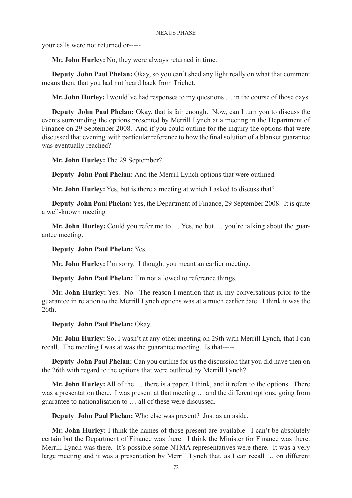your calls were not returned or-----

**Mr. John Hurley:** No, they were always returned in time.

**Deputy John Paul Phelan:** Okay, so you can't shed any light really on what that comment means then, that you had not heard back from Trichet.

**Mr. John Hurley:** I would've had responses to my questions … in the course of those days.

**Deputy John Paul Phelan:** Okay, that is fair enough. Now, can I turn you to discuss the events surrounding the options presented by Merrill Lynch at a meeting in the Department of Finance on 29 September 2008. And if you could outline for the inquiry the options that were discussed that evening, with particular reference to how the final solution of a blanket guarantee was eventually reached?

**Mr. John Hurley:** The 29 September?

**Deputy John Paul Phelan:** And the Merrill Lynch options that were outlined.

**Mr. John Hurley:** Yes, but is there a meeting at which I asked to discuss that?

**Deputy John Paul Phelan:** Yes, the Department of Finance, 29 September 2008. It is quite a well-known meeting.

**Mr. John Hurley:** Could you refer me to ... Yes, no but ... you're talking about the guarantee meeting.

**Deputy John Paul Phelan:** Yes.

**Mr. John Hurley:** I'm sorry. I thought you meant an earlier meeting.

**Deputy John Paul Phelan:** I'm not allowed to reference things.

**Mr. John Hurley:** Yes. No. The reason I mention that is, my conversations prior to the guarantee in relation to the Merrill Lynch options was at a much earlier date. I think it was the 26th.

**Deputy John Paul Phelan:** Okay.

**Mr. John Hurley:** So, I wasn't at any other meeting on 29th with Merrill Lynch, that I can recall. The meeting I was at was the guarantee meeting. Is that-----

**Deputy John Paul Phelan:** Can you outline for us the discussion that you did have then on the 26th with regard to the options that were outlined by Merrill Lynch?

**Mr. John Hurley:** All of the … there is a paper, I think, and it refers to the options. There was a presentation there. I was present at that meeting … and the different options, going from guarantee to nationalisation to … all of these were discussed.

**Deputy John Paul Phelan:** Who else was present? Just as an aside.

**Mr. John Hurley:** I think the names of those present are available. I can't be absolutely certain but the Department of Finance was there. I think the Minister for Finance was there. Merrill Lynch was there. It's possible some NTMA representatives were there. It was a very large meeting and it was a presentation by Merrill Lynch that, as I can recall … on different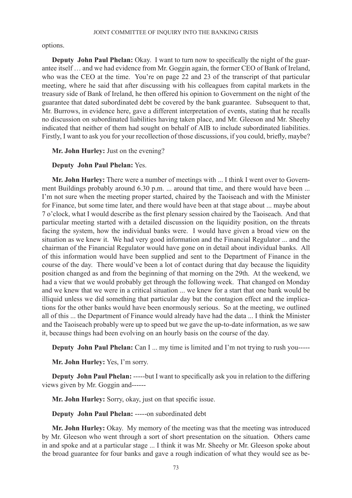options.

**Deputy John Paul Phelan:** Okay. I want to turn now to specifically the night of the guarantee itself … and we had evidence from Mr. Goggin again, the former CEO of Bank of Ireland, who was the CEO at the time. You're on page 22 and 23 of the transcript of that particular meeting, where he said that after discussing with his colleagues from capital markets in the treasury side of Bank of Ireland, he then offered his opinion to Government on the night of the guarantee that dated subordinated debt be covered by the bank guarantee. Subsequent to that, Mr. Burrows, in evidence here, gave a different interpretation of events, stating that he recalls no discussion on subordinated liabilities having taken place, and Mr. Gleeson and Mr. Sheehy indicated that neither of them had sought on behalf of AIB to include subordinated liabilities. Firstly, I want to ask you for your recollection of those discussions, if you could, briefly, maybe?

**Mr. John Hurley:** Just on the evening?

# **Deputy John Paul Phelan:** Yes.

**Mr. John Hurley:** There were a number of meetings with ... I think I went over to Government Buildings probably around 6.30 p.m. ... around that time, and there would have been ... I'm not sure when the meeting proper started, chaired by the Taoiseach and with the Minister for Finance, but some time later, and there would have been at that stage about ... maybe about 7 o'clock, what I would describe as the first plenary session chaired by the Taoiseach. And that particular meeting started with a detailed discussion on the liquidity position, on the threats facing the system, how the individual banks were. I would have given a broad view on the situation as we knew it. We had very good information and the Financial Regulator ... and the chairman of the Financial Regulator would have gone on in detail about individual banks. All of this information would have been supplied and sent to the Department of Finance in the course of the day. There would've been a lot of contact during that day because the liquidity position changed as and from the beginning of that morning on the 29th. At the weekend, we had a view that we would probably get through the following week. That changed on Monday and we knew that we were in a critical situation ... we knew for a start that one bank would be illiquid unless we did something that particular day but the contagion effect and the implications for the other banks would have been enormously serious. So at the meeting, we outlined all of this ... the Department of Finance would already have had the data ... I think the Minister and the Taoiseach probably were up to speed but we gave the up-to-date information, as we saw it, because things had been evolving on an hourly basis on the course of the day.

**Deputy John Paul Phelan:** Can I ... my time is limited and I'm not trying to rush you-----

**Mr. John Hurley:** Yes, I'm sorry.

**Deputy John Paul Phelan:** -----but I want to specifically ask you in relation to the differing views given by Mr. Goggin and------

**Mr. John Hurley:** Sorry, okay, just on that specific issue.

**Deputy John Paul Phelan: -----on subordinated debt** 

**Mr. John Hurley:** Okay. My memory of the meeting was that the meeting was introduced by Mr. Gleeson who went through a sort of short presentation on the situation. Others came in and spoke and at a particular stage ... I think it was Mr. Sheehy or Mr. Gleeson spoke about the broad guarantee for four banks and gave a rough indication of what they would see as be-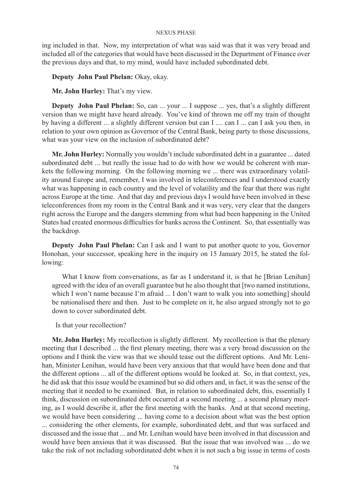ing included in that. Now, my interpretation of what was said was that it was very broad and included all of the categories that would have been discussed in the Department of Finance over the previous days and that, to my mind, would have included subordinated debt.

**Deputy John Paul Phelan:** Okay, okay.

**Mr. John Hurley:** That's my view.

**Deputy John Paul Phelan:** So, can ... your ... I suppose ... yes, that's a slightly different version than we might have heard already. You've kind of thrown me off my train of thought by having a different ... a slightly different version but can I .... can I ... can I ask you then, in relation to your own opinion as Governor of the Central Bank, being party to those discussions, what was your view on the inclusion of subordinated debt?

**Mr. John Hurley:** Normally you wouldn't include subordinated debt in a guarantee ... dated subordinated debt ... but really the issue had to do with how we would be coherent with markets the following morning. On the following morning we ... there was extraordinary volatility around Europe and, remember, I was involved in teleconferences and I understood exactly what was happening in each country and the level of volatility and the fear that there was right across Europe at the time. And that day and previous days I would have been involved in these teleconferences from my room in the Central Bank and it was very, very clear that the dangers right across the Europe and the dangers stemming from what had been happening in the United States had created enormous difficulties for banks across the Continent. So, that essentially was the backdrop.

**Deputy John Paul Phelan:** Can I ask and I want to put another quote to you, Governor Honohan, your successor, speaking here in the inquiry on 15 January 2015, he stated the following:

What I know from conversations, as far as I understand it, is that he [Brian Lenihan] agreed with the idea of an overall guarantee but he also thought that [two named institutions, which I won't name because I'm afraid ... I don't want to walk you into something] should be nationalised there and then. Just to be complete on it, he also argued strongly not to go down to cover subordinated debt.

Is that your recollection?

**Mr. John Hurley:** My recollection is slightly different. My recollection is that the plenary meeting that I described ... the first plenary meeting, there was a very broad discussion on the options and I think the view was that we should tease out the different options. And Mr. Lenihan, Minister Lenihan, would have been very anxious that that would have been done and that the different options ... all of the different options would be looked at. So, in that context, yes, he did ask that this issue would be examined but so did others and, in fact, it was the sense of the meeting that it needed to be examined. But, in relation to subordinated debt, this, essentially I think, discussion on subordinated debt occurred at a second meeting ... a second plenary meeting, as I would describe it, after the first meeting with the banks. And at that second meeting, we would have been considering ... having come to a decision about what was the best option ... considering the other elements, for example, subordinated debt, and that was surfaced and discussed and the issue that ... and Mr. Lenihan would have been involved in that discussion and would have been anxious that it was discussed. But the issue that was involved was ... do we take the risk of not including subordinated debt when it is not such a big issue in terms of costs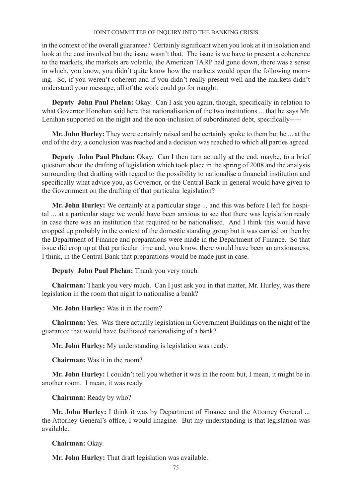in the context of the overall guarantee? Certainly significant when you look at it in isolation and look at the cost involved but the issue wasn't that. The issue is we have to present a coherence to the markets, the markets are volatile, the American TARP had gone down, there was a sense in which, you know, you didn't quite know how the markets would open the following morning. So, if you weren't coherent and if you didn't really present well and the markets didn't understand your message, all of the work could go for naught.

**Deputy John Paul Phelan:** Okay. Can I ask you again, though, specifically in relation to what Governor Honohan said here that nationalisation of the two institutions ... that he says Mr. Lenihan supported on the night and the non-inclusion of subordinated debt, specifically-----

**Mr. John Hurley:** They were certainly raised and he certainly spoke to them but he ... at the end of the day, a conclusion was reached and a decision was reached to which all parties agreed.

**Deputy John Paul Phelan:** Okay. Can I then turn actually at the end, maybe, to a brief question about the drafting of legislation which took place in the spring of 2008 and the analysis surrounding that drafting with regard to the possibility to nationalise a financial institution and specifically what advice you, as Governor, or the Central Bank in general would have given to the Government on the drafting of that particular legislation?

**Mr. John Hurley:** We certainly at a particular stage ... and this was before I left for hospital ... at a particular stage we would have been anxious to see that there was legislation ready in case there was an institution that required to be nationalised. And I think this would have cropped up probably in the context of the domestic standing group but it was carried on then by the Department of Finance and preparations were made in the Department of Finance. So that issue did crop up at that particular time and, you know, there would have been an anxiousness, I think, in the Central Bank that preparations would be made just in case.

**Deputy John Paul Phelan:** Thank you very much.

**Chairman:** Thank you very much. Can I just ask you in that matter, Mr. Hurley, was there legislation in the room that night to nationalise a bank?

**Mr. John Hurley:** Was it in the room?

**Chairman:** Yes. Was there actually legislation in Government Buildings on the night of the guarantee that would have facilitated nationalising of a bank?

**Mr. John Hurley:** My understanding is legislation was ready.

**Chairman:** Was it in the room?

**Mr. John Hurley:** I couldn't tell you whether it was in the room but, I mean, it might be in another room. I mean, it was ready.

**Chairman:** Ready by who?

**Mr. John Hurley:** I think it was by Department of Finance and the Attorney General ... the Attorney General's office, I would imagine. But my understanding is that legislation was available.

**Chairman:** Okay.

**Mr. John Hurley:** That draft legislation was available.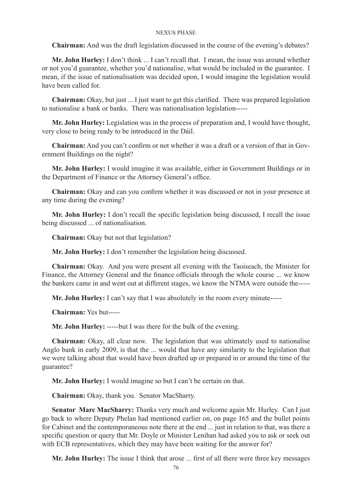**Chairman:** And was the draft legislation discussed in the course of the evening's debates?

**Mr. John Hurley:** I don't think ... I can't recall that. I mean, the issue was around whether or not you'd guarantee, whether you'd nationalise, what would be included in the guarantee. I mean, if the issue of nationalisation was decided upon, I would imagine the legislation would have been called for.

**Chairman:** Okay, but just ... I just want to get this clarified. There was prepared legislation to nationalise a bank or banks. There was nationalisation legislation-----

**Mr. John Hurley:** Legislation was in the process of preparation and, I would have thought, very close to being ready to be introduced in the Dáil.

**Chairman:** And you can't confirm or not whether it was a draft or a version of that in Government Buildings on the night?

**Mr. John Hurley:** I would imagine it was available, either in Government Buildings or in the Department of Finance or the Attorney General's office.

**Chairman:** Okay and can you confirm whether it was discussed or not in your presence at any time during the evening?

**Mr. John Hurley:** I don't recall the specific legislation being discussed, I recall the issue being discussed ... of nationalisation.

**Chairman:** Okay but not that legislation?

**Mr. John Hurley:** I don't remember the legislation being discussed.

**Chairman:** Okay. And you were present all evening with the Taoiseach, the Minister for Finance, the Attorney General and the finance officials through the whole course ... we know the bankers came in and went out at different stages, we know the NTMA were outside the-----

**Mr. John Hurley:** I can't say that I was absolutely in the room every minute-----

**Chairman:** Yes but-----

**Mr. John Hurley:** -----but I was there for the bulk of the evening.

**Chairman:** Okay, all clear now. The legislation that was ultimately used to nationalise Anglo bank in early 2009, is that the ... would that have any similarity to the legislation that we were talking about that would have been drafted up or prepared in or around the time of the guarantee?

**Mr. John Hurley:** I would imagine so but I can't be certain on that.

**Chairman:** Okay, thank you. Senator MacSharry.

**Senator Marc MacSharry:** Thanks very much and welcome again Mr. Hurley. Can I just go back to where Deputy Phelan had mentioned earlier on, on page 165 and the bullet points for Cabinet and the contemporaneous note there at the end ... just in relation to that, was there a specific question or query that Mr. Doyle or Minister Lenihan had asked you to ask or seek out with ECB representatives, which they may have been waiting for the answer for?

**Mr. John Hurley:** The issue I think that arose ... first of all there were three key messages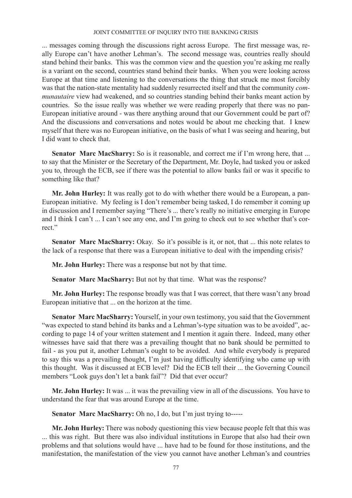... messages coming through the discussions right across Europe. The first message was, really Europe can't have another Lehman's. The second message was, countries really should stand behind their banks. This was the common view and the question you're asking me really is a variant on the second, countries stand behind their banks. When you were looking across Europe at that time and listening to the conversations the thing that struck me most forcibly was that the nation-state mentality had suddenly resurrected itself and that the community *communautaire* view had weakened, and so countries standing behind their banks meant action by countries. So the issue really was whether we were reading properly that there was no pan-European initiative around - was there anything around that our Government could be part of? And the discussions and conversations and notes would be about me checking that. I knew myself that there was no European initiative, on the basis of what I was seeing and hearing, but I did want to check that.

Senator Marc MacSharry: So is it reasonable, and correct me if I'm wrong here, that ... to say that the Minister or the Secretary of the Department, Mr. Doyle, had tasked you or asked you to, through the ECB, see if there was the potential to allow banks fail or was it specific to something like that?

**Mr. John Hurley:** It was really got to do with whether there would be a European, a pan-European initiative. My feeling is I don't remember being tasked, I do remember it coming up in discussion and I remember saying "There's ... there's really no initiative emerging in Europe and I think I can't ... I can't see any one, and I'm going to check out to see whether that's correct."

Senator Marc MacSharry: Okay. So it's possible is it, or not, that ... this note relates to the lack of a response that there was a European initiative to deal with the impending crisis?

**Mr. John Hurley:** There was a response but not by that time.

**Senator Marc MacSharry:** But not by that time. What was the response?

**Mr. John Hurley:** The response broadly was that I was correct, that there wasn't any broad European initiative that ... on the horizon at the time.

**Senator Marc MacSharry:** Yourself, in your own testimony, you said that the Government "was expected to stand behind its banks and a Lehman's-type situation was to be avoided", according to page 14 of your written statement and I mention it again there. Indeed, many other witnesses have said that there was a prevailing thought that no bank should be permitted to fail - as you put it, another Lehman's ought to be avoided. And while everybody is prepared to say this was a prevailing thought, I'm just having difficulty identifying who came up with this thought. Was it discussed at ECB level? Did the ECB tell their ... the Governing Council members "Look guys don't let a bank fail"? Did that ever occur?

**Mr. John Hurley:** It was ... it was the prevailing view in all of the discussions. You have to understand the fear that was around Europe at the time.

**Senator Marc MacSharry:** Oh no, I do, but I'm just trying to-----

**Mr. John Hurley:** There was nobody questioning this view because people felt that this was ... this was right. But there was also individual institutions in Europe that also had their own problems and that solutions would have ... have had to be found for those institutions, and the manifestation, the manifestation of the view you cannot have another Lehman's and countries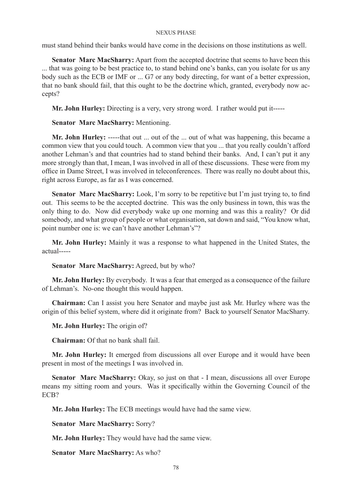must stand behind their banks would have come in the decisions on those institutions as well.

**Senator Marc MacSharry:** Apart from the accepted doctrine that seems to have been this ... that was going to be best practice to, to stand behind one's banks, can you isolate for us any body such as the ECB or IMF or ... G7 or any body directing, for want of a better expression, that no bank should fail, that this ought to be the doctrine which, granted, everybody now accepts?

**Mr. John Hurley:** Directing is a very, very strong word. I rather would put it-----

## **Senator Marc MacSharry:** Mentioning.

**Mr. John Hurley:** -----that out ... out of the ... out of what was happening, this became a common view that you could touch. A common view that you ... that you really couldn't afford another Lehman's and that countries had to stand behind their banks. And, I can't put it any more strongly than that, I mean, I was involved in all of these discussions. These were from my office in Dame Street, I was involved in teleconferences. There was really no doubt about this, right across Europe, as far as I was concerned.

**Senator Marc MacSharry:** Look, I'm sorry to be repetitive but I'm just trying to, to find out. This seems to be the accepted doctrine. This was the only business in town, this was the only thing to do. Now did everybody wake up one morning and was this a reality? Or did somebody, and what group of people or what organisation, sat down and said, "You know what, point number one is: we can't have another Lehman's"?

**Mr. John Hurley:** Mainly it was a response to what happened in the United States, the actual-----

### **Senator Marc MacSharry:** Agreed, but by who?

**Mr. John Hurley:** By everybody. It was a fear that emerged as a consequence of the failure of Lehman's. No-one thought this would happen.

**Chairman:** Can I assist you here Senator and maybe just ask Mr. Hurley where was the origin of this belief system, where did it originate from? Back to yourself Senator MacSharry.

**Mr. John Hurley:** The origin of?

**Chairman:** Of that no bank shall fail.

**Mr. John Hurley:** It emerged from discussions all over Europe and it would have been present in most of the meetings I was involved in.

**Senator Marc MacSharry:** Okay, so just on that - I mean, discussions all over Europe means my sitting room and yours. Was it specifically within the Governing Council of the ECB?

**Mr. John Hurley:** The ECB meetings would have had the same view.

**Senator Marc MacSharry:** Sorry?

**Mr. John Hurley:** They would have had the same view.

**Senator Marc MacSharry:** As who?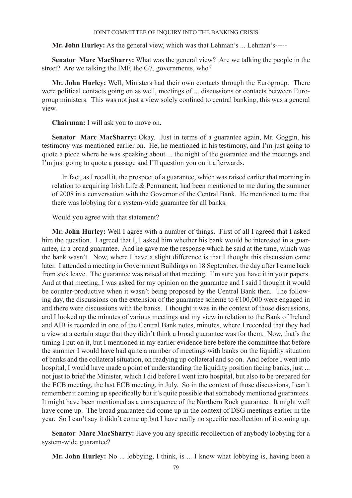**Mr. John Hurley:** As the general view, which was that Lehman's ... Lehman's-----

**Senator Marc MacSharry:** What was the general view? Are we talking the people in the street? Are we talking the IMF, the G7, governments, who?

**Mr. John Hurley:** Well, Ministers had their own contacts through the Eurogroup. There were political contacts going on as well, meetings of ... discussions or contacts between Eurogroup ministers. This was not just a view solely confined to central banking, this was a general view.

**Chairman:** I will ask you to move on.

**Senator Marc MacSharry:** Okay. Just in terms of a guarantee again, Mr. Goggin, his testimony was mentioned earlier on. He, he mentioned in his testimony, and I'm just going to quote a piece where he was speaking about ... the night of the guarantee and the meetings and I'm just going to quote a passage and I'll question you on it afterwards.

In fact, as I recall it, the prospect of a guarantee, which was raised earlier that morning in relation to acquiring Irish Life & Permanent, had been mentioned to me during the summer of 2008 in a conversation with the Governor of the Central Bank. He mentioned to me that there was lobbying for a system-wide guarantee for all banks.

Would you agree with that statement?

**Mr. John Hurley:** Well I agree with a number of things. First of all I agreed that I asked him the question. I agreed that I, I asked him whether his bank would be interested in a guarantee, in a broad guarantee. And he gave me the response which he said at the time, which was the bank wasn't. Now, where I have a slight difference is that I thought this discussion came later. I attended a meeting in Government Buildings on 18 September, the day after I came back from sick leave. The guarantee was raised at that meeting. I'm sure you have it in your papers. And at that meeting, I was asked for my opinion on the guarantee and I said I thought it would be counter-productive when it wasn't being proposed by the Central Bank then. The following day, the discussions on the extension of the guarantee scheme to  $\epsilon$ 100,000 were engaged in and there were discussions with the banks. I thought it was in the context of those discussions, and I looked up the minutes of various meetings and my view in relation to the Bank of Ireland and AIB is recorded in one of the Central Bank notes, minutes, where I recorded that they had a view at a certain stage that they didn't think a broad guarantee was for them. Now, that's the timing I put on it, but I mentioned in my earlier evidence here before the committee that before the summer I would have had quite a number of meetings with banks on the liquidity situation of banks and the collateral situation, on readying up collateral and so on. And before I went into hospital, I would have made a point of understanding the liquidity position facing banks, just ... not just to brief the Minister, which I did before I went into hospital, but also to be prepared for the ECB meeting, the last ECB meeting, in July. So in the context of those discussions, I can't remember it coming up specifically but it's quite possible that somebody mentioned guarantees. It might have been mentioned as a consequence of the Northern Rock guarantee. It might well have come up. The broad guarantee did come up in the context of DSG meetings earlier in the year. So I can't say it didn't come up but I have really no specific recollection of it coming up.

**Senator Marc MacSharry:** Have you any specific recollection of anybody lobbying for a system-wide guarantee?

**Mr. John Hurley:** No ... lobbying, I think, is ... I know what lobbying is, having been a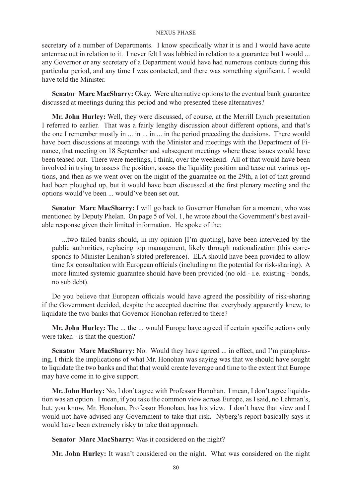secretary of a number of Departments. I know specifically what it is and I would have acute antennae out in relation to it. I never felt I was lobbied in relation to a guarantee but I would ... any Governor or any secretary of a Department would have had numerous contacts during this particular period, and any time I was contacted, and there was something significant, I would have told the Minister.

**Senator Marc MacSharry:** Okay. Were alternative options to the eventual bank guarantee discussed at meetings during this period and who presented these alternatives?

**Mr. John Hurley:** Well, they were discussed, of course, at the Merrill Lynch presentation I referred to earlier. That was a fairly lengthy discussion about different options, and that's the one I remember mostly in ... in ... in ... in the period preceding the decisions. There would have been discussions at meetings with the Minister and meetings with the Department of Finance, that meeting on 18 September and subsequent meetings where these issues would have been teased out. There were meetings, I think, over the weekend. All of that would have been involved in trying to assess the position, assess the liquidity position and tease out various options, and then as we went over on the night of the guarantee on the 29th, a lot of that ground had been ploughed up, but it would have been discussed at the first plenary meeting and the options would've been ... would've been set out.

**Senator Marc MacSharry:** I will go back to Governor Honohan for a moment, who was mentioned by Deputy Phelan. On page 5 of Vol. 1, he wrote about the Government's best available response given their limited information. He spoke of the:

...two failed banks should, in my opinion [I'm quoting], have been intervened by the public authorities, replacing top management, likely through nationalization (this corresponds to Minister Lenihan's stated preference). ELA should have been provided to allow time for consultation with European officials (including on the potential for risk-sharing). A more limited systemic guarantee should have been provided (no old - i.e. existing - bonds, no sub debt).

Do you believe that European officials would have agreed the possibility of risk-sharing if the Government decided, despite the accepted doctrine that everybody apparently knew, to liquidate the two banks that Governor Honohan referred to there?

**Mr. John Hurley:** The ... the ... would Europe have agreed if certain specific actions only were taken - is that the question?

**Senator Marc MacSharry:** No. Would they have agreed ... in effect, and I'm paraphrasing, I think the implications of what Mr. Honohan was saying was that we should have sought to liquidate the two banks and that that would create leverage and time to the extent that Europe may have come in to give support.

**Mr. John Hurley:** No, I don't agree with Professor Honohan. I mean, I don't agree liquidation was an option. I mean, if you take the common view across Europe, as I said, no Lehman's, but, you know, Mr. Honohan, Professor Honohan, has his view. I don't have that view and I would not have advised any Government to take that risk. Nyberg's report basically says it would have been extremely risky to take that approach.

**Senator Marc MacSharry:** Was it considered on the night?

**Mr. John Hurley:** It wasn't considered on the night. What was considered on the night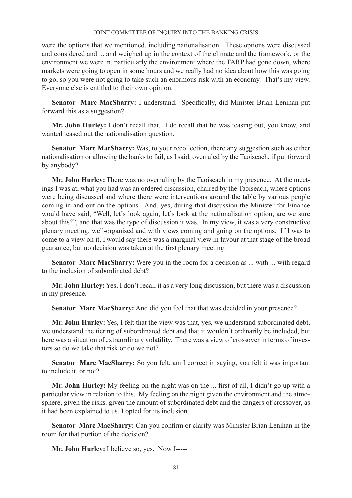were the options that we mentioned, including nationalisation. These options were discussed and considered and ... and weighed up in the context of the climate and the framework, or the environment we were in, particularly the environment where the TARP had gone down, where markets were going to open in some hours and we really had no idea about how this was going to go, so you were not going to take such an enormous risk with an economy. That's my view. Everyone else is entitled to their own opinion.

**Senator Marc MacSharry:** I understand. Specifically, did Minister Brian Lenihan put forward this as a suggestion?

**Mr. John Hurley:** I don't recall that. I do recall that he was teasing out, you know, and wanted teased out the nationalisation question.

**Senator Marc MacSharry:** Was, to your recollection, there any suggestion such as either nationalisation or allowing the banks to fail, as I said, overruled by the Taoiseach, if put forward by anybody?

**Mr. John Hurley:** There was no overruling by the Taoiseach in my presence. At the meetings I was at, what you had was an ordered discussion, chaired by the Taoiseach, where options were being discussed and where there were interventions around the table by various people coming in and out on the options. And, yes, during that discussion the Minister for Finance would have said, "Well, let's look again, let's look at the nationalisation option, are we sure about this?", and that was the type of discussion it was. In my view, it was a very constructive plenary meeting, well-organised and with views coming and going on the options. If I was to come to a view on it, I would say there was a marginal view in favour at that stage of the broad guarantee, but no decision was taken at the first plenary meeting.

**Senator Marc MacSharry:** Were you in the room for a decision as ... with ... with regard to the inclusion of subordinated debt?

**Mr. John Hurley:** Yes, I don't recall it as a very long discussion, but there was a discussion in my presence.

**Senator Marc MacSharry:** And did you feel that that was decided in your presence?

**Mr. John Hurley:** Yes, I felt that the view was that, yes, we understand subordinated debt, we understand the tiering of subordinated debt and that it wouldn't ordinarily be included, but here was a situation of extraordinary volatility. There was a view of crossover in terms of investors so do we take that risk or do we not?

Senator Marc MacSharry: So you felt, am I correct in saying, you felt it was important to include it, or not?

**Mr. John Hurley:** My feeling on the night was on the ... first of all, I didn't go up with a particular view in relation to this. My feeling on the night given the environment and the atmosphere, given the risks, given the amount of subordinated debt and the dangers of crossover, as it had been explained to us, I opted for its inclusion.

**Senator Marc MacSharry:** Can you confirm or clarify was Minister Brian Lenihan in the room for that portion of the decision?

**Mr. John Hurley:** I believe so, yes. Now I-----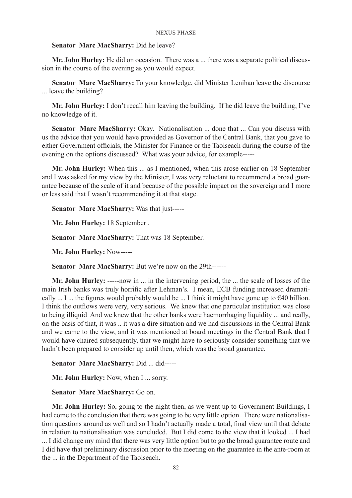## **Senator Marc MacSharry:** Did he leave?

**Mr. John Hurley:** He did on occasion. There was a ... there was a separate political discussion in the course of the evening as you would expect.

**Senator Marc MacSharry:** To your knowledge, did Minister Lenihan leave the discourse ... leave the building?

**Mr. John Hurley:** I don't recall him leaving the building. If he did leave the building, I've no knowledge of it.

**Senator Marc MacSharry:** Okay. Nationalisation ... done that ... Can you discuss with us the advice that you would have provided as Governor of the Central Bank, that you gave to either Government officials, the Minister for Finance or the Taoiseach during the course of the evening on the options discussed? What was your advice, for example-----

**Mr. John Hurley:** When this ... as I mentioned, when this arose earlier on 18 September and I was asked for my view by the Minister, I was very reluctant to recommend a broad guarantee because of the scale of it and because of the possible impact on the sovereign and I more or less said that I wasn't recommending it at that stage.

**Senator Marc MacSharry:** Was that just-----

**Mr. John Hurley:** 18 September .

**Senator Marc MacSharry:** That was 18 September.

**Mr. John Hurley:** Now-----

**Senator Marc MacSharry:** But we're now on the 29th------

**Mr. John Hurley:** -----now in ... in the intervening period, the ... the scale of losses of the main Irish banks was truly horrific after Lehman's. I mean, ECB funding increased dramatically ... I ... the figures would probably would be ... I think it might have gone up to  $\epsilon$ 40 billion. I think the outflows were very, very serious. We knew that one particular institution was close to being illiquid And we knew that the other banks were haemorrhaging liquidity ... and really, on the basis of that, it was .. it was a dire situation and we had discussions in the Central Bank and we came to the view, and it was mentioned at board meetings in the Central Bank that I would have chaired subsequently, that we might have to seriously consider something that we hadn't been prepared to consider up until then, which was the broad guarantee.

**Senator Marc MacSharry:** Did ... did-----

**Mr. John Hurley:** Now, when I ... sorry.

**Senator Marc MacSharry:** Go on.

**Mr. John Hurley:** So, going to the night then, as we went up to Government Buildings, I had come to the conclusion that there was going to be very little option. There were nationalisation questions around as well and so I hadn't actually made a total, final view until that debate in relation to nationalisation was concluded. But I did come to the view that it looked ... I had ... I did change my mind that there was very little option but to go the broad guarantee route and I did have that preliminary discussion prior to the meeting on the guarantee in the ante-room at the ... in the Department of the Taoiseach.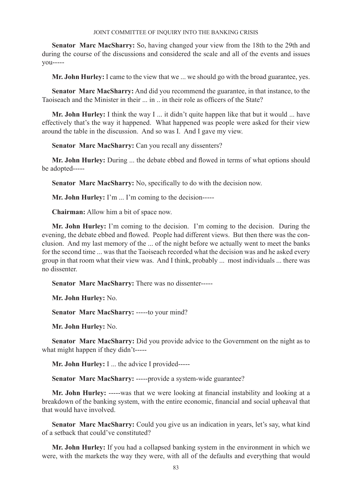**Senator Marc MacSharry:** So, having changed your view from the 18th to the 29th and during the course of the discussions and considered the scale and all of the events and issues you-----

**Mr. John Hurley:** I came to the view that we ... we should go with the broad guarantee, yes.

**Senator Marc MacSharry:** And did you recommend the guarantee, in that instance, to the Taoiseach and the Minister in their ... in .. in their role as officers of the State?

**Mr. John Hurley:** I think the way I ... it didn't quite happen like that but it would ... have effectively that's the way it happened. What happened was people were asked for their view around the table in the discussion. And so was I. And I gave my view.

**Senator Marc MacSharry:** Can you recall any dissenters?

**Mr. John Hurley:** During ... the debate ebbed and flowed in terms of what options should be adopted-----

**Senator Marc MacSharry:** No, specifically to do with the decision now.

**Mr. John Hurley:** I'm ... I'm coming to the decision-----

**Chairman:** Allow him a bit of space now.

**Mr. John Hurley:** I'm coming to the decision. I'm coming to the decision. During the evening, the debate ebbed and flowed. People had different views. But then there was the conclusion. And my last memory of the ... of the night before we actually went to meet the banks for the second time ... was that the Taoiseach recorded what the decision was and he asked every group in that room what their view was. And I think, probably ... most individuals ... there was no dissenter.

**Senator Marc MacSharry:** There was no dissenter-----

**Mr. John Hurley:** No.

**Senator Marc MacSharry:** -----to your mind?

**Mr. John Hurley:** No.

**Senator Marc MacSharry:** Did you provide advice to the Government on the night as to what might happen if they didn't-----

**Mr. John Hurley:** I ... the advice I provided-----

**Senator Marc MacSharry:** -----provide a system-wide guarantee?

**Mr. John Hurley:** -----was that we were looking at financial instability and looking at a breakdown of the banking system, with the entire economic, financial and social upheaval that that would have involved.

**Senator Marc MacSharry:** Could you give us an indication in years, let's say, what kind of a setback that could've constituted?

**Mr. John Hurley:** If you had a collapsed banking system in the environment in which we were, with the markets the way they were, with all of the defaults and everything that would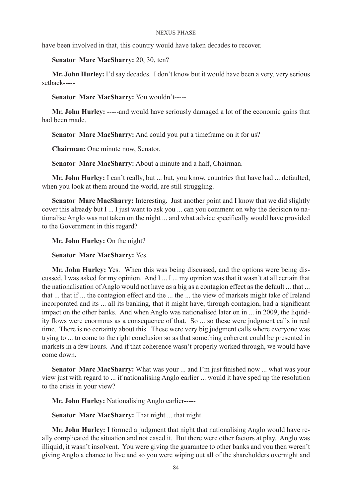have been involved in that, this country would have taken decades to recover.

**Senator Marc MacSharry:** 20, 30, ten?

**Mr. John Hurley:** I'd say decades. I don't know but it would have been a very, very serious setback-----

**Senator Marc MacSharry:** You wouldn't-----

**Mr. John Hurley:** -----and would have seriously damaged a lot of the economic gains that had been made.

**Senator Marc MacSharry:** And could you put a timeframe on it for us?

**Chairman:** One minute now, Senator.

**Senator Marc MacSharry:** About a minute and a half, Chairman.

**Mr. John Hurley:** I can't really, but ... but, you know, countries that have had ... defaulted, when you look at them around the world, are still struggling.

**Senator Marc MacSharry:** Interesting. Just another point and I know that we did slightly cover this already but I ... I just want to ask you ... can you comment on why the decision to nationalise Anglo was not taken on the night ... and what advice specifically would have provided to the Government in this regard?

**Mr. John Hurley:** On the night?

**Senator Marc MacSharry:** Yes.

**Mr. John Hurley:** Yes. When this was being discussed, and the options were being discussed, I was asked for my opinion. And I ... I ... my opinion was that it wasn't at all certain that the nationalisation of Anglo would not have as a big as a contagion effect as the default ... that ... that ... that if ... the contagion effect and the ... the ... the view of markets might take of Ireland incorporated and its ... all its banking, that it might have, through contagion, had a significant impact on the other banks. And when Anglo was nationalised later on in ... in 2009, the liquidity flows were enormous as a consequence of that. So ... so these were judgment calls in real time. There is no certainty about this. These were very big judgment calls where everyone was trying to ... to come to the right conclusion so as that something coherent could be presented in markets in a few hours. And if that coherence wasn't properly worked through, we would have come down.

**Senator Marc MacSharry:** What was your ... and I'm just finished now ... what was your view just with regard to ... if nationalising Anglo earlier ... would it have sped up the resolution to the crisis in your view?

**Mr. John Hurley:** Nationalising Anglo earlier-----

**Senator Marc MacSharry:** That night ... that night.

**Mr. John Hurley:** I formed a judgment that night that nationalising Anglo would have really complicated the situation and not eased it. But there were other factors at play. Anglo was illiquid, it wasn't insolvent. You were giving the guarantee to other banks and you then weren't giving Anglo a chance to live and so you were wiping out all of the shareholders overnight and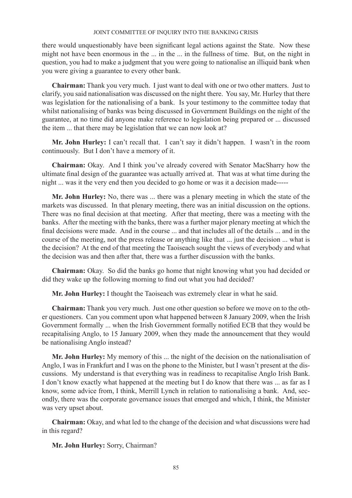there would unquestionably have been significant legal actions against the State. Now these might not have been enormous in the ... in the ... in the fullness of time. But, on the night in question, you had to make a judgment that you were going to nationalise an illiquid bank when you were giving a guarantee to every other bank.

**Chairman:** Thank you very much. I just want to deal with one or two other matters. Just to clarify, you said nationalisation was discussed on the night there. You say, Mr. Hurley that there was legislation for the nationalising of a bank. Is your testimony to the committee today that whilst nationalising of banks was being discussed in Government Buildings on the night of the guarantee, at no time did anyone make reference to legislation being prepared or ... discussed the item ... that there may be legislation that we can now look at?

**Mr. John Hurley:** I can't recall that. I can't say it didn't happen. I wasn't in the room continuously. But I don't have a memory of it.

**Chairman:** Okay. And I think you've already covered with Senator MacSharry how the ultimate final design of the guarantee was actually arrived at. That was at what time during the night ... was it the very end then you decided to go home or was it a decision made-----

**Mr. John Hurley:** No, there was ... there was a plenary meeting in which the state of the markets was discussed. In that plenary meeting, there was an initial discussion on the options. There was no final decision at that meeting. After that meeting, there was a meeting with the banks. After the meeting with the banks, there was a further major plenary meeting at which the final decisions were made. And in the course ... and that includes all of the details ... and in the course of the meeting, not the press release or anything like that ... just the decision ... what is the decision? At the end of that meeting the Taoiseach sought the views of everybody and what the decision was and then after that, there was a further discussion with the banks.

**Chairman:** Okay. So did the banks go home that night knowing what you had decided or did they wake up the following morning to find out what you had decided?

**Mr. John Hurley:** I thought the Taoiseach was extremely clear in what he said.

**Chairman:** Thank you very much. Just one other question so before we move on to the other questioners. Can you comment upon what happened between 8 January 2009, when the Irish Government formally ... when the Irish Government formally notified ECB that they would be recapitalising Anglo, to 15 January 2009, when they made the announcement that they would be nationalising Anglo instead?

**Mr. John Hurley:** My memory of this ... the night of the decision on the nationalisation of Anglo, I was in Frankfurt and I was on the phone to the Minister, but I wasn't present at the discussions. My understand is that everything was in readiness to recapitalise Anglo Irish Bank. I don't know exactly what happened at the meeting but I do know that there was ... as far as I know, some advice from, I think, Merrill Lynch in relation to nationalising a bank. And, secondly, there was the corporate governance issues that emerged and which, I think, the Minister was very upset about.

**Chairman:** Okay, and what led to the change of the decision and what discussions were had in this regard?

**Mr. John Hurley:** Sorry, Chairman?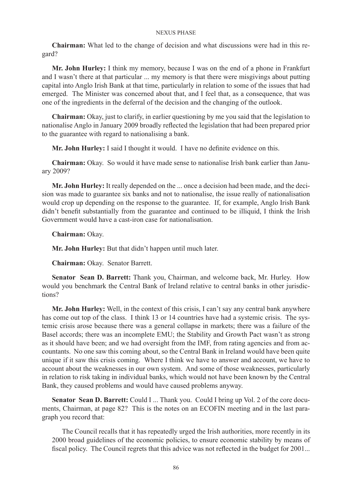**Chairman:** What led to the change of decision and what discussions were had in this regard?

**Mr. John Hurley:** I think my memory, because I was on the end of a phone in Frankfurt and I wasn't there at that particular ... my memory is that there were misgivings about putting capital into Anglo Irish Bank at that time, particularly in relation to some of the issues that had emerged. The Minister was concerned about that, and I feel that, as a consequence, that was one of the ingredients in the deferral of the decision and the changing of the outlook.

**Chairman:** Okay, just to clarify, in earlier questioning by me you said that the legislation to nationalise Anglo in January 2009 broadly reflected the legislation that had been prepared prior to the guarantee with regard to nationalising a bank.

**Mr. John Hurley:** I said I thought it would. I have no definite evidence on this.

**Chairman:** Okay. So would it have made sense to nationalise Irish bank earlier than January 2009?

**Mr. John Hurley:** It really depended on the ... once a decision had been made, and the decision was made to guarantee six banks and not to nationalise, the issue really of nationalisation would crop up depending on the response to the guarantee. If, for example, Anglo Irish Bank didn't benefit substantially from the guarantee and continued to be illiquid, I think the Irish Government would have a cast-iron case for nationalisation.

**Chairman:** Okay.

**Mr. John Hurley:** But that didn't happen until much later.

**Chairman:** Okay. Senator Barrett.

**Senator Sean D. Barrett:** Thank you, Chairman, and welcome back, Mr. Hurley. How would you benchmark the Central Bank of Ireland relative to central banks in other jurisdictions?

**Mr. John Hurley:** Well, in the context of this crisis, I can't say any central bank anywhere has come out top of the class. I think 13 or 14 countries have had a systemic crisis. The systemic crisis arose because there was a general collapse in markets; there was a failure of the Basel accords; there was an incomplete EMU; the Stability and Growth Pact wasn't as strong as it should have been; and we had oversight from the IMF, from rating agencies and from accountants. No one saw this coming about, so the Central Bank in Ireland would have been quite unique if it saw this crisis coming. Where I think we have to answer and account, we have to account about the weaknesses in our own system. And some of those weaknesses, particularly in relation to risk taking in individual banks, which would not have been known by the Central Bank, they caused problems and would have caused problems anyway.

Senator Sean D. Barrett: Could I ... Thank you. Could I bring up Vol. 2 of the core documents, Chairman, at page 82? This is the notes on an ECOFIN meeting and in the last paragraph you record that:

The Council recalls that it has repeatedly urged the Irish authorities, more recently in its 2000 broad guidelines of the economic policies, to ensure economic stability by means of fiscal policy. The Council regrets that this advice was not reflected in the budget for 2001...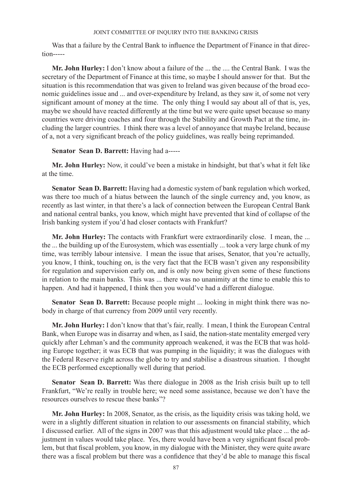Was that a failure by the Central Bank to influence the Department of Finance in that direction-----

**Mr. John Hurley:** I don't know about a failure of the ... the .... the Central Bank. I was the secretary of the Department of Finance at this time, so maybe I should answer for that. But the situation is this recommendation that was given to Ireland was given because of the broad economic guidelines issue and ... and over-expenditure by Ireland, as they saw it, of some not very significant amount of money at the time. The only thing I would say about all of that is, yes, maybe we should have reacted differently at the time but we were quite upset because so many countries were driving coaches and four through the Stability and Growth Pact at the time, including the larger countries. I think there was a level of annoyance that maybe Ireland, because of a, not a very significant breach of the policy guidelines, was really being reprimanded.

## **Senator Sean D. Barrett:** Having had a-----

**Mr. John Hurley:** Now, it could've been a mistake in hindsight, but that's what it felt like at the time.

**Senator Sean D. Barrett:** Having had a domestic system of bank regulation which worked, was there too much of a hiatus between the launch of the single currency and, you know, as recently as last winter, in that there's a lack of connection between the European Central Bank and national central banks, you know, which might have prevented that kind of collapse of the Irish banking system if you'd had closer contacts with Frankfurt?

**Mr. John Hurley:** The contacts with Frankfurt were extraordinarily close. I mean, the ... the ... the building up of the Eurosystem, which was essentially ... took a very large chunk of my time, was terribly labour intensive. I mean the issue that arises, Senator, that you're actually, you know, I think, touching on, is the very fact that the ECB wasn't given any responsibility for regulation and supervision early on, and is only now being given some of these functions in relation to the main banks. This was ... there was no unanimity at the time to enable this to happen. And had it happened, I think then you would've had a different dialogue.

**Senator Sean D. Barrett:** Because people might ... looking in might think there was nobody in charge of that currency from 2009 until very recently.

**Mr. John Hurley:** I don't know that that's fair, really. I mean, I think the European Central Bank, when Europe was in disarray and when, as I said, the nation-state mentality emerged very quickly after Lehman's and the community approach weakened, it was the ECB that was holding Europe together; it was ECB that was pumping in the liquidity; it was the dialogues with the Federal Reserve right across the globe to try and stabilise a disastrous situation. I thought the ECB performed exceptionally well during that period.

**Senator Sean D. Barrett:** Was there dialogue in 2008 as the Irish crisis built up to tell Frankfurt, "We're really in trouble here; we need some assistance, because we don't have the resources ourselves to rescue these banks"?

**Mr. John Hurley:** In 2008, Senator, as the crisis, as the liquidity crisis was taking hold, we were in a slightly different situation in relation to our assessments on financial stability, which I discussed earlier. All of the signs in 2007 was that this adjustment would take place ... the adjustment in values would take place. Yes, there would have been a very significant fiscal problem, but that fiscal problem, you know, in my dialogue with the Minister, they were quite aware there was a fiscal problem but there was a confidence that they'd be able to manage this fiscal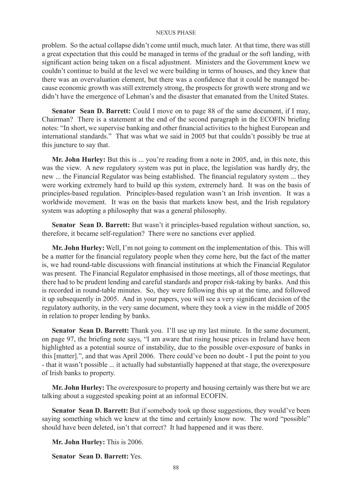problem. So the actual collapse didn't come until much, much later. At that time, there was still a great expectation that this could be managed in terms of the gradual or the soft landing, with significant action being taken on a fiscal adjustment. Ministers and the Government knew we couldn't continue to build at the level we were building in terms of houses, and they knew that there was an overvaluation element, but there was a confidence that it could be managed because economic growth was still extremely strong, the prospects for growth were strong and we didn't have the emergence of Lehman's and the disaster that emanated from the United States.

**Senator Sean D. Barrett:** Could I move on to page 88 of the same document, if I may, Chairman? There is a statement at the end of the second paragraph in the ECOFIN briefing notes: "In short, we supervise banking and other financial activities to the highest European and international standards." That was what we said in 2005 but that couldn't possibly be true at this juncture to say that.

**Mr. John Hurley:** But this is ... you're reading from a note in 2005, and, in this note, this was the view. A new regulatory system was put in place, the legislation was hardly dry, the new ... the Financial Regulator was being established. The financial regulatory system ... they were working extremely hard to build up this system, extremely hard. It was on the basis of principles-based regulation. Principles-based regulation wasn't an Irish invention. It was a worldwide movement. It was on the basis that markets know best, and the Irish regulatory system was adopting a philosophy that was a general philosophy.

**Senator Sean D. Barrett:** But wasn't it principles-based regulation without sanction, so, therefore, it became self-regulation? There were no sanctions ever applied.

**Mr. John Hurley:** Well, I'm not going to comment on the implementation of this. This will be a matter for the financial regulatory people when they come here, but the fact of the matter is, we had round-table discussions with financial institutions at which the Financial Regulator was present. The Financial Regulator emphasised in those meetings, all of those meetings, that there had to be prudent lending and careful standards and proper risk-taking by banks. And this is recorded in round-table minutes. So, they were following this up at the time, and followed it up subsequently in 2005. And in your papers, you will see a very significant decision of the regulatory authority, in the very same document, where they took a view in the middle of 2005 in relation to proper lending by banks.

**Senator Sean D. Barrett:** Thank you. I'll use up my last minute. In the same document, on page 97, the briefing note says, "I am aware that rising house prices in Ireland have been highlighted as a potential source of instability, due to the possible over-exposure of banks in this [matter].", and that was April 2006. There could've been no doubt - I put the point to you - that it wasn't possible ... it actually had substantially happened at that stage, the overexposure of Irish banks to property.

**Mr. John Hurley:** The overexposure to property and housing certainly was there but we are talking about a suggested speaking point at an informal ECOFIN.

**Senator Sean D. Barrett:** But if somebody took up those suggestions, they would've been saying something which we knew at the time and certainly know now. The word "possible" should have been deleted, isn't that correct? It had happened and it was there.

**Mr. John Hurley:** This is 2006.

**Senator Sean D. Barrett:** Yes.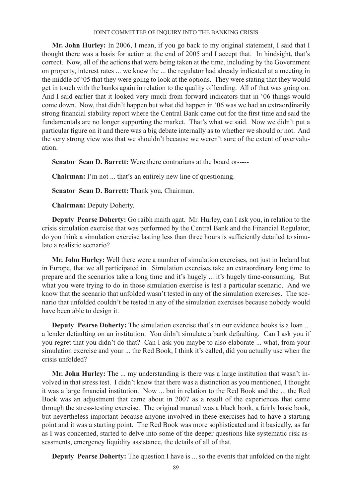**Mr. John Hurley:** In 2006, I mean, if you go back to my original statement, I said that I thought there was a basis for action at the end of 2005 and I accept that. In hindsight, that's correct. Now, all of the actions that were being taken at the time, including by the Government on property, interest rates ... we knew the ... the regulator had already indicated at a meeting in the middle of '05 that they were going to look at the options. They were stating that they would get in touch with the banks again in relation to the quality of lending. All of that was going on. And I said earlier that it looked very much from forward indicators that in '06 things would come down. Now, that didn't happen but what did happen in '06 was we had an extraordinarily strong financial stability report where the Central Bank came out for the first time and said the fundamentals are no longer supporting the market. That's what we said. Now we didn't put a particular figure on it and there was a big debate internally as to whether we should or not. And the very strong view was that we shouldn't because we weren't sure of the extent of overvaluation.

**Senator Sean D. Barrett:** Were there contrarians at the board or-----

**Chairman:** I'm not ... that's an entirely new line of questioning.

**Senator Sean D. Barrett:** Thank you, Chairman.

**Chairman:** Deputy Doherty.

**Deputy Pearse Doherty:** Go raibh maith agat. Mr. Hurley, can I ask you, in relation to the crisis simulation exercise that was performed by the Central Bank and the Financial Regulator, do you think a simulation exercise lasting less than three hours is sufficiently detailed to simulate a realistic scenario?

**Mr. John Hurley:** Well there were a number of simulation exercises, not just in Ireland but in Europe, that we all participated in. Simulation exercises take an extraordinary long time to prepare and the scenarios take a long time and it's hugely ... it's hugely time-consuming. But what you were trying to do in those simulation exercise is test a particular scenario. And we know that the scenario that unfolded wasn't tested in any of the simulation exercises. The scenario that unfolded couldn't be tested in any of the simulation exercises because nobody would have been able to design it.

**Deputy Pearse Doherty:** The simulation exercise that's in our evidence books is a loan ... a lender defaulting on an institution. You didn't simulate a bank defaulting. Can I ask you if you regret that you didn't do that? Can I ask you maybe to also elaborate ... what, from your simulation exercise and your ... the Red Book, I think it's called, did you actually use when the crisis unfolded?

**Mr. John Hurley:** The ... my understanding is there was a large institution that wasn't involved in that stress test. I didn't know that there was a distinction as you mentioned, I thought it was a large financial institution. Now ... but in relation to the Red Book and the ... the Red Book was an adjustment that came about in 2007 as a result of the experiences that came through the stress-testing exercise. The original manual was a black book, a fairly basic book, but nevertheless important because anyone involved in these exercises had to have a starting point and it was a starting point. The Red Book was more sophisticated and it basically, as far as I was concerned, started to delve into some of the deeper questions like systematic risk assessments, emergency liquidity assistance, the details of all of that.

**Deputy Pearse Doherty:** The question I have is ... so the events that unfolded on the night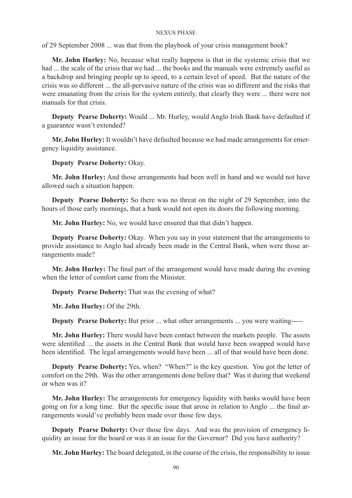of 29 September 2008 ... was that from the playbook of your crisis management book?

**Mr. John Hurley:** No, because what really happens is that in the systemic crisis that we had ... the scale of the crisis that we had ... the books and the manuals were extremely useful as a backdrop and bringing people up to speed, to a certain level of speed. But the nature of the crisis was so different ... the all-pervasive nature of the crisis was so different and the risks that were emanating from the crisis for the system entirely, that clearly they were ... there were not manuals for that crisis.

**Deputy Pearse Doherty:** Would ... Mr. Hurley, would Anglo Irish Bank have defaulted if a guarantee wasn't extended?

**Mr. John Hurley:** It wouldn't have defaulted because we had made arrangements for emergency liquidity assistance.

**Deputy Pearse Doherty:** Okay.

**Mr. John Hurley:** And those arrangements had been well in hand and we would not have allowed such a situation happen.

**Deputy Pearse Doherty:** So there was no threat on the night of 29 September, into the hours of those early mornings, that a bank would not open its doors the following morning.

**Mr. John Hurley:** No, we would have ensured that that didn't happen.

**Deputy Pearse Doherty:** Okay. When you say in your statement that the arrangements to provide assistance to Anglo had already been made in the Central Bank, when were those arrangements made?

**Mr. John Hurley:** The final part of the arrangement would have made during the evening when the letter of comfort came from the Minister.

**Deputy Pearse Doherty:** That was the evening of what?

**Mr. John Hurley:** Of the 29th.

**Deputy Pearse Doherty:** But prior ... what other arrangements ... you were waiting-----

**Mr. John Hurley:** There would have been contact between the markets people. The assets were identified ... the assets in the Central Bank that would have been swapped would have been identified. The legal arrangements would have been ... all of that would have been done.

**Deputy Pearse Doherty:** Yes, when? "When?" is the key question. You got the letter of comfort on the 29th. Was the other arrangements done before that? Was it during that weekend or when was it?

**Mr. John Hurley:** The arrangements for emergency liquidity with banks would have been going on for a long time. But the specific issue that arose in relation to Anglo ... the final arrangements would've probably been made over those few days.

**Deputy Pearse Doherty:** Over those few days. And was the provision of emergency liquidity an issue for the board or was it an issue for the Governor? Did you have authority?

**Mr. John Hurley:** The board delegated, in the course of the crisis, the responsibility to issue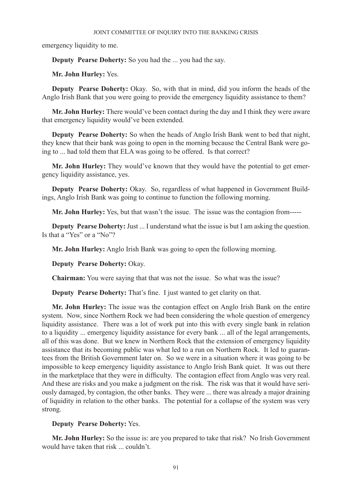emergency liquidity to me.

**Deputy Pearse Doherty:** So you had the ... you had the say.

**Mr. John Hurley:** Yes.

**Deputy Pearse Doherty:** Okay. So, with that in mind, did you inform the heads of the Anglo Irish Bank that you were going to provide the emergency liquidity assistance to them?

**Mr. John Hurley:** There would've been contact during the day and I think they were aware that emergency liquidity would've been extended.

**Deputy Pearse Doherty:** So when the heads of Anglo Irish Bank went to bed that night, they knew that their bank was going to open in the morning because the Central Bank were going to ... had told them that ELA was going to be offered. Is that correct?

**Mr. John Hurley:** They would've known that they would have the potential to get emergency liquidity assistance, yes.

**Deputy Pearse Doherty:** Okay. So, regardless of what happened in Government Buildings, Anglo Irish Bank was going to continue to function the following morning.

**Mr. John Hurley:** Yes, but that wasn't the issue. The issue was the contagion from-----

**Deputy Pearse Doherty:** Just ... I understand what the issue is but I am asking the question. Is that a "Yes" or a "No"?

**Mr. John Hurley:** Anglo Irish Bank was going to open the following morning.

**Deputy Pearse Doherty:** Okay.

**Chairman:** You were saying that that was not the issue. So what was the issue?

**Deputy Pearse Doherty:** That's fine. I just wanted to get clarity on that.

**Mr. John Hurley:** The issue was the contagion effect on Anglo Irish Bank on the entire system. Now, since Northern Rock we had been considering the whole question of emergency liquidity assistance. There was a lot of work put into this with every single bank in relation to a liquidity ... emergency liquidity assistance for every bank ... all of the legal arrangements, all of this was done. But we knew in Northern Rock that the extension of emergency liquidity assistance that its becoming public was what led to a run on Northern Rock. It led to guarantees from the British Government later on. So we were in a situation where it was going to be impossible to keep emergency liquidity assistance to Anglo Irish Bank quiet. It was out there in the marketplace that they were in difficulty. The contagion effect from Anglo was very real. And these are risks and you make a judgment on the risk. The risk was that it would have seriously damaged, by contagion, the other banks. They were ... there was already a major draining of liquidity in relation to the other banks. The potential for a collapse of the system was very strong.

# **Deputy Pearse Doherty:** Yes.

**Mr. John Hurley:** So the issue is: are you prepared to take that risk? No Irish Government would have taken that risk couldn't.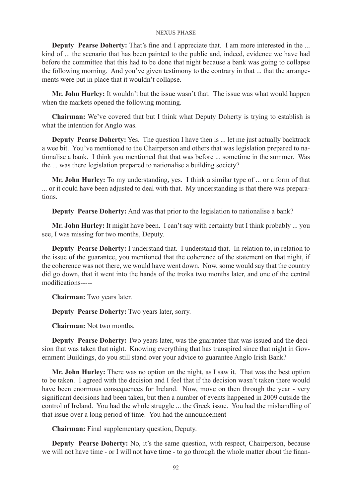**Deputy Pearse Doherty:** That's fine and I appreciate that. I am more interested in the ... kind of ... the scenario that has been painted to the public and, indeed, evidence we have had before the committee that this had to be done that night because a bank was going to collapse the following morning. And you've given testimony to the contrary in that ... that the arrangements were put in place that it wouldn't collapse.

**Mr. John Hurley:** It wouldn't but the issue wasn't that. The issue was what would happen when the markets opened the following morning.

**Chairman:** We've covered that but I think what Deputy Doherty is trying to establish is what the intention for Anglo was.

**Deputy Pearse Doherty:** Yes. The question I have then is ... let me just actually backtrack a wee bit. You've mentioned to the Chairperson and others that was legislation prepared to nationalise a bank. I think you mentioned that that was before ... sometime in the summer. Was the ... was there legislation prepared to nationalise a building society?

**Mr. John Hurley:** To my understanding, yes. I think a similar type of ... or a form of that ... or it could have been adjusted to deal with that. My understanding is that there was preparations.

**Deputy Pearse Doherty:** And was that prior to the legislation to nationalise a bank?

**Mr. John Hurley:** It might have been. I can't say with certainty but I think probably ... you see, I was missing for two months, Deputy.

**Deputy Pearse Doherty:** I understand that. I understand that. In relation to, in relation to the issue of the guarantee, you mentioned that the coherence of the statement on that night, if the coherence was not there, we would have went down. Now, some would say that the country did go down, that it went into the hands of the troika two months later, and one of the central modifications-----

**Chairman:** Two years later.

**Deputy Pearse Doherty:** Two years later, sorry.

**Chairman:** Not two months.

**Deputy Pearse Doherty:** Two years later, was the guarantee that was issued and the decision that was taken that night. Knowing everything that has transpired since that night in Government Buildings, do you still stand over your advice to guarantee Anglo Irish Bank?

**Mr. John Hurley:** There was no option on the night, as I saw it. That was the best option to be taken. I agreed with the decision and I feel that if the decision wasn't taken there would have been enormous consequences for Ireland. Now, move on then through the year - very significant decisions had been taken, but then a number of events happened in 2009 outside the control of Ireland. You had the whole struggle ... the Greek issue. You had the mishandling of that issue over a long period of time. You had the announcement-----

**Chairman:** Final supplementary question, Deputy.

**Deputy Pearse Doherty:** No, it's the same question, with respect, Chairperson, because we will not have time - or I will not have time - to go through the whole matter about the finan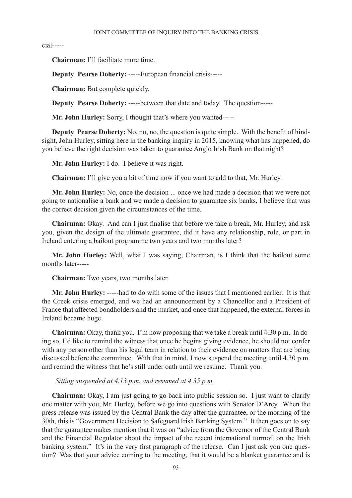cial-----

**Chairman:** I'll facilitate more time.

**Deputy Pearse Doherty:** -----European financial crisis-----

**Chairman:** But complete quickly.

**Deputy Pearse Doherty:** -----between that date and today. The question-----

**Mr. John Hurley:** Sorry, I thought that's where you wanted-----

**Deputy Pearse Doherty:** No, no, no, the question is quite simple. With the benefit of hindsight, John Hurley, sitting here in the banking inquiry in 2015, knowing what has happened, do you believe the right decision was taken to guarantee Anglo Irish Bank on that night?

**Mr. John Hurley:** I do. I believe it was right.

**Chairman:** I'll give you a bit of time now if you want to add to that, Mr. Hurley.

**Mr. John Hurley:** No, once the decision ... once we had made a decision that we were not going to nationalise a bank and we made a decision to guarantee six banks, I believe that was the correct decision given the circumstances of the time.

**Chairman:** Okay. And can I just finalise that before we take a break, Mr. Hurley, and ask you, given the design of the ultimate guarantee, did it have any relationship, role, or part in Ireland entering a bailout programme two years and two months later?

**Mr. John Hurley:** Well, what I was saying, Chairman, is I think that the bailout some months later-----

**Chairman:** Two years, two months later.

**Mr. John Hurley:** -----had to do with some of the issues that I mentioned earlier. It is that the Greek crisis emerged, and we had an announcement by a Chancellor and a President of France that affected bondholders and the market, and once that happened, the external forces in Ireland became huge.

**Chairman:** Okay, thank you. I'm now proposing that we take a break until 4.30 p.m. In doing so, I'd like to remind the witness that once he begins giving evidence, he should not confer with any person other than his legal team in relation to their evidence on matters that are being discussed before the committee. With that in mind, I now suspend the meeting until 4.30 p.m. and remind the witness that he's still under oath until we resume. Thank you.

 *Sitting suspended at 4.13 p.m. and resumed at 4.35 p.m.*

**Chairman:** Okay, I am just going to go back into public session so. I just want to clarify one matter with you, Mr. Hurley, before we go into questions with Senator D'Arcy. When the press release was issued by the Central Bank the day after the guarantee, or the morning of the 30th, this is "Government Decision to Safeguard Irish Banking System." It then goes on to say that the guarantee makes mention that it was on "advice from the Governor of the Central Bank and the Financial Regulator about the impact of the recent international turmoil on the Irish banking system." It's in the very first paragraph of the release. Can I just ask you one question? Was that your advice coming to the meeting, that it would be a blanket guarantee and is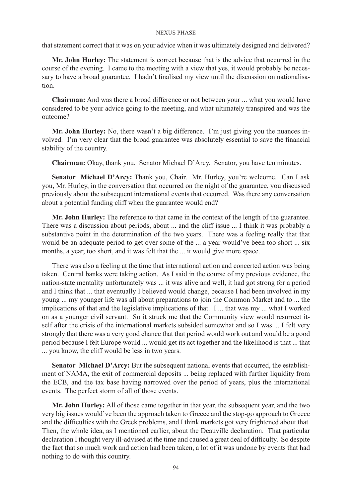that statement correct that it was on your advice when it was ultimately designed and delivered?

**Mr. John Hurley:** The statement is correct because that is the advice that occurred in the course of the evening. I came to the meeting with a view that yes, it would probably be necessary to have a broad guarantee. I hadn't finalised my view until the discussion on nationalisation.

**Chairman:** And was there a broad difference or not between your ... what you would have considered to be your advice going to the meeting, and what ultimately transpired and was the outcome?

**Mr. John Hurley:** No, there wasn't a big difference. I'm just giving you the nuances involved. I'm very clear that the broad guarantee was absolutely essential to save the financial stability of the country.

**Chairman:** Okay, thank you. Senator Michael D'Arcy. Senator, you have ten minutes.

**Senator Michael D'Arcy:** Thank you, Chair. Mr. Hurley, you're welcome. Can I ask you, Mr. Hurley, in the conversation that occurred on the night of the guarantee, you discussed previously about the subsequent international events that occurred. Was there any conversation about a potential funding cliff when the guarantee would end?

**Mr. John Hurley:** The reference to that came in the context of the length of the guarantee. There was a discussion about periods, about ... and the cliff issue ... I think it was probably a substantive point in the determination of the two years. There was a feeling really that that would be an adequate period to get over some of the ... a year would've been too short ... six months, a year, too short, and it was felt that the ... it would give more space.

There was also a feeling at the time that international action and concerted action was being taken. Central banks were taking action. As I said in the course of my previous evidence, the nation-state mentality unfortunately was ... it was alive and well, it had got strong for a period and I think that ... that eventually I believed would change, because I had been involved in my young ... my younger life was all about preparations to join the Common Market and to ... the implications of that and the legislative implications of that. I ... that was my ... what I worked on as a younger civil servant. So it struck me that the Community view would resurrect itself after the crisis of the international markets subsided somewhat and so I was ... I felt very strongly that there was a very good chance that that period would work out and would be a good period because I felt Europe would ... would get its act together and the likelihood is that ... that ... you know, the cliff would be less in two years.

**Senator Michael D'Arcy:** But the subsequent national events that occurred, the establishment of NAMA, the exit of commercial deposits ... being replaced with further liquidity from the ECB, and the tax base having narrowed over the period of years, plus the international events. The perfect storm of all of those events.

**Mr. John Hurley:** All of those came together in that year, the subsequent year, and the two very big issues would've been the approach taken to Greece and the stop-go approach to Greece and the difficulties with the Greek problems, and I think markets got very frightened about that. Then, the whole idea, as I mentioned earlier, about the Deauville declaration. That particular declaration I thought very ill-advised at the time and caused a great deal of difficulty. So despite the fact that so much work and action had been taken, a lot of it was undone by events that had nothing to do with this country.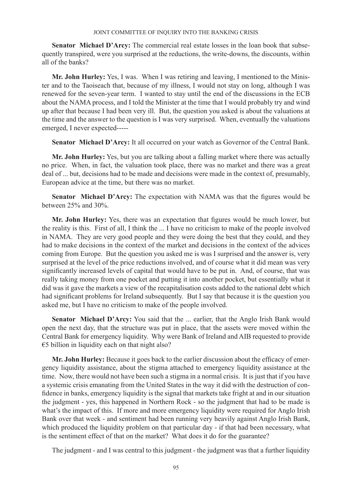**Senator Michael D'Arcy:** The commercial real estate losses in the loan book that subsequently transpired, were you surprised at the reductions, the write-downs, the discounts, within all of the banks?

**Mr. John Hurley:** Yes, I was. When I was retiring and leaving, I mentioned to the Minister and to the Taoiseach that, because of my illness, I would not stay on long, although I was renewed for the seven-year term. I wanted to stay until the end of the discussions in the ECB about the NAMA process, and I told the Minister at the time that I would probably try and wind up after that because I had been very ill. But, the question you asked is about the valuations at the time and the answer to the question is I was very surprised. When, eventually the valuations emerged, I never expected-----

Senator Michael D'Arcy: It all occurred on your watch as Governor of the Central Bank.

**Mr. John Hurley:** Yes, but you are talking about a falling market where there was actually no price. When, in fact, the valuation took place, there was no market and there was a great deal of ... but, decisions had to be made and decisions were made in the context of, presumably, European advice at the time, but there was no market.

**Senator Michael D'Arcy:** The expectation with NAMA was that the figures would be between 25% and 30%.

**Mr. John Hurley:** Yes, there was an expectation that figures would be much lower, but the reality is this. First of all, I think the ... I have no criticism to make of the people involved in NAMA. They are very good people and they were doing the best that they could, and they had to make decisions in the context of the market and decisions in the context of the advices coming from Europe. But the question you asked me is was I surprised and the answer is, very surprised at the level of the price reductions involved, and of course what it did mean was very significantly increased levels of capital that would have to be put in. And, of course, that was really taking money from one pocket and putting it into another pocket, but essentially what it did was it gave the markets a view of the recapitalisation costs added to the national debt which had significant problems for Ireland subsequently. But I say that because it is the question you asked me, but I have no criticism to make of the people involved.

Senator Michael D'Arcy: You said that the ... earlier, that the Anglo Irish Bank would open the next day, that the structure was put in place, that the assets were moved within the Central Bank for emergency liquidity. Why were Bank of Ireland and AIB requested to provide  $€5$  billion in liquidity each on that night also?

**Mr. John Hurley:** Because it goes back to the earlier discussion about the efficacy of emergency liquidity assistance, about the stigma attached to emergency liquidity assistance at the time. Now, there would not have been such a stigma in a normal crisis. It is just that if you have a systemic crisis emanating from the United States in the way it did with the destruction of confidence in banks, emergency liquidity is the signal that markets take fright at and in our situation the judgment - yes, this happened in Northern Rock - so the judgment that had to be made is what's the impact of this. If more and more emergency liquidity were required for Anglo Irish Bank over that week - and sentiment had been running very heavily against Anglo Irish Bank, which produced the liquidity problem on that particular day - if that had been necessary, what is the sentiment effect of that on the market? What does it do for the guarantee?

The judgment - and I was central to this judgment - the judgment was that a further liquidity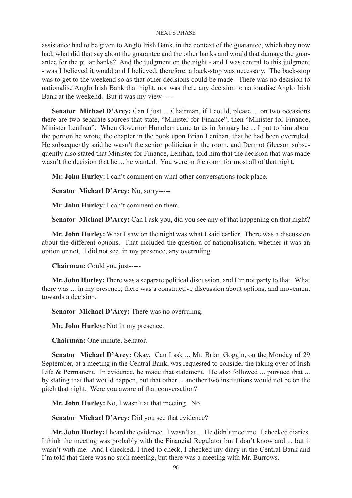assistance had to be given to Anglo Irish Bank, in the context of the guarantee, which they now had, what did that say about the guarantee and the other banks and would that damage the guarantee for the pillar banks? And the judgment on the night - and I was central to this judgment - was I believed it would and I believed, therefore, a back-stop was necessary. The back-stop was to get to the weekend so as that other decisions could be made. There was no decision to nationalise Anglo Irish Bank that night, nor was there any decision to nationalise Anglo Irish Bank at the weekend. But it was my view-----

Senator Michael D'Arcy: Can I just ... Chairman, if I could, please ... on two occasions there are two separate sources that state, "Minister for Finance", then "Minister for Finance, Minister Lenihan". When Governor Honohan came to us in January he ... I put to him about the portion he wrote, the chapter in the book upon Brian Lenihan, that he had been overruled. He subsequently said he wasn't the senior politician in the room, and Dermot Gleeson subsequently also stated that Minister for Finance, Lenihan, told him that the decision that was made wasn't the decision that he ... he wanted. You were in the room for most all of that night.

**Mr. John Hurley:** I can't comment on what other conversations took place.

**Senator Michael D'Arcy:** No, sorry-----

**Mr. John Hurley:** I can't comment on them.

**Senator Michael D'Arcy:** Can I ask you, did you see any of that happening on that night?

**Mr. John Hurley:** What I saw on the night was what I said earlier. There was a discussion about the different options. That included the question of nationalisation, whether it was an option or not. I did not see, in my presence, any overruling.

**Chairman:** Could you just-----

**Mr. John Hurley:** There was a separate political discussion, and I'm not party to that. What there was ... in my presence, there was a constructive discussion about options, and movement towards a decision.

**Senator Michael D'Arcy:** There was no overruling.

**Mr. John Hurley:** Not in my presence.

**Chairman:** One minute, Senator.

**Senator Michael D'Arcy:** Okay. Can I ask ... Mr. Brian Goggin, on the Monday of 29 September, at a meeting in the Central Bank, was requested to consider the taking over of Irish Life & Permanent. In evidence, he made that statement. He also followed ... pursued that ... by stating that that would happen, but that other ... another two institutions would not be on the pitch that night. Were you aware of that conversation?

**Mr. John Hurley:** No, I wasn't at that meeting. No.

**Senator Michael D'Arcy:** Did you see that evidence?

**Mr. John Hurley:** I heard the evidence. I wasn't at ... He didn't meet me. I checked diaries. I think the meeting was probably with the Financial Regulator but I don't know and ... but it wasn't with me. And I checked, I tried to check, I checked my diary in the Central Bank and I'm told that there was no such meeting, but there was a meeting with Mr. Burrows.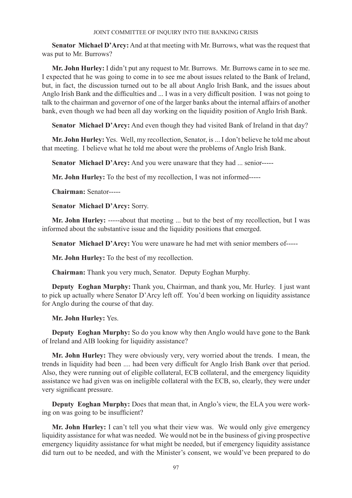**Senator Michael D'Arcy:** And at that meeting with Mr. Burrows, what was the request that was put to Mr. Burrows?

**Mr. John Hurley:** I didn't put any request to Mr. Burrows. Mr. Burrows came in to see me. I expected that he was going to come in to see me about issues related to the Bank of Ireland, but, in fact, the discussion turned out to be all about Anglo Irish Bank, and the issues about Anglo Irish Bank and the difficulties and ... I was in a very difficult position. I was not going to talk to the chairman and governor of one of the larger banks about the internal affairs of another bank, even though we had been all day working on the liquidity position of Anglo Irish Bank.

**Senator Michael D'Arcy:** And even though they had visited Bank of Ireland in that day?

**Mr. John Hurley:** Yes. Well, my recollection, Senator, is ... I don't believe he told me about that meeting. I believe what he told me about were the problems of Anglo Irish Bank.

**Senator Michael D'Arcy:** And you were unaware that they had ... senior-----

**Mr. John Hurley:** To the best of my recollection, I was not informed-----

**Chairman:** Senator-----

**Senator Michael D'Arcy:** Sorry.

**Mr. John Hurley:** -----about that meeting ... but to the best of my recollection, but I was informed about the substantive issue and the liquidity positions that emerged.

**Senator Michael D'Arcy:** You were unaware he had met with senior members of-----

**Mr. John Hurley:** To the best of my recollection.

**Chairman:** Thank you very much, Senator. Deputy Eoghan Murphy.

**Deputy Eoghan Murphy:** Thank you, Chairman, and thank you, Mr. Hurley. I just want to pick up actually where Senator D'Arcy left off. You'd been working on liquidity assistance for Anglo during the course of that day.

**Mr. John Hurley:** Yes.

**Deputy Eoghan Murphy:** So do you know why then Anglo would have gone to the Bank of Ireland and AIB looking for liquidity assistance?

**Mr. John Hurley:** They were obviously very, very worried about the trends. I mean, the trends in liquidity had been .... had been very difficult for Anglo Irish Bank over that period. Also, they were running out of eligible collateral, ECB collateral, and the emergency liquidity assistance we had given was on ineligible collateral with the ECB, so, clearly, they were under very significant pressure.

**Deputy Eoghan Murphy:** Does that mean that, in Anglo's view, the ELA you were working on was going to be insufficient?

**Mr. John Hurley:** I can't tell you what their view was. We would only give emergency liquidity assistance for what was needed. We would not be in the business of giving prospective emergency liquidity assistance for what might be needed, but if emergency liquidity assistance did turn out to be needed, and with the Minister's consent, we would've been prepared to do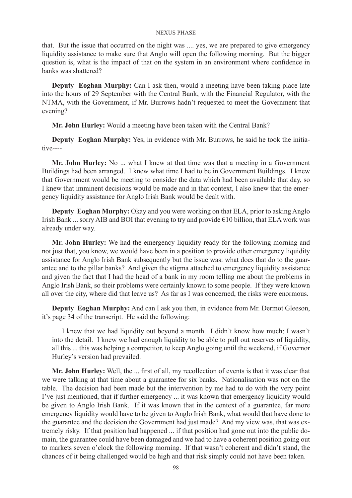that. But the issue that occurred on the night was .... yes, we are prepared to give emergency liquidity assistance to make sure that Anglo will open the following morning. But the bigger question is, what is the impact of that on the system in an environment where confidence in banks was shattered?

**Deputy Eoghan Murphy:** Can I ask then, would a meeting have been taking place late into the hours of 29 September with the Central Bank, with the Financial Regulator, with the NTMA, with the Government, if Mr. Burrows hadn't requested to meet the Government that evening?

**Mr. John Hurley:** Would a meeting have been taken with the Central Bank?

**Deputy Eoghan Murphy:** Yes, in evidence with Mr. Burrows, he said he took the initiative----

**Mr. John Hurley:** No ... what I knew at that time was that a meeting in a Government Buildings had been arranged. I knew what time I had to be in Government Buildings. I knew that Government would be meeting to consider the data which had been available that day, so I knew that imminent decisions would be made and in that context, I also knew that the emergency liquidity assistance for Anglo Irish Bank would be dealt with.

**Deputy Eoghan Murphy:** Okay and you were working on that ELA, prior to asking Anglo Irish Bank ... sorry AIB and BOI that evening to try and provide  $\epsilon$ 10 billion, that ELA work was already under way.

**Mr. John Hurley:** We had the emergency liquidity ready for the following morning and not just that, you know, we would have been in a position to provide other emergency liquidity assistance for Anglo Irish Bank subsequently but the issue was: what does that do to the guarantee and to the pillar banks? And given the stigma attached to emergency liquidity assistance and given the fact that I had the head of a bank in my room telling me about the problems in Anglo Irish Bank, so their problems were certainly known to some people. If they were known all over the city, where did that leave us? As far as I was concerned, the risks were enormous.

**Deputy Eoghan Murphy:** And can I ask you then, in evidence from Mr. Dermot Gleeson, it's page 34 of the transcript. He said the following:

I knew that we had liquidity out beyond a month. I didn't know how much; I wasn't into the detail. I knew we had enough liquidity to be able to pull out reserves of liquidity, all this ... this was helping a competitor, to keep Anglo going until the weekend, if Governor Hurley's version had prevailed.

**Mr. John Hurley:** Well, the ... first of all, my recollection of events is that it was clear that we were talking at that time about a guarantee for six banks. Nationalisation was not on the table. The decision had been made but the intervention by me had to do with the very point I've just mentioned, that if further emergency ... it was known that emergency liquidity would be given to Anglo Irish Bank. If it was known that in the context of a guarantee, far more emergency liquidity would have to be given to Anglo Irish Bank, what would that have done to the guarantee and the decision the Government had just made? And my view was, that was extremely risky. If that position had happened ... if that position had gone out into the public domain, the guarantee could have been damaged and we had to have a coherent position going out to markets seven o'clock the following morning. If that wasn't coherent and didn't stand, the chances of it being challenged would be high and that risk simply could not have been taken.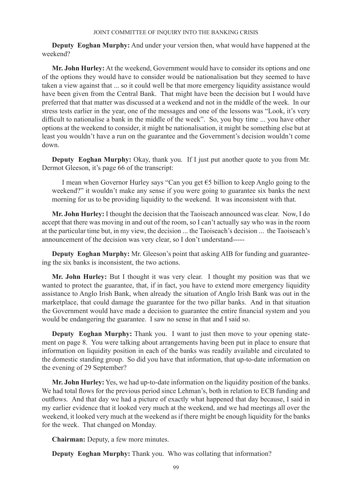**Deputy Eoghan Murphy:** And under your version then, what would have happened at the weekend?

**Mr. John Hurley:** At the weekend, Government would have to consider its options and one of the options they would have to consider would be nationalisation but they seemed to have taken a view against that ... so it could well be that more emergency liquidity assistance would have been given from the Central Bank. That might have been the decision but I would have preferred that that matter was discussed at a weekend and not in the middle of the week. In our stress tests earlier in the year, one of the messages and one of the lessons was "Look, it's very difficult to nationalise a bank in the middle of the week". So, you buy time ... you have other options at the weekend to consider, it might be nationalisation, it might be something else but at least you wouldn't have a run on the guarantee and the Government's decision wouldn't come down.

**Deputy Eoghan Murphy:** Okay, thank you. If I just put another quote to you from Mr. Dermot Gleeson, it's page 66 of the transcript:

I mean when Governor Hurley says "Can you get €5 billion to keep Anglo going to the weekend?" it wouldn't make any sense if you were going to guarantee six banks the next morning for us to be providing liquidity to the weekend. It was inconsistent with that.

**Mr. John Hurley:** I thought the decision that the Taoiseach announced was clear. Now, I do accept that there was moving in and out of the room, so I can't actually say who was in the room at the particular time but, in my view, the decision ... the Taoiseach's decision ... the Taoiseach's announcement of the decision was very clear, so I don't understand-----

**Deputy Eoghan Murphy:** Mr. Gleeson's point that asking AIB for funding and guaranteeing the six banks is inconsistent, the two actions.

**Mr. John Hurley:** But I thought it was very clear. I thought my position was that we wanted to protect the guarantee, that, if in fact, you have to extend more emergency liquidity assistance to Anglo Irish Bank, when already the situation of Anglo Irish Bank was out in the marketplace, that could damage the guarantee for the two pillar banks. And in that situation the Government would have made a decision to guarantee the entire financial system and you would be endangering the guarantee. I saw no sense in that and I said so.

**Deputy Eoghan Murphy:** Thank you. I want to just then move to your opening statement on page 8. You were talking about arrangements having been put in place to ensure that information on liquidity position in each of the banks was readily available and circulated to the domestic standing group. So did you have that information, that up-to-date information on the evening of 29 September?

**Mr. John Hurley:** Yes, we had up-to-date information on the liquidity position of the banks. We had total flows for the previous period since Lehman's, both in relation to ECB funding and outflows. And that day we had a picture of exactly what happened that day because, I said in my earlier evidence that it looked very much at the weekend, and we had meetings all over the weekend, it looked very much at the weekend as if there might be enough liquidity for the banks for the week. That changed on Monday.

**Chairman:** Deputy, a few more minutes.

**Deputy Eoghan Murphy:** Thank you. Who was collating that information?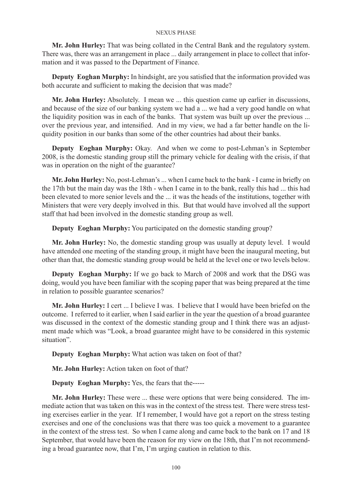**Mr. John Hurley:** That was being collated in the Central Bank and the regulatory system. There was, there was an arrangement in place ... daily arrangement in place to collect that information and it was passed to the Department of Finance.

**Deputy Eoghan Murphy:** In hindsight, are you satisfied that the information provided was both accurate and sufficient to making the decision that was made?

**Mr. John Hurley:** Absolutely. I mean we ... this question came up earlier in discussions, and because of the size of our banking system we had a ... we had a very good handle on what the liquidity position was in each of the banks. That system was built up over the previous ... over the previous year, and intensified. And in my view, we had a far better handle on the liquidity position in our banks than some of the other countries had about their banks.

**Deputy Eoghan Murphy:** Okay. And when we come to post-Lehman's in September 2008, is the domestic standing group still the primary vehicle for dealing with the crisis, if that was in operation on the night of the guarantee?

**Mr. John Hurley:** No, post-Lehman's ... when I came back to the bank - I came in briefly on the 17th but the main day was the 18th - when I came in to the bank, really this had ... this had been elevated to more senior levels and the ... it was the heads of the institutions, together with Ministers that were very deeply involved in this. But that would have involved all the support staff that had been involved in the domestic standing group as well.

**Deputy Eoghan Murphy:** You participated on the domestic standing group?

**Mr. John Hurley:** No, the domestic standing group was usually at deputy level. I would have attended one meeting of the standing group, it might have been the inaugural meeting, but other than that, the domestic standing group would be held at the level one or two levels below.

**Deputy Eoghan Murphy:** If we go back to March of 2008 and work that the DSG was doing, would you have been familiar with the scoping paper that was being prepared at the time in relation to possible guarantee scenarios?

**Mr. John Hurley:** I cert ... I believe I was. I believe that I would have been briefed on the outcome. I referred to it earlier, when I said earlier in the year the question of a broad guarantee was discussed in the context of the domestic standing group and I think there was an adjustment made which was "Look, a broad guarantee might have to be considered in this systemic situation".

**Deputy Eoghan Murphy:** What action was taken on foot of that?

**Mr. John Hurley:** Action taken on foot of that?

**Deputy Eoghan Murphy:** Yes, the fears that the-----

**Mr. John Hurley:** These were ... these were options that were being considered. The immediate action that was taken on this was in the context of the stress test. There were stress testing exercises earlier in the year. If I remember, I would have got a report on the stress testing exercises and one of the conclusions was that there was too quick a movement to a guarantee in the context of the stress test. So when I came along and came back to the bank on 17 and 18 September, that would have been the reason for my view on the 18th, that I'm not recommending a broad guarantee now, that I'm, I'm urging caution in relation to this.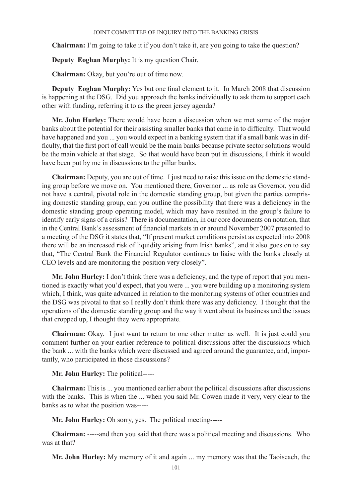**Chairman:** I'm going to take it if you don't take it, are you going to take the question?

**Deputy Eoghan Murphy:** It is my question Chair.

**Chairman:** Okay, but you're out of time now.

**Deputy Eoghan Murphy:** Yes but one final element to it. In March 2008 that discussion is happening at the DSG. Did you approach the banks individually to ask them to support each other with funding, referring it to as the green jersey agenda?

**Mr. John Hurley:** There would have been a discussion when we met some of the major banks about the potential for their assisting smaller banks that came in to difficulty. That would have happened and you ... you would expect in a banking system that if a small bank was in difficulty, that the first port of call would be the main banks because private sector solutions would be the main vehicle at that stage. So that would have been put in discussions, I think it would have been put by me in discussions to the pillar banks.

**Chairman:** Deputy, you are out of time. I just need to raise this issue on the domestic standing group before we move on. You mentioned there, Governor ... as role as Governor, you did not have a central, pivotal role in the domestic standing group, but given the parties comprising domestic standing group, can you outline the possibility that there was a deficiency in the domestic standing group operating model, which may have resulted in the group's failure to identify early signs of a crisis? There is documentation, in our core documents on notation, that in the Central Bank's assessment of financial markets in or around November 2007 presented to a meeting of the DSG it states that, "If present market conditions persist as expected into 2008 there will be an increased risk of liquidity arising from Irish banks", and it also goes on to say that, "The Central Bank the Financial Regulator continues to liaise with the banks closely at CEO levels and are monitoring the position very closely".

**Mr. John Hurley:** I don't think there was a deficiency, and the type of report that you mentioned is exactly what you'd expect, that you were ... you were building up a monitoring system which, I think, was quite advanced in relation to the monitoring systems of other countries and the DSG was pivotal to that so I really don't think there was any deficiency. I thought that the operations of the domestic standing group and the way it went about its business and the issues that cropped up, I thought they were appropriate.

**Chairman:** Okay. I just want to return to one other matter as well. It is just could you comment further on your earlier reference to political discussions after the discussions which the bank ... with the banks which were discussed and agreed around the guarantee, and, importantly, who participated in those discussions?

# **Mr. John Hurley:** The political-----

**Chairman:** This is ... you mentioned earlier about the political discussions after discussions with the banks. This is when the ... when you said Mr. Cowen made it very, very clear to the banks as to what the position was-----

**Mr. John Hurley:** Oh sorry, yes. The political meeting-----

**Chairman:** -----and then you said that there was a political meeting and discussions. Who was at that?

**Mr. John Hurley:** My memory of it and again ... my memory was that the Taoiseach, the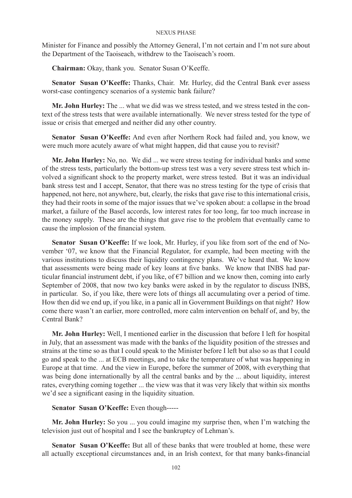Minister for Finance and possibly the Attorney General, I'm not certain and I'm not sure about the Department of the Taoiseach, withdrew to the Taoiseach's room.

**Chairman:** Okay, thank you. Senator Susan O'Keeffe.

**Senator Susan O'Keeffe:** Thanks, Chair. Mr. Hurley, did the Central Bank ever assess worst-case contingency scenarios of a systemic bank failure?

**Mr. John Hurley:** The ... what we did was we stress tested, and we stress tested in the context of the stress tests that were available internationally. We never stress tested for the type of issue or crisis that emerged and neither did any other country.

**Senator Susan O'Keeffe:** And even after Northern Rock had failed and, you know, we were much more acutely aware of what might happen, did that cause you to revisit?

**Mr. John Hurley:** No, no. We did ... we were stress testing for individual banks and some of the stress tests, particularly the bottom-up stress test was a very severe stress test which involved a significant shock to the property market, were stress tested. But it was an individual bank stress test and I accept, Senator, that there was no stress testing for the type of crisis that happened, not here, not anywhere, but, clearly, the risks that gave rise to this international crisis, they had their roots in some of the major issues that we've spoken about: a collapse in the broad market, a failure of the Basel accords, low interest rates for too long, far too much increase in the money supply. These are the things that gave rise to the problem that eventually came to cause the implosion of the financial system.

**Senator Susan O'Keeffe:** If we look, Mr. Hurley, if you like from sort of the end of November '07, we know that the Financial Regulator, for example, had been meeting with the various institutions to discuss their liquidity contingency plans. We've heard that. We know that assessments were being made of key loans at five banks. We know that INBS had particular financial instrument debt, if you like, of  $\epsilon$ 7 billion and we know then, coming into early September of 2008, that now two key banks were asked in by the regulator to discuss INBS, in particular. So, if you like, there were lots of things all accumulating over a period of time. How then did we end up, if you like, in a panic all in Government Buildings on that night? How come there wasn't an earlier, more controlled, more calm intervention on behalf of, and by, the Central Bank?

**Mr. John Hurley:** Well, I mentioned earlier in the discussion that before I left for hospital in July, that an assessment was made with the banks of the liquidity position of the stresses and strains at the time so as that I could speak to the Minister before I left but also so as that I could go and speak to the ... at ECB meetings, and to take the temperature of what was happening in Europe at that time. And the view in Europe, before the summer of 2008, with everything that was being done internationally by all the central banks and by the ... about liquidity, interest rates, everything coming together ... the view was that it was very likely that within six months we'd see a significant easing in the liquidity situation.

# **Senator Susan O'Keeffe:** Even though-----

**Mr. John Hurley:** So you ... you could imagine my surprise then, when I'm watching the television just out of hospital and I see the bankruptcy of Lehman's.

**Senator Susan O'Keeffe:** But all of these banks that were troubled at home, these were all actually exceptional circumstances and, in an Irish context, for that many banks-financial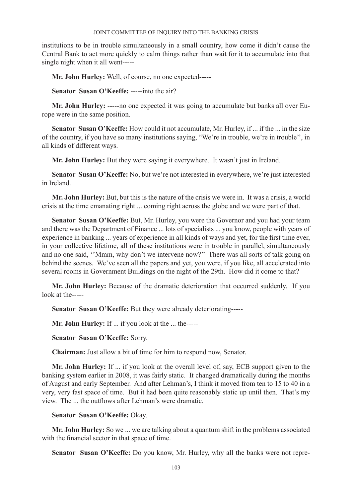institutions to be in trouble simultaneously in a small country, how come it didn't cause the Central Bank to act more quickly to calm things rather than wait for it to accumulate into that single night when it all went-----

**Mr. John Hurley:** Well, of course, no one expected-----

**Senator Susan O'Keeffe:** -----into the air?

**Mr. John Hurley:** -----no one expected it was going to accumulate but banks all over Europe were in the same position.

**Senator Susan O'Keeffe:** How could it not accumulate, Mr. Hurley, if ... if the ... in the size of the country, if you have so many institutions saying, "We're in trouble, we're in trouble'', in all kinds of different ways.

**Mr. John Hurley:** But they were saying it everywhere. It wasn't just in Ireland.

**Senator Susan O'Keeffe:** No, but we're not interested in everywhere, we're just interested in Ireland.

**Mr. John Hurley:** But, but this is the nature of the crisis we were in. It was a crisis, a world crisis at the time emanating right ... coming right across the globe and we were part of that.

**Senator Susan O'Keeffe:** But, Mr. Hurley, you were the Governor and you had your team and there was the Department of Finance ... lots of specialists ... you know, people with years of experience in banking ... years of experience in all kinds of ways and yet, for the first time ever, in your collective lifetime, all of these institutions were in trouble in parallel, simultaneously and no one said, ''Mmm, why don't we intervene now?'' There was all sorts of talk going on behind the scenes. We've seen all the papers and yet, you were, if you like, all accelerated into several rooms in Government Buildings on the night of the 29th. How did it come to that?

**Mr. John Hurley:** Because of the dramatic deterioration that occurred suddenly. If you look at the-----

**Senator Susan O'Keeffe:** But they were already deteriorating-----

**Mr. John Hurley:** If ... if you look at the ... the-----

**Senator Susan O'Keeffe:** Sorry.

**Chairman:** Just allow a bit of time for him to respond now, Senator.

**Mr. John Hurley:** If ... if you look at the overall level of, say, ECB support given to the banking system earlier in 2008, it was fairly static. It changed dramatically during the months of August and early September. And after Lehman's, I think it moved from ten to 15 to 40 in a very, very fast space of time. But it had been quite reasonably static up until then. That's my view. The ... the outflows after Lehman's were dramatic.

## **Senator Susan O'Keeffe:** Okay.

**Mr. John Hurley:** So we ... we are talking about a quantum shift in the problems associated with the financial sector in that space of time.

**Senator Susan O'Keeffe:** Do you know, Mr. Hurley, why all the banks were not repre-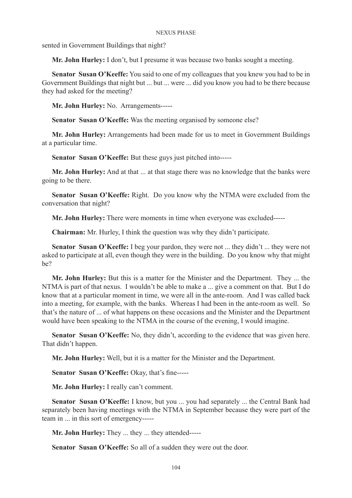sented in Government Buildings that night?

**Mr. John Hurley:** I don't, but I presume it was because two banks sought a meeting.

**Senator Susan O'Keeffe:** You said to one of my colleagues that you knew you had to be in Government Buildings that night but ... but ... were ... did you know you had to be there because they had asked for the meeting?

**Mr. John Hurley:** No. Arrangements-----

**Senator Susan O'Keeffe:** Was the meeting organised by someone else?

**Mr. John Hurley:** Arrangements had been made for us to meet in Government Buildings at a particular time.

**Senator Susan O'Keeffe:** But these guys just pitched into-----

**Mr. John Hurley:** And at that ... at that stage there was no knowledge that the banks were going to be there.

**Senator Susan O'Keeffe:** Right. Do you know why the NTMA were excluded from the conversation that night?

**Mr. John Hurley:** There were moments in time when everyone was excluded-----

**Chairman:** Mr. Hurley, I think the question was why they didn't participate.

**Senator Susan O'Keeffe:** I beg your pardon, they were not ... they didn't ... they were not asked to participate at all, even though they were in the building. Do you know why that might be?

**Mr. John Hurley:** But this is a matter for the Minister and the Department. They ... the NTMA is part of that nexus. I wouldn't be able to make a ... give a comment on that. But I do know that at a particular moment in time, we were all in the ante-room. And I was called back into a meeting, for example, with the banks. Whereas I had been in the ante-room as well. So that's the nature of ... of what happens on these occasions and the Minister and the Department would have been speaking to the NTMA in the course of the evening, I would imagine.

Senator Susan O'Keeffe: No, they didn't, according to the evidence that was given here. That didn't happen.

**Mr. John Hurley:** Well, but it is a matter for the Minister and the Department.

**Senator Susan O'Keeffe:** Okay, that's fine-----

**Mr. John Hurley:** I really can't comment.

**Senator Susan O'Keeffe:** I know, but you ... you had separately ... the Central Bank had separately been having meetings with the NTMA in September because they were part of the team in ... in this sort of emergency-----

**Mr. John Hurley:** They ... they ... they attended-----

**Senator Susan O'Keeffe:** So all of a sudden they were out the door.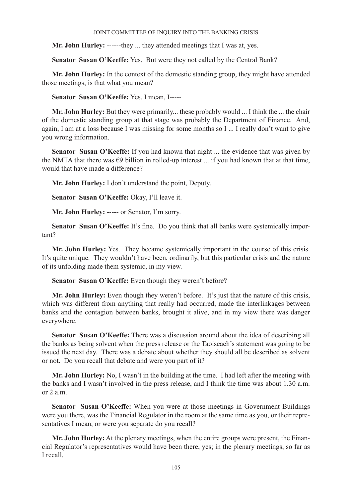**Mr. John Hurley:** ------they ... they attended meetings that I was at, yes.

**Senator Susan O'Keeffe:** Yes. But were they not called by the Central Bank?

**Mr. John Hurley:** In the context of the domestic standing group, they might have attended those meetings, is that what you mean?

**Senator Susan O'Keeffe:** Yes, I mean, I-----

**Mr. John Hurley:** But they were primarily... these probably would ... I think the ... the chair of the domestic standing group at that stage was probably the Department of Finance. And, again, I am at a loss because I was missing for some months so I ... I really don't want to give you wrong information.

**Senator Susan O'Keeffe:** If you had known that night ... the evidence that was given by the NMTA that there was  $\epsilon$ 9 billion in rolled-up interest ... if you had known that at that time, would that have made a difference?

**Mr. John Hurley:** I don't understand the point, Deputy.

**Senator Susan O'Keeffe:** Okay, I'll leave it.

**Mr. John Hurley:** ----- or Senator, I'm sorry.

Senator Susan O'Keeffe: It's fine. Do you think that all banks were systemically important?

**Mr. John Hurley:** Yes. They became systemically important in the course of this crisis. It's quite unique. They wouldn't have been, ordinarily, but this particular crisis and the nature of its unfolding made them systemic, in my view.

**Senator Susan O'Keeffe:** Even though they weren't before?

**Mr. John Hurley:** Even though they weren't before. It's just that the nature of this crisis, which was different from anything that really had occurred, made the interlinkages between banks and the contagion between banks, brought it alive, and in my view there was danger everywhere.

**Senator Susan O'Keeffe:** There was a discussion around about the idea of describing all the banks as being solvent when the press release or the Taoiseach's statement was going to be issued the next day. There was a debate about whether they should all be described as solvent or not. Do you recall that debate and were you part of it?

**Mr. John Hurley:** No, I wasn't in the building at the time. I had left after the meeting with the banks and I wasn't involved in the press release, and I think the time was about 1.30 a.m. or  $2$  a.m.

**Senator Susan O'Keeffe:** When you were at those meetings in Government Buildings were you there, was the Financial Regulator in the room at the same time as you, or their representatives I mean, or were you separate do you recall?

**Mr. John Hurley:** At the plenary meetings, when the entire groups were present, the Financial Regulator's representatives would have been there, yes; in the plenary meetings, so far as I recall.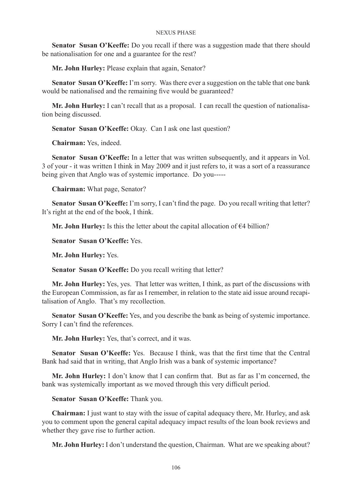**Senator Susan O'Keeffe:** Do you recall if there was a suggestion made that there should be nationalisation for one and a guarantee for the rest?

**Mr. John Hurley:** Please explain that again, Senator?

**Senator Susan O'Keeffe:** I'm sorry. Was there ever a suggestion on the table that one bank would be nationalised and the remaining five would be guaranteed?

**Mr. John Hurley:** I can't recall that as a proposal. I can recall the question of nationalisation being discussed.

**Senator Susan O'Keeffe:** Okay. Can I ask one last question?

**Chairman:** Yes, indeed.

**Senator Susan O'Keeffe:** In a letter that was written subsequently, and it appears in Vol. 3 of your - it was written I think in May 2009 and it just refers to, it was a sort of a reassurance being given that Anglo was of systemic importance. Do you-----

**Chairman:** What page, Senator?

Senator Susan O'Keeffe: I'm sorry, I can't find the page. Do you recall writing that letter? It's right at the end of the book, I think.

**Mr. John Hurley:** Is this the letter about the capital allocation of  $\epsilon$ 4 billion?

**Senator Susan O'Keeffe:** Yes.

**Mr. John Hurley:** Yes.

**Senator Susan O'Keeffe:** Do you recall writing that letter?

**Mr. John Hurley:** Yes, yes. That letter was written, I think, as part of the discussions with the European Commission, as far as I remember, in relation to the state aid issue around recapitalisation of Anglo. That's my recollection.

**Senator Susan O'Keeffe:** Yes, and you describe the bank as being of systemic importance. Sorry I can't find the references.

**Mr. John Hurley:** Yes, that's correct, and it was.

**Senator Susan O'Keeffe:** Yes. Because I think, was that the first time that the Central Bank had said that in writing, that Anglo Irish was a bank of systemic importance?

**Mr. John Hurley:** I don't know that I can confirm that. But as far as I'm concerned, the bank was systemically important as we moved through this very difficult period.

**Senator Susan O'Keeffe:** Thank you.

**Chairman:** I just want to stay with the issue of capital adequacy there, Mr. Hurley, and ask you to comment upon the general capital adequacy impact results of the loan book reviews and whether they gave rise to further action.

**Mr. John Hurley:** I don't understand the question, Chairman. What are we speaking about?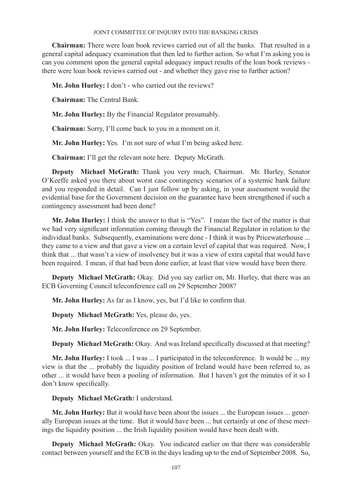**Chairman:** There were loan book reviews carried out of all the banks. That resulted in a general capital adequacy examination that then led to further action. So what I'm asking you is can you comment upon the general capital adequacy impact results of the loan book reviews there were loan book reviews carried out - and whether they gave rise to further action?

**Mr. John Hurley:** I don't - who carried out the reviews?

**Chairman:** The Central Bank.

**Mr. John Hurley:** By the Financial Regulator presumably.

**Chairman:** Sorry, I'll come back to you in a moment on it.

**Mr. John Hurley:** Yes. I'm not sure of what I'm being asked here.

**Chairman:** I'll get the relevant note here. Deputy McGrath.

**Deputy Michael McGrath:** Thank you very much, Chairman. Mr. Hurley, Senator O'Keeffe asked you there about worst case contingency scenarios of a systemic bank failure and you responded in detail. Can I just follow up by asking, in your assessment would the evidential base for the Government decision on the guarantee have been strengthened if such a contingency assessment had been done?

**Mr. John Hurley:** I think the answer to that is "Yes". I mean the fact of the matter is that we had very significant information coming through the Financial Regulator in relation to the individual banks. Subsequently, examinations were done - I think it was by Pricewaterhouse ... they came to a view and that gave a view on a certain level of capital that was required. Now, I think that ... that wasn't a view of insolvency but it was a view of extra capital that would have been required. I mean, if that had been done earlier, at least that view would have been there.

**Deputy Michael McGrath:** Okay. Did you say earlier on, Mr. Hurley, that there was an ECB Governing Council teleconference call on 29 September 2008?

**Mr. John Hurley:** As far as I know, yes, but I'd like to confirm that.

**Deputy Michael McGrath:** Yes, please do, yes.

**Mr. John Hurley:** Teleconference on 29 September.

**Deputy Michael McGrath:** Okay. And was Ireland specifically discussed at that meeting?

**Mr. John Hurley:** I took ... I was ... I participated in the teleconference. It would be ... my view is that the ... probably the liquidity position of Ireland would have been referred to, as other ... it would have been a pooling of information. But I haven't got the minutes of it so I don't know specifically.

**Deputy Michael McGrath:** I understand.

**Mr. John Hurley:** But it would have been about the issues ... the European issues ... generally European issues at the time. But it would have been ... but certainly at one of these meetings the liquidity position ... the Irish liquidity position would have been dealt with.

**Deputy Michael McGrath:** Okay. You indicated earlier on that there was considerable contact between yourself and the ECB in the days leading up to the end of September 2008. So,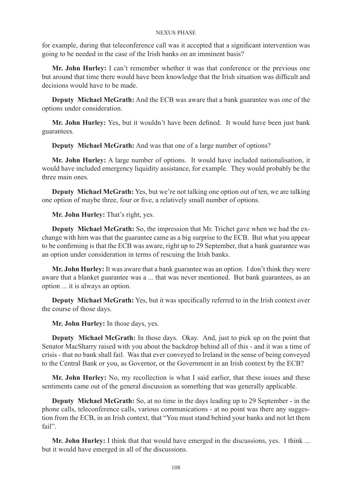for example, during that teleconference call was it accepted that a significant intervention was going to be needed in the case of the Irish banks on an imminent basis?

**Mr. John Hurley:** I can't remember whether it was that conference or the previous one but around that time there would have been knowledge that the Irish situation was difficult and decisions would have to be made.

**Deputy Michael McGrath:** And the ECB was aware that a bank guarantee was one of the options under consideration.

**Mr. John Hurley:** Yes, but it wouldn't have been defined. It would have been just bank guarantees.

**Deputy Michael McGrath:** And was that one of a large number of options?

**Mr. John Hurley:** A large number of options. It would have included nationalisation, it would have included emergency liquidity assistance, for example. They would probably be the three main ones.

**Deputy Michael McGrath:** Yes, but we're not talking one option out of ten, we are talking one option of maybe three, four or five, a relatively small number of options.

**Mr. John Hurley:** That's right, yes.

**Deputy Michael McGrath:** So, the impression that Mr. Trichet gave when we had the exchange with him was that the guarantee came as a big surprise to the ECB. But what you appear to be confirming is that the ECB was aware, right up to 29 September, that a bank guarantee was an option under consideration in terms of rescuing the Irish banks.

**Mr. John Hurley:** It was aware that a bank guarantee was an option. I don't think they were aware that a blanket guarantee was a ... that was never mentioned. But bank guarantees, as an option ... it is always an option.

**Deputy Michael McGrath:** Yes, but it was specifically referred to in the Irish context over the course of those days.

**Mr. John Hurley:** In those days, yes.

**Deputy Michael McGrath:** In those days. Okay. And, just to pick up on the point that Senator MacSharry raised with you about the backdrop behind all of this - and it was a time of crisis - that no bank shall fail. Was that ever conveyed to Ireland in the sense of being conveyed to the Central Bank or you, as Governor, or the Government in an Irish context by the ECB?

**Mr. John Hurley:** No, my recollection is what I said earlier, that these issues and these sentiments came out of the general discussion as something that was generally applicable.

**Deputy Michael McGrath:** So, at no time in the days leading up to 29 September - in the phone calls, teleconference calls, various communications - at no point was there any suggestion from the ECB, in an Irish context, that "You must stand behind your banks and not let them fail".

**Mr. John Hurley:** I think that that would have emerged in the discussions, yes. I think ... but it would have emerged in all of the discussions.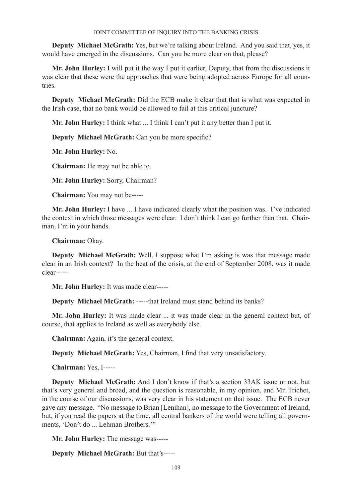**Deputy Michael McGrath:** Yes, but we're talking about Ireland. And you said that, yes, it would have emerged in the discussions. Can you be more clear on that, please?

**Mr. John Hurley:** I will put it the way I put it earlier, Deputy, that from the discussions it was clear that these were the approaches that were being adopted across Europe for all countries.

**Deputy Michael McGrath:** Did the ECB make it clear that that is what was expected in the Irish case, that no bank would be allowed to fail at this critical juncture?

**Mr. John Hurley:** I think what ... I think I can't put it any better than I put it.

**Deputy Michael McGrath:** Can you be more specific?

**Mr. John Hurley:** No.

**Chairman:** He may not be able to.

**Mr. John Hurley:** Sorry, Chairman?

**Chairman:** You may not be-----

**Mr. John Hurley:** I have ... I have indicated clearly what the position was. I've indicated the context in which those messages were clear. I don't think I can go further than that. Chairman, I'm in your hands.

**Chairman:** Okay.

**Deputy Michael McGrath:** Well, I suppose what I'm asking is was that message made clear in an Irish context? In the heat of the crisis, at the end of September 2008, was it made clear-----

**Mr. John Hurley:** It was made clear-----

**Deputy Michael McGrath:** -----that Ireland must stand behind its banks?

**Mr. John Hurley:** It was made clear ... it was made clear in the general context but, of course, that applies to Ireland as well as everybody else.

**Chairman:** Again, it's the general context.

**Deputy Michael McGrath:** Yes, Chairman, I find that very unsatisfactory.

**Chairman:** Yes, I-----

**Deputy Michael McGrath:** And I don't know if that's a section 33AK issue or not, but that's very general and broad, and the question is reasonable, in my opinion, and Mr. Trichet, in the course of our discussions, was very clear in his statement on that issue. The ECB never gave any message. "No message to Brian [Lenihan], no message to the Government of Ireland, but, if you read the papers at the time, all central bankers of the world were telling all governments, 'Don't do ... Lehman Brothers.'"

**Mr. John Hurley:** The message was-----

**Deputy Michael McGrath:** But that's-----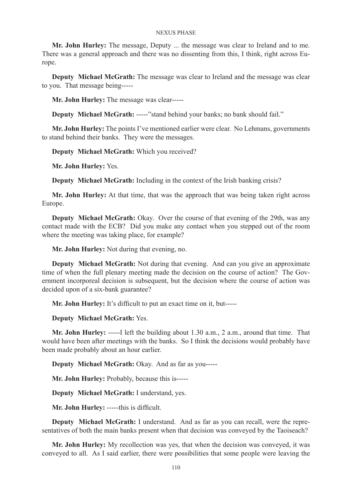**Mr. John Hurley:** The message, Deputy ... the message was clear to Ireland and to me. There was a general approach and there was no dissenting from this, I think, right across Europe.

**Deputy Michael McGrath:** The message was clear to Ireland and the message was clear to you. That message being-----

**Mr. John Hurley:** The message was clear-----

**Deputy Michael McGrath: -----**"stand behind your banks; no bank should fail."

**Mr. John Hurley:** The points I've mentioned earlier were clear. No Lehmans, governments to stand behind their banks. They were the messages.

**Deputy Michael McGrath:** Which you received?

**Mr. John Hurley:** Yes.

**Deputy Michael McGrath:** Including in the context of the Irish banking crisis?

**Mr. John Hurley:** At that time, that was the approach that was being taken right across Europe.

**Deputy Michael McGrath:** Okay. Over the course of that evening of the 29th, was any contact made with the ECB? Did you make any contact when you stepped out of the room where the meeting was taking place, for example?

**Mr. John Hurley:** Not during that evening, no.

**Deputy Michael McGrath:** Not during that evening. And can you give an approximate time of when the full plenary meeting made the decision on the course of action? The Government incorporeal decision is subsequent, but the decision where the course of action was decided upon of a six-bank guarantee?

**Mr. John Hurley:** It's difficult to put an exact time on it, but-----

**Deputy Michael McGrath:** Yes.

**Mr. John Hurley:** -----I left the building about 1.30 a.m., 2 a.m., around that time. That would have been after meetings with the banks. So I think the decisions would probably have been made probably about an hour earlier.

**Deputy Michael McGrath:** Okay. And as far as you-----

**Mr. John Hurley:** Probably, because this is-----

**Deputy Michael McGrath:** I understand, yes.

**Mr. John Hurley:** -----this is difficult.

**Deputy Michael McGrath:** I understand. And as far as you can recall, were the representatives of both the main banks present when that decision was conveyed by the Taoiseach?

**Mr. John Hurley:** My recollection was yes, that when the decision was conveyed, it was conveyed to all. As I said earlier, there were possibilities that some people were leaving the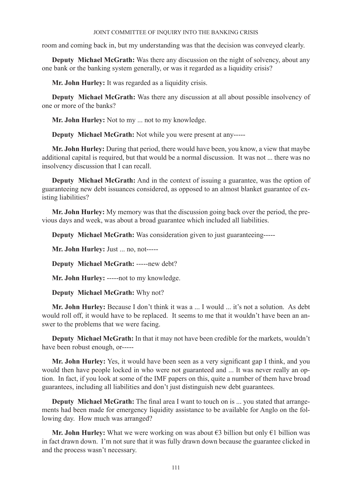room and coming back in, but my understanding was that the decision was conveyed clearly.

**Deputy Michael McGrath:** Was there any discussion on the night of solvency, about any one bank or the banking system generally, or was it regarded as a liquidity crisis?

**Mr. John Hurley:** It was regarded as a liquidity crisis.

**Deputy Michael McGrath:** Was there any discussion at all about possible insolvency of one or more of the banks?

**Mr. John Hurley:** Not to my ... not to my knowledge.

**Deputy Michael McGrath:** Not while you were present at any-----

**Mr. John Hurley:** During that period, there would have been, you know, a view that maybe additional capital is required, but that would be a normal discussion. It was not ... there was no insolvency discussion that I can recall.

**Deputy Michael McGrath:** And in the context of issuing a guarantee, was the option of guaranteeing new debt issuances considered, as opposed to an almost blanket guarantee of existing liabilities?

**Mr. John Hurley:** My memory was that the discussion going back over the period, the previous days and week, was about a broad guarantee which included all liabilities.

**Deputy Michael McGrath:** Was consideration given to just guaranteeing-----

**Mr. John Hurley:** Just ... no, not-----

**Deputy Michael McGrath:** -----new debt?

**Mr. John Hurley:** -----not to my knowledge.

**Deputy Michael McGrath:** Why not?

**Mr. John Hurley:** Because I don't think it was a ... I would ... it's not a solution. As debt would roll off, it would have to be replaced. It seems to me that it wouldn't have been an answer to the problems that we were facing.

**Deputy Michael McGrath:** In that it may not have been credible for the markets, wouldn't have been robust enough, or-----

**Mr. John Hurley:** Yes, it would have been seen as a very significant gap I think, and you would then have people locked in who were not guaranteed and ... It was never really an option. In fact, if you look at some of the IMF papers on this, quite a number of them have broad guarantees, including all liabilities and don't just distinguish new debt guarantees.

**Deputy Michael McGrath:** The final area I want to touch on is ... you stated that arrangements had been made for emergency liquidity assistance to be available for Anglo on the following day. How much was arranged?

**Mr. John Hurley:** What we were working on was about €3 billion but only €1 billion was in fact drawn down. I'm not sure that it was fully drawn down because the guarantee clicked in and the process wasn't necessary.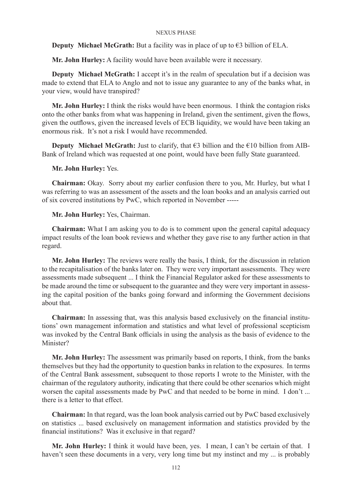**Deputy Michael McGrath:** But a facility was in place of up to  $\epsilon$ 3 billion of ELA.

**Mr. John Hurley:** A facility would have been available were it necessary.

**Deputy Michael McGrath:** I accept it's in the realm of speculation but if a decision was made to extend that ELA to Anglo and not to issue any guarantee to any of the banks what, in your view, would have transpired?

**Mr. John Hurley:** I think the risks would have been enormous. I think the contagion risks onto the other banks from what was happening in Ireland, given the sentiment, given the flows, given the outflows, given the increased levels of ECB liquidity, we would have been taking an enormous risk. It's not a risk I would have recommended.

**Deputy Michael McGrath:** Just to clarify, that  $\epsilon$ 3 billion and the  $\epsilon$ 10 billion from AIB-Bank of Ireland which was requested at one point, would have been fully State guaranteed.

# **Mr. John Hurley:** Yes.

**Chairman:** Okay. Sorry about my earlier confusion there to you, Mr. Hurley, but what I was referring to was an assessment of the assets and the loan books and an analysis carried out of six covered institutions by PwC, which reported in November -----

**Mr. John Hurley:** Yes, Chairman.

**Chairman:** What I am asking you to do is to comment upon the general capital adequacy impact results of the loan book reviews and whether they gave rise to any further action in that regard.

**Mr. John Hurley:** The reviews were really the basis, I think, for the discussion in relation to the recapitalisation of the banks later on. They were very important assessments. They were assessments made subsequent ... I think the Financial Regulator asked for these assessments to be made around the time or subsequent to the guarantee and they were very important in assessing the capital position of the banks going forward and informing the Government decisions about that.

**Chairman:** In assessing that, was this analysis based exclusively on the financial institutions' own management information and statistics and what level of professional scepticism was invoked by the Central Bank officials in using the analysis as the basis of evidence to the Minister?

**Mr. John Hurley:** The assessment was primarily based on reports, I think, from the banks themselves but they had the opportunity to question banks in relation to the exposures. In terms of the Central Bank assessment, subsequent to those reports I wrote to the Minister, with the chairman of the regulatory authority, indicating that there could be other scenarios which might worsen the capital assessments made by PwC and that needed to be borne in mind. I don't ... there is a letter to that effect.

**Chairman:** In that regard, was the loan book analysis carried out by PwC based exclusively on statistics ... based exclusively on management information and statistics provided by the financial institutions? Was it exclusive in that regard?

**Mr. John Hurley:** I think it would have been, yes. I mean, I can't be certain of that. I haven't seen these documents in a very, very long time but my instinct and my ... is probably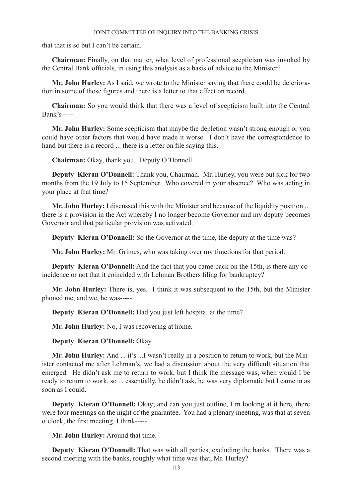that that is so but I can't be certain.

**Chairman:** Finally, on that matter, what level of professional scepticism was invoked by the Central Bank officials, in using this analysis as a basis of advice to the Minister?

**Mr. John Hurley:** As I said, we wrote to the Minister saying that there could be deterioration in some of those figures and there is a letter to that effect on record.

**Chairman:** So you would think that there was a level of scepticism built into the Central Bank's-----

**Mr. John Hurley:** Some scepticism that maybe the depletion wasn't strong enough or you could have other factors that would have made it worse. I don't have the correspondence to hand but there is a record ... there is a letter on file saying this.

**Chairman:** Okay, thank you. Deputy O'Donnell.

**Deputy Kieran O'Donnell:** Thank you, Chairman. Mr. Hurley, you were out sick for two months from the 19 July to 15 September. Who covered in your absence? Who was acting in your place at that time?

**Mr. John Hurley:** I discussed this with the Minister and because of the liquidity position ... there is a provision in the Act whereby I no longer become Governor and my deputy becomes Governor and that particular provision was activated.

**Deputy Kieran O'Donnell:** So the Governor at the time, the deputy at the time was?

**Mr. John Hurley:** Mr. Grimes, who was taking over my functions for that period.

**Deputy Kieran O'Donnell:** And the fact that you came back on the 15th, is there any coincidence or not that it coincided with Lehman Brothers filing for bankruptcy?

**Mr. John Hurley:** There is, yes. I think it was subsequent to the 15th, but the Minister phoned me, and we, he was-----

**Deputy Kieran O'Donnell:** Had you just left hospital at the time?

**Mr. John Hurley:** No, I was recovering at home.

**Deputy Kieran O'Donnell:** Okay.

**Mr. John Hurley:** And ... it's ...I wasn't really in a position to return to work, but the Minister contacted me after Lehman's, we had a discussion about the very difficult situation that emerged. He didn't ask me to return to work, but I think the message was, when would I be ready to return to work, so ... essentially, he didn't ask, he was very diplomatic but I came in as soon as I could.

**Deputy Kieran O'Donnell:** Okay; and can you just outline, I'm looking at it here, there were four meetings on the night of the guarantee. You had a plenary meeting, was that at seven o'clock, the first meeting, I think-----

**Mr. John Hurley:** Around that time.

**Deputy Kieran O'Donnell:** That was with all parties, excluding the banks. There was a second meeting with the banks, roughly what time was that, Mr. Hurley?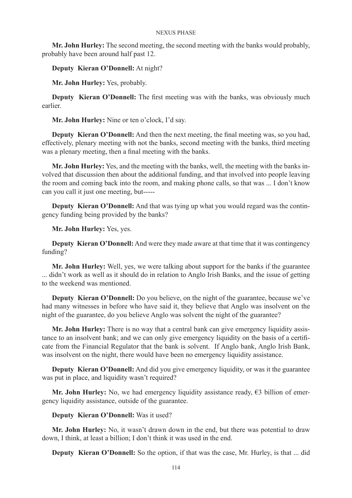**Mr. John Hurley:** The second meeting, the second meeting with the banks would probably, probably have been around half past 12.

**Deputy Kieran O'Donnell:** At night?

**Mr. John Hurley:** Yes, probably.

**Deputy Kieran O'Donnell:** The first meeting was with the banks, was obviously much earlier.

**Mr. John Hurley:** Nine or ten o'clock, I'd say.

**Deputy Kieran O'Donnell:** And then the next meeting, the final meeting was, so you had, effectively, plenary meeting with not the banks, second meeting with the banks, third meeting was a plenary meeting, then a final meeting with the banks.

**Mr. John Hurley:** Yes, and the meeting with the banks, well, the meeting with the banks involved that discussion then about the additional funding, and that involved into people leaving the room and coming back into the room, and making phone calls, so that was ... I don't know can you call it just one meeting, but-----

**Deputy Kieran O'Donnell:** And that was tying up what you would regard was the contingency funding being provided by the banks?

**Mr. John Hurley:** Yes, yes.

**Deputy Kieran O'Donnell:** And were they made aware at that time that it was contingency funding?

**Mr. John Hurley:** Well, yes, we were talking about support for the banks if the guarantee ... didn't work as well as it should do in relation to Anglo Irish Banks, and the issue of getting to the weekend was mentioned.

**Deputy Kieran O'Donnell:** Do you believe, on the night of the guarantee, because we've had many witnesses in before who have said it, they believe that Anglo was insolvent on the night of the guarantee, do you believe Anglo was solvent the night of the guarantee?

**Mr. John Hurley:** There is no way that a central bank can give emergency liquidity assistance to an insolvent bank; and we can only give emergency liquidity on the basis of a certificate from the Financial Regulator that the bank is solvent. If Anglo bank, Anglo Irish Bank, was insolvent on the night, there would have been no emergency liquidity assistance.

**Deputy Kieran O'Donnell:** And did you give emergency liquidity, or was it the guarantee was put in place, and liquidity wasn't required?

**Mr. John Hurley:** No, we had emergency liquidity assistance ready, €3 billion of emergency liquidity assistance, outside of the guarantee.

# **Deputy Kieran O'Donnell:** Was it used?

**Mr. John Hurley:** No, it wasn't drawn down in the end, but there was potential to draw down, I think, at least a billion; I don't think it was used in the end.

**Deputy Kieran O'Donnell:** So the option, if that was the case, Mr. Hurley, is that ... did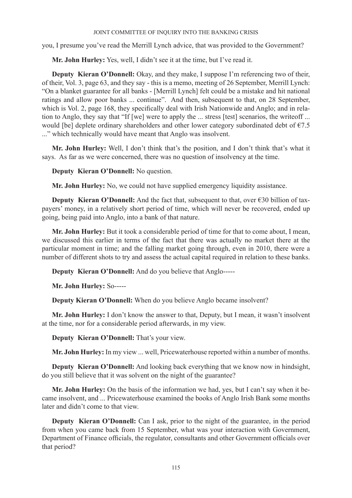you, I presume you've read the Merrill Lynch advice, that was provided to the Government?

**Mr. John Hurley:** Yes, well, I didn't see it at the time, but I've read it.

**Deputy Kieran O'Donnell:** Okay, and they make, I suppose I'm referencing two of their, of their, Vol. 3, page 63, and they say - this is a memo, meeting of 26 September, Merrill Lynch: "On a blanket guarantee for all banks - [Merrill Lynch] felt could be a mistake and hit national ratings and allow poor banks ... continue". And then, subsequent to that, on 28 September, which is Vol. 2, page 168, they specifically deal with Irish Nationwide and Anglo; and in relation to Anglo, they say that "If [we] were to apply the ... stress [test] scenarios, the writeoff ... would [be] deplete ordinary shareholders and other lower category subordinated debt of  $\epsilon$ 7.5 ..." which technically would have meant that Anglo was insolvent.

**Mr. John Hurley:** Well, I don't think that's the position, and I don't think that's what it says. As far as we were concerned, there was no question of insolvency at the time.

**Deputy Kieran O'Donnell:** No question.

**Mr. John Hurley:** No, we could not have supplied emergency liquidity assistance.

**Deputy Kieran O'Donnell:** And the fact that, subsequent to that, over €30 billion of taxpayers' money, in a relatively short period of time, which will never be recovered, ended up going, being paid into Anglo, into a bank of that nature.

**Mr. John Hurley:** But it took a considerable period of time for that to come about, I mean, we discussed this earlier in terms of the fact that there was actually no market there at the particular moment in time; and the falling market going through, even in 2010, there were a number of different shots to try and assess the actual capital required in relation to these banks.

**Deputy Kieran O'Donnell:** And do you believe that Anglo-----

**Mr. John Hurley:** So-----

**Deputy Kieran O'Donnell:** When do you believe Anglo became insolvent?

**Mr. John Hurley:** I don't know the answer to that, Deputy, but I mean, it wasn't insolvent at the time, nor for a considerable period afterwards, in my view.

**Deputy Kieran O'Donnell:** That's your view.

**Mr. John Hurley:** In my view ... well, Pricewaterhouse reported within a number of months.

**Deputy Kieran O'Donnell:** And looking back everything that we know now in hindsight, do you still believe that it was solvent on the night of the guarantee?

**Mr. John Hurley:** On the basis of the information we had, yes, but I can't say when it became insolvent, and ... Pricewaterhouse examined the books of Anglo Irish Bank some months later and didn't come to that view.

**Deputy Kieran O'Donnell:** Can I ask, prior to the night of the guarantee, in the period from when you came back from 15 September, what was your interaction with Government, Department of Finance officials, the regulator, consultants and other Government officials over that period?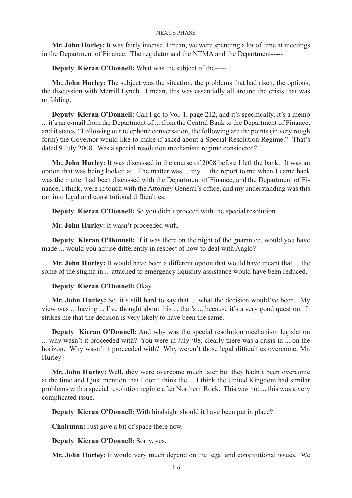**Mr. John Hurley:** It was fairly intense, I mean, we were spending a lot of time at meetings in the Department of Finance. The regulator and the NTMA and the Department-----

**Deputy Kieran O'Donnell:** What was the subject of the-----

**Mr. John Hurley:** The subject was the situation, the problems that had risen, the options, the discussion with Merrill Lynch. I mean, this was essentially all around the crisis that was unfolding.

**Deputy Kieran O'Donnell:** Can I go to Vol. 1, page 212, and it's specifically, it's a memo ... it's an e-mail from the Department of ... from the Central Bank to the Department of Finance, and it states, "Following our telephone conversation, the following are the points (in very rough form) the Governor would like to make if asked about a Special Resolution Regime." That's dated 9 July 2008. Was a special resolution mechanism regime considered?

**Mr. John Hurley:** It was discussed in the course of 2008 before I left the bank. It was an option that was being looked at. The matter was ... my ... the report to me when I came back was the matter had been discussed with the Department of Finance, and the Department of Finance, I think, were in touch with the Attorney General's office, and my understanding was this ran into legal and constitutional difficulties.

**Deputy Kieran O'Donnell:** So you didn't proceed with the special resolution.

**Mr. John Hurley:** It wasn't proceeded with.

**Deputy Kieran O'Donnell:** If it was there on the night of the guarantee, would you have made ... would you advise differently in respect of how to deal with Anglo?

**Mr. John Hurley:** It would have been a different option that would have meant that ... the some of the stigma in ... attached to emergency liquidity assistance would have been reduced.

# **Deputy Kieran O'Donnell:** Okay.

**Mr. John Hurley:** So, it's still hard to say that ... what the decision would've been. My view was ... having ... I've thought about this ... that's ... because it's a very good question. It strikes me that the decision is very likely to have been the same.

**Deputy Kieran O'Donnell:** And why was the special resolution mechanism legislation ... why wasn't it proceeded with? You were in July '08, clearly there was a crisis in ... on the horizon. Why wasn't it proceeded with? Why weren't those legal difficulties overcome, Mr. Hurley?

**Mr. John Hurley:** Well, they were overcome much later but they hadn't been overcome at the time and I just mention that I don't think the ... I think the United Kingdom had similar problems with a special resolution regime after Northern Rock. This was not ... this was a very complicated issue.

**Deputy Kieran O'Donnell:** With hindsight should it have been put in place?

**Chairman:** Just give a bit of space there now.

**Deputy Kieran O'Donnell:** Sorry, yes.

**Mr. John Hurley:** It would very much depend on the legal and constitutional issues. We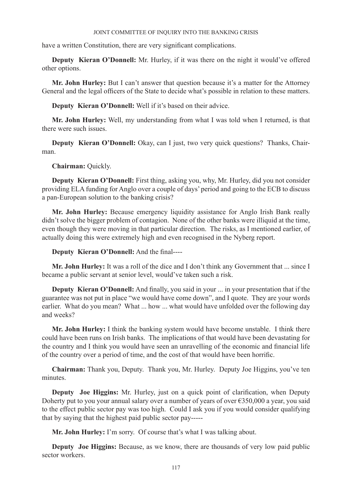have a written Constitution, there are very significant complications.

**Deputy Kieran O'Donnell:** Mr. Hurley, if it was there on the night it would've offered other options.

**Mr. John Hurley:** But I can't answer that question because it's a matter for the Attorney General and the legal officers of the State to decide what's possible in relation to these matters.

**Deputy Kieran O'Donnell:** Well if it's based on their advice.

**Mr. John Hurley:** Well, my understanding from what I was told when I returned, is that there were such issues.

**Deputy Kieran O'Donnell:** Okay, can I just, two very quick questions? Thanks, Chairman.

**Chairman:** Quickly.

**Deputy Kieran O'Donnell:** First thing, asking you, why, Mr. Hurley, did you not consider providing ELA funding for Anglo over a couple of days' period and going to the ECB to discuss a pan-European solution to the banking crisis?

**Mr. John Hurley:** Because emergency liquidity assistance for Anglo Irish Bank really didn't solve the bigger problem of contagion. None of the other banks were illiquid at the time, even though they were moving in that particular direction. The risks, as I mentioned earlier, of actually doing this were extremely high and even recognised in the Nyberg report.

**Deputy Kieran O'Donnell:** And the final----

**Mr. John Hurley:** It was a roll of the dice and I don't think any Government that ... since I became a public servant at senior level, would've taken such a risk.

**Deputy Kieran O'Donnell:** And finally, you said in your ... in your presentation that if the guarantee was not put in place "we would have come down", and I quote. They are your words earlier. What do you mean? What ... how ... what would have unfolded over the following day and weeks?

**Mr. John Hurley:** I think the banking system would have become unstable. I think there could have been runs on Irish banks. The implications of that would have been devastating for the country and I think you would have seen an unravelling of the economic and financial life of the country over a period of time, and the cost of that would have been horrific.

**Chairman:** Thank you, Deputy. Thank you, Mr. Hurley. Deputy Joe Higgins, you've ten minutes.

**Deputy Joe Higgins:** Mr. Hurley, just on a quick point of clarification, when Deputy Doherty put to you your annual salary over a number of years of over  $\epsilon$ 350,000 a year, you said to the effect public sector pay was too high. Could I ask you if you would consider qualifying that by saying that the highest paid public sector pay-----

**Mr. John Hurley:** I'm sorry. Of course that's what I was talking about.

**Deputy Joe Higgins:** Because, as we know, there are thousands of very low paid public sector workers.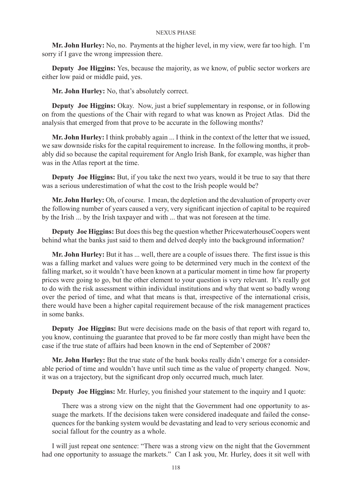**Mr. John Hurley:** No, no. Payments at the higher level, in my view, were far too high. I'm sorry if I gave the wrong impression there.

**Deputy Joe Higgins:** Yes, because the majority, as we know, of public sector workers are either low paid or middle paid, yes.

**Mr. John Hurley:** No, that's absolutely correct.

**Deputy Joe Higgins:** Okay. Now, just a brief supplementary in response, or in following on from the questions of the Chair with regard to what was known as Project Atlas. Did the analysis that emerged from that prove to be accurate in the following months?

**Mr. John Hurley:** I think probably again ... I think in the context of the letter that we issued, we saw downside risks for the capital requirement to increase. In the following months, it probably did so because the capital requirement for Anglo Irish Bank, for example, was higher than was in the Atlas report at the time.

**Deputy Joe Higgins:** But, if you take the next two years, would it be true to say that there was a serious underestimation of what the cost to the Irish people would be?

**Mr. John Hurley:** Oh, of course. I mean, the depletion and the devaluation of property over the following number of years caused a very, very significant injection of capital to be required by the Irish ... by the Irish taxpayer and with ... that was not foreseen at the time.

**Deputy Joe Higgins:** But does this beg the question whether PricewaterhouseCoopers went behind what the banks just said to them and delved deeply into the background information?

**Mr. John Hurley:** But it has ... well, there are a couple of issues there. The first issue is this was a falling market and values were going to be determined very much in the context of the falling market, so it wouldn't have been known at a particular moment in time how far property prices were going to go, but the other element to your question is very relevant. It's really got to do with the risk assessment within individual institutions and why that went so badly wrong over the period of time, and what that means is that, irrespective of the international crisis, there would have been a higher capital requirement because of the risk management practices in some banks.

**Deputy Joe Higgins:** But were decisions made on the basis of that report with regard to, you know, continuing the guarantee that proved to be far more costly than might have been the case if the true state of affairs had been known in the end of September of 2008?

**Mr. John Hurley:** But the true state of the bank books really didn't emerge for a considerable period of time and wouldn't have until such time as the value of property changed. Now, it was on a trajectory, but the significant drop only occurred much, much later.

**Deputy Joe Higgins:** Mr. Hurley, you finished your statement to the inquiry and I quote:

There was a strong view on the night that the Government had one opportunity to assuage the markets. If the decisions taken were considered inadequate and failed the consequences for the banking system would be devastating and lead to very serious economic and social fallout for the country as a whole.

I will just repeat one sentence: "There was a strong view on the night that the Government had one opportunity to assuage the markets." Can I ask you, Mr. Hurley, does it sit well with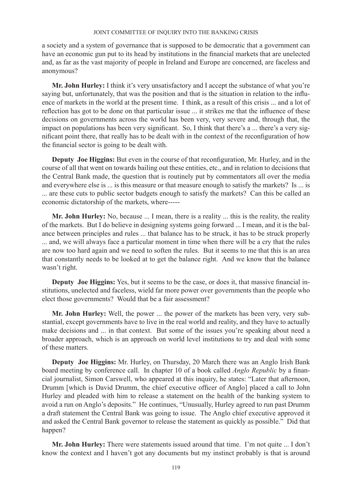a society and a system of governance that is supposed to be democratic that a government can have an economic gun put to its head by institutions in the financial markets that are unelected and, as far as the vast majority of people in Ireland and Europe are concerned, are faceless and anonymous?

**Mr. John Hurley:** I think it's very unsatisfactory and I accept the substance of what you're saying but, unfortunately, that was the position and that is the situation in relation to the influence of markets in the world at the present time. I think, as a result of this crisis ... and a lot of reflection has got to be done on that particular issue ... it strikes me that the influence of these decisions on governments across the world has been very, very severe and, through that, the impact on populations has been very significant. So, I think that there's a ... there's a very significant point there, that really has to be dealt with in the context of the reconfiguration of how the financial sector is going to be dealt with.

**Deputy Joe Higgins:** But even in the course of that reconfiguration, Mr. Hurley, and in the course of all that went on towards bailing out these entities, etc., and in relation to decisions that the Central Bank made, the question that is routinely put by commentators all over the media and everywhere else is ... is this measure or that measure enough to satisfy the markets? Is ... is ... are these cuts to public sector budgets enough to satisfy the markets? Can this be called an economic dictatorship of the markets, where-----

**Mr. John Hurley:** No, because ... I mean, there is a reality ... this is the reality, the reality of the markets. But I do believe in designing systems going forward ... I mean, and it is the balance between principles and rules ... that balance has to be struck, it has to be struck properly ... and, we will always face a particular moment in time when there will be a cry that the rules are now too hard again and we need to soften the rules. But it seems to me that this is an area that constantly needs to be looked at to get the balance right. And we know that the balance wasn't right.

**Deputy Joe Higgins:** Yes, but it seems to be the case, or does it, that massive financial institutions, unelected and faceless, wield far more power over governments than the people who elect those governments? Would that be a fair assessment?

**Mr. John Hurley:** Well, the power ... the power of the markets has been very, very substantial, except governments have to live in the real world and reality, and they have to actually make decisions and ... in that context. But some of the issues you're speaking about need a broader approach, which is an approach on world level institutions to try and deal with some of these matters.

**Deputy Joe Higgins:** Mr. Hurley, on Thursday, 20 March there was an Anglo Irish Bank board meeting by conference call. In chapter 10 of a book called *Anglo Republic* by a financial journalist, Simon Carswell, who appeared at this inquiry, he states: "Later that afternoon, Drumm [which is David Drumm, the chief executive officer of Anglo] placed a call to John Hurley and pleaded with him to release a statement on the health of the banking system to avoid a run on Anglo's deposits." He continues, "Unusually, Hurley agreed to run past Drumm a draft statement the Central Bank was going to issue. The Anglo chief executive approved it and asked the Central Bank governor to release the statement as quickly as possible." Did that happen?

**Mr. John Hurley:** There were statements issued around that time. I'm not quite ... I don't know the context and I haven't got any documents but my instinct probably is that is around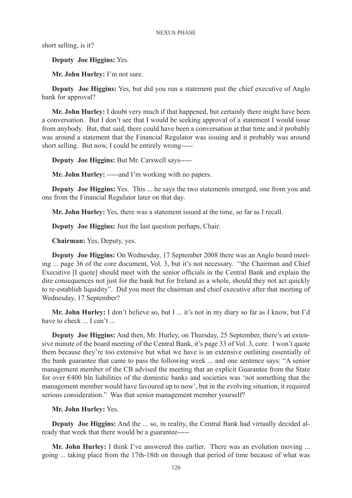short selling, is it?

**Deputy Joe Higgins:** Yes.

**Mr. John Hurley:** I'm not sure.

**Deputy Joe Higgins:** Yes, but did you run a statement past the chief executive of Anglo bank for approval?

**Mr. John Hurley:** I doubt very much if that happened, but certainly there might have been a conversation. But I don't see that I would be seeking approval of a statement I would issue from anybody. But, that said, there could have been a conversation at that time and it probably was around a statement that the Financial Regulator was issuing and it probably was around short selling. But now, I could be entirely wrong-----

**Deputy Joe Higgins:** But Mr. Carswell says-----

**Mr. John Hurley:** -----and I'm working with no papers.

**Deputy Joe Higgins:** Yes. This ... he says the two statements emerged, one from you and one from the Financial Regulator later on that day.

**Mr. John Hurley:** Yes, there was a statement issued at the time, so far as I recall.

**Deputy Joe Higgins:** Just the last question perhaps, Chair.

**Chairman:** Yes, Deputy, yes.

**Deputy Joe Higgins:** On Wednesday, 17 September 2008 there was an Anglo board meeting ... page 36 of the core document, Vol. 3, but it's not necessary. "the Chairman and Chief Executive [I quote] should meet with the senior officials in the Central Bank and explain the dire consequences not just for the bank but for Ireland as a whole, should they not act quickly to re-establish liquidity". Did you meet the chairman and chief executive after that meeting of Wednesday, 17 September?

**Mr. John Hurley:** I don't believe so, but I ... it's not in my diary so far as I know, but I'd have to check ... I can't ...

**Deputy Joe Higgins:** And then, Mr. Hurley, on Thursday, 25 September, there's an extensive minute of the board meeting of the Central Bank, it's page 33 of Vol. 3, core. I won't quote them because they're too extensive but what we have is an extensive outlining essentially of the bank guarantee that came to pass the following week ... and one sentence says: "A senior management member of the CB advised the meeting that an explicit Guarantee from the State for over €400 bln liabilities of the domestic banks and societies was 'not something that the management member would have favoured up to now', but in the evolving situation, it required serious consideration." Was that senior management member yourself?

# **Mr. John Hurley:** Yes.

**Deputy Joe Higgins:** And the ... so, in reality, the Central Bank had virtually decided already that week that there would be a guarantee-----

**Mr. John Hurley:** I think I've answered this earlier. There was an evolution moving ... going ... taking place from the 17th-18th on through that period of time because of what was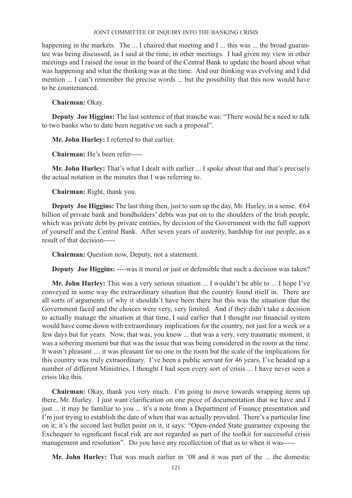happening in the markets. The ... I chaired that meeting and I ... this was ... the broad guarantee was being discussed, as I said at the time, in other meetings. I had given my view in other meetings and I raised the issue in the board of the Central Bank to update the board about what was happening and what the thinking was at the time. And our thinking was evolving and I did mention ... I can't remember the precise words ... but the possibility that this now would have to be countenanced.

**Chairman:** Okay.

**Deputy Joe Higgins:** The last sentence of that tranche was: "There would be a need to talk to two banks who to date been negative on such a proposal".

**Mr. John Hurley:** I referred to that earlier.

**Chairman:** He's been refer-----

**Mr. John Hurley:** That's what I dealt with earlier ... I spoke about that and that's precisely the actual notation in the minutes that I was referring to.

**Chairman:** Right, thank you.

**Deputy Joe Higgins:** The last thing then, just to sum up the day, Mr. Hurley, in a sense. €64 billion of private bank and bondholders' debts was put on to the shoulders of the Irish people, which was private debt by private entities, by decision of the Government with the full support of yourself and the Central Bank. After seven years of austerity, hardship for our people, as a result of that decision-----

**Chairman:** Question now, Deputy, not a statement.

**Deputy Joe Higgins:** ----was it moral or just or defensible that such a decision was taken?

**Mr. John Hurley:** This was a very serious situation ... I wouldn't be able to ... I hope I've conveyed in some way the extraordinary situation that the country found itself in. There are all sorts of arguments of why it shouldn't have been there but this was the situation that the Government faced and the choices were very, very limited. And if they didn't take a decision to actually manage the situation at that time, I said earlier that I thought our financial system would have come down with extraordinary implications for the country, not just for a week or a few days but for years. Now, that was, you know ... that was a very, very traumatic moment, it was a sobering moment but that was the issue that was being considered in the room at the time. It wasn't pleasant .... it was pleasant for no one in the room but the scale of the implications for this country was truly extraordinary. I've been a public servant for 46 years, I've headed up a number of different Ministries, I thought I had seen every sort of crisis ... I have never seen a crisis like this.

**Chairman:** Okay, thank you very much. I'm going to move towards wrapping items up there, Mr. Hurley. I just want clarification on one piece of documentation that we have and I just ... it may be familiar to you ... it's a note from a Department of Finance presentation and I'm just trying to establish the date of when that was actually provided. There's a particular line on it; it's the second last bullet point on it, it says: "Open-ended State guarantee exposing the Exchequer to significant fiscal risk are not regarded as part of the toolkit for successful crisis management and resolution". Do you have any recollection of that as to when it was-----

**Mr. John Hurley:** That was much earlier in '08 and it was part of the ... the domestic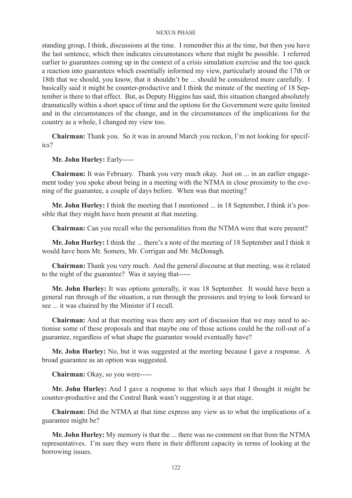standing group, I think, discussions at the time. I remember this at the time, but then you have the last sentence, which then indicates circumstances where that might be possible. I referred earlier to guarantees coming up in the context of a crisis simulation exercise and the too quick a reaction into guarantees which essentially informed my view, particularly around the 17th or 18th that we should, you know, that it shouldn't be ... should be considered more carefully. I basically said it might be counter-productive and I think the minute of the meeting of 18 September is there to that effect. But, as Deputy Higgins has said, this situation changed absolutely dramatically within a short space of time and the options for the Government were quite limited and in the circumstances of the change, and in the circumstances of the implications for the country as a whole, I changed my view too.

**Chairman:** Thank you. So it was in around March you reckon, I'm not looking for specifics?

# **Mr. John Hurley:** Early-----

**Chairman:** It was February. Thank you very much okay. Just on ... in an earlier engagement today you spoke about being in a meeting with the NTMA in close proximity to the evening of the guarantee, a couple of days before. When was that meeting?

**Mr. John Hurley:** I think the meeting that I mentioned ... in 18 September, I think it's possible that they might have been present at that meeting.

**Chairman:** Can you recall who the personalities from the NTMA were that were present?

**Mr. John Hurley:** I think the ... there's a note of the meeting of 18 September and I think it would have been Mr. Somers, Mr. Corrigan and Mr. McDonagh.

**Chairman:** Thank you very much. And the general discourse at that meeting, was it related to the night of the guarantee? Was it saying that-----

**Mr. John Hurley:** It was options generally, it was 18 September. It would have been a general run through of the situation, a run through the pressures and trying to look forward to see ... it was chaired by the Minister if I recall.

**Chairman:** And at that meeting was there any sort of discussion that we may need to actionise some of these proposals and that maybe one of those actions could be the roll-out of a guarantee, regardless of what shape the guarantee would eventually have?

**Mr. John Hurley:** No, but it was suggested at the meeting because I gave a response. A broad guarantee as an option was suggested.

**Chairman:** Okay, so you were-----

**Mr. John Hurley:** And I gave a response to that which says that I thought it might be counter-productive and the Central Bank wasn't suggesting it at that stage.

**Chairman:** Did the NTMA at that time express any view as to what the implications of a guarantee might be?

**Mr. John Hurley:** My memory is that the ... there was no comment on that from the NTMA representatives. I'm sure they were there in their different capacity in terms of looking at the borrowing issues.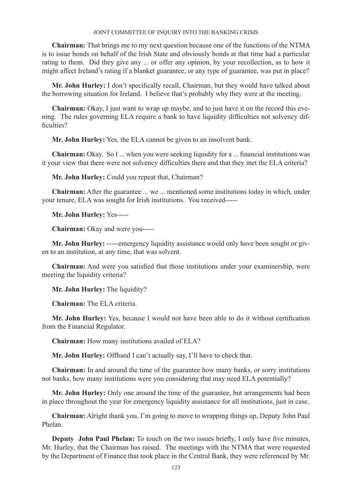**Chairman:** That brings me to my next question because one of the functions of the NTMA is to issue bonds on behalf of the Irish State and obviously bonds at that time had a particular rating to them. Did they give any ... or offer any opinion, by your recollection, as to how it might affect Ireland's rating if a blanket guarantee, or any type of guarantee, was put in place?

**Mr. John Hurley:** I don't specifically recall, Chairman, but they would have talked about the borrowing situation for Ireland. I believe that's probably why they were at the meeting.

**Chairman:** Okay, I just want to wrap up maybe, and to just have it on the record this evening. The rules governing ELA require a bank to have liquidity difficulties not solvency difficulties?

**Mr. John Hurley:** Yes, the ELA cannot be given to an insolvent bank.

**Chairman:** Okay. So I ... when you were seeking liquidity for a ... financial institutions was it your view that there were not solvency difficulties there and that they met the ELA criteria?

**Mr. John Hurley:** Could you repeat that, Chairman?

**Chairman:** After the guarantee ... we ... mentioned some institutions today in which, under your tenure, ELA was sought for Irish institutions. You received-----

**Mr. John Hurley:** Yes-----

**Chairman:** Okay and were you-----

**Mr. John Hurley:** -----emergency liquidity assistance would only have been sought or given to an institution, at any time, that was solvent.

**Chairman:** And were you satisfied that those institutions under your examinership, were meeting the liquidity criteria?

**Mr. John Hurley:** The liquidity?

**Chairman:** The ELA criteria.

**Mr. John Hurley:** Yes, because I would not have been able to do it without certification from the Financial Regulator.

**Chairman:** How many institutions availed of ELA?

**Mr. John Hurley:** Offhand I can't actually say, I'll have to check that.

**Chairman:** In and around the time of the guarantee how many banks, or sorry institutions not banks, how many institutions were you considering that may need ELA potentially?

**Mr. John Hurley:** Only one around the time of the guarantee, but arrangements had been in place throughout the year for emergency liquidity assistance for all institutions, just in case.

**Chairman:** Alright thank you, I'm going to move to wrapping things up, Deputy John Paul Phelan.

**Deputy John Paul Phelan:** To touch on the two issues briefly, I only have five minutes, Mr. Hurley, that the Chairman has raised. The meetings with the NTMA that were requested by the Department of Finance that took place in the Central Bank, they were referenced by Mr.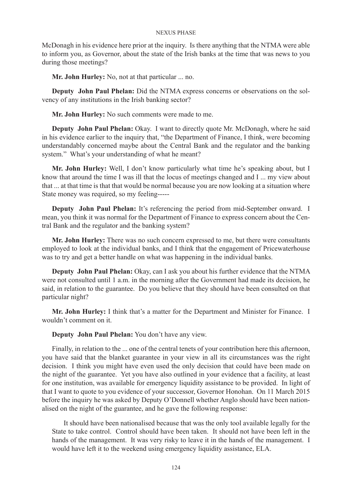McDonagh in his evidence here prior at the inquiry. Is there anything that the NTMA were able to inform you, as Governor, about the state of the Irish banks at the time that was news to you during those meetings?

**Mr. John Hurley:** No, not at that particular ... no.

**Deputy John Paul Phelan:** Did the NTMA express concerns or observations on the solvency of any institutions in the Irish banking sector?

**Mr. John Hurley:** No such comments were made to me.

**Deputy John Paul Phelan:** Okay. I want to directly quote Mr. McDonagh, where he said in his evidence earlier to the inquiry that, "the Department of Finance, I think, were becoming understandably concerned maybe about the Central Bank and the regulator and the banking system." What's your understanding of what he meant?

**Mr. John Hurley:** Well, I don't know particularly what time he's speaking about, but I know that around the time I was ill that the locus of meetings changed and I ... my view about that ... at that time is that that would be normal because you are now looking at a situation where State money was required, so my feeling-----

**Deputy John Paul Phelan:** It's referencing the period from mid-September onward. I mean, you think it was normal for the Department of Finance to express concern about the Central Bank and the regulator and the banking system?

**Mr. John Hurley:** There was no such concern expressed to me, but there were consultants employed to look at the individual banks, and I think that the engagement of Pricewaterhouse was to try and get a better handle on what was happening in the individual banks.

**Deputy John Paul Phelan:** Okay, can I ask you about his further evidence that the NTMA were not consulted until 1 a.m. in the morning after the Government had made its decision, he said, in relation to the guarantee. Do you believe that they should have been consulted on that particular night?

**Mr. John Hurley:** I think that's a matter for the Department and Minister for Finance. I wouldn't comment on it.

**Deputy John Paul Phelan:** You don't have any view.

Finally, in relation to the ... one of the central tenets of your contribution here this afternoon, you have said that the blanket guarantee in your view in all its circumstances was the right decision. I think you might have even used the only decision that could have been made on the night of the guarantee. Yet you have also outlined in your evidence that a facility, at least for one institution, was available for emergency liquidity assistance to be provided. In light of that I want to quote to you evidence of your successor, Governor Honohan. On 11 March 2015 before the inquiry he was asked by Deputy O'Donnell whether Anglo should have been nationalised on the night of the guarantee, and he gave the following response:

 It should have been nationalised because that was the only tool available legally for the State to take control. Control should have been taken. It should not have been left in the hands of the management. It was very risky to leave it in the hands of the management. I would have left it to the weekend using emergency liquidity assistance, ELA.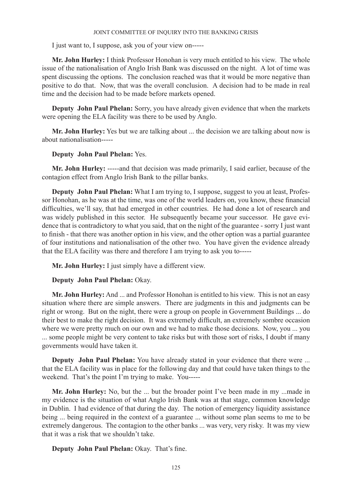I just want to, I suppose, ask you of your view on-----

**Mr. John Hurley:** I think Professor Honohan is very much entitled to his view. The whole issue of the nationalisation of Anglo Irish Bank was discussed on the night. A lot of time was spent discussing the options. The conclusion reached was that it would be more negative than positive to do that. Now, that was the overall conclusion. A decision had to be made in real time and the decision had to be made before markets opened.

**Deputy John Paul Phelan:** Sorry, you have already given evidence that when the markets were opening the ELA facility was there to be used by Anglo.

**Mr. John Hurley:** Yes but we are talking about ... the decision we are talking about now is about nationalisation-----

# **Deputy John Paul Phelan:** Yes.

**Mr. John Hurley:** -----and that decision was made primarily, I said earlier, because of the contagion effect from Anglo Irish Bank to the pillar banks.

**Deputy John Paul Phelan:** What I am trying to, I suppose, suggest to you at least, Professor Honohan, as he was at the time, was one of the world leaders on, you know, these financial difficulties, we'll say, that had emerged in other countries. He had done a lot of research and was widely published in this sector. He subsequently became your successor. He gave evidence that is contradictory to what you said, that on the night of the guarantee - sorry I just want to finish - that there was another option in his view, and the other option was a partial guarantee of four institutions and nationalisation of the other two. You have given the evidence already that the ELA facility was there and therefore I am trying to ask you to-----

**Mr. John Hurley:** I just simply have a different view.

**Deputy John Paul Phelan:** Okay.

**Mr. John Hurley:** And ... and Professor Honohan is entitled to his view. This is not an easy situation where there are simple answers. There are judgments in this and judgments can be right or wrong. But on the night, there were a group on people in Government Buildings ... do their best to make the right decision. It was extremely difficult, an extremely sombre occasion where we were pretty much on our own and we had to make those decisions. Now, you ... you ... some people might be very content to take risks but with those sort of risks, I doubt if many governments would have taken it.

**Deputy John Paul Phelan:** You have already stated in your evidence that there were ... that the ELA facility was in place for the following day and that could have taken things to the weekend. That's the point I'm trying to make. You-----

**Mr. John Hurley:** No, but the ... but the broader point I've been made in my ...made in my evidence is the situation of what Anglo Irish Bank was at that stage, common knowledge in Dublin. I had evidence of that during the day. The notion of emergency liquidity assistance being ... being required in the context of a guarantee ... without some plan seems to me to be extremely dangerous. The contagion to the other banks ... was very, very risky. It was my view that it was a risk that we shouldn't take.

**Deputy John Paul Phelan:** Okay. That's fine.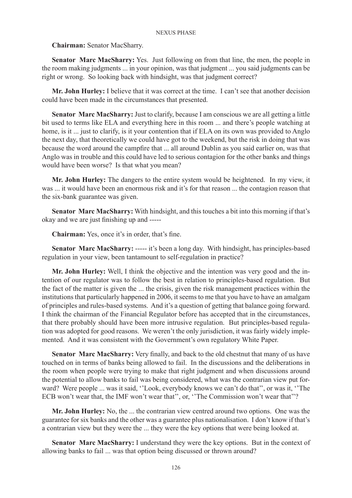# **Chairman:** Senator MacSharry.

**Senator Marc MacSharry:** Yes. Just following on from that line, the men, the people in the room making judgments ... in your opinion, was that judgment ... you said judgments can be right or wrong. So looking back with hindsight, was that judgment correct?

**Mr. John Hurley:** I believe that it was correct at the time. I can't see that another decision could have been made in the circumstances that presented.

**Senator Marc MacSharry:** Just to clarify, because I am conscious we are all getting a little bit used to terms like ELA and everything here in this room ... and there's people watching at home, is it ... just to clarify, is it your contention that if ELA on its own was provided to Anglo the next day, that theoretically we could have got to the weekend, but the risk in doing that was because the word around the campfire that ... all around Dublin as you said earlier on, was that Anglo was in trouble and this could have led to serious contagion for the other banks and things would have been worse? Is that what you mean?

**Mr. John Hurley:** The dangers to the entire system would be heightened. In my view, it was ... it would have been an enormous risk and it's for that reason ... the contagion reason that the six-bank guarantee was given.

**Senator Marc MacSharry:** With hindsight, and this touches a bit into this morning if that's okay and we are just finishing up and -----

**Chairman:** Yes, once it's in order, that's fine.

**Senator Marc MacSharry:** ----- it's been a long day. With hindsight, has principles-based regulation in your view, been tantamount to self-regulation in practice?

**Mr. John Hurley:** Well, I think the objective and the intention was very good and the intention of our regulator was to follow the best in relation to principles-based regulation. But the fact of the matter is given the ... the crisis, given the risk management practices within the institutions that particularly happened in 2006, it seems to me that you have to have an amalgam of principles and rules-based systems. And it's a question of getting that balance going forward. I think the chairman of the Financial Regulator before has accepted that in the circumstances, that there probably should have been more intrusive regulation. But principles-based regulation was adopted for good reasons. We weren't the only jurisdiction, it was fairly widely implemented. And it was consistent with the Government's own regulatory White Paper.

**Senator Marc MacSharry:** Very finally, and back to the old chestnut that many of us have touched on in terms of banks being allowed to fail. In the discussions and the deliberations in the room when people were trying to make that right judgment and when discussions around the potential to allow banks to fail was being considered, what was the contrarian view put forward? Were people ... was it said, ''Look, everybody knows we can't do that'', or was it, ''The ECB won't wear that, the IMF won't wear that", or, "The Commission won't wear that"?

**Mr. John Hurley:** No, the ... the contrarian view centred around two options. One was the guarantee for six banks and the other was a guarantee plus nationalisation. I don't know if that's a contrarian view but they were the ... they were the key options that were being looked at.

**Senator Marc MacSharry:** I understand they were the key options. But in the context of allowing banks to fail ... was that option being discussed or thrown around?